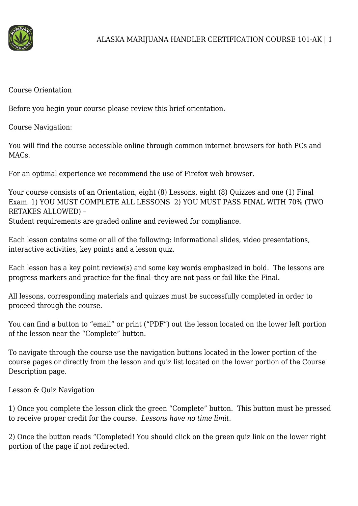

Course Orientation

Before you begin your course please review this brief orientation.

Course Navigation:

You will find the course accessible online through common internet browsers for both PCs and MAC<sub>s</sub>.

For an optimal experience we recommend the use of Firefox web browser.

Your course consists of an Orientation, eight (8) Lessons, eight (8) Quizzes and one (1) Final Exam. 1) YOU MUST COMPLETE ALL LESSONS 2) YOU MUST PASS FINAL WITH 70% (TWO RETAKES ALLOWED) – Student requirements are graded online and reviewed for compliance.

Each lesson contains some or all of the following: informational slides, video presentations, interactive activities, key points and a lesson quiz.

Each lesson has a key point review(s) and some key words emphasized in bold. The lessons are progress markers and practice for the final–they are not pass or fail like the Final.

All lessons, corresponding materials and quizzes must be successfully completed in order to proceed through the course.

You can find a button to "email" or print ("PDF") out the lesson located on the lower left portion of the lesson near the "Complete" button.

To navigate through the course use the navigation buttons located in the lower portion of the course pages or directly from the lesson and quiz list located on the lower portion of the Course Description page.

Lesson & Quiz Navigation

1) Once you complete the lesson click the green "Complete" button. This button must be pressed to receive proper credit for the course. *Lessons have no time limit.*

2) Once the button reads "Completed! You should click on the green quiz link on the lower right portion of the page if not redirected.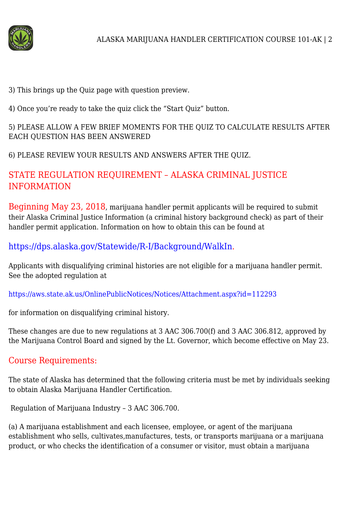

3) This brings up the Quiz page with question preview.

4) Once you're ready to take the quiz click the "Start Quiz" button.

# 5) PLEASE ALLOW A FEW BRIEF MOMENTS FOR THE QUIZ TO CALCULATE RESULTS AFTER EACH QUESTION HAS BEEN ANSWERED

6) PLEASE REVIEW YOUR RESULTS AND ANSWERS AFTER THE QUIZ.

# STATE REGULATION REQUIREMENT – ALASKA CRIMINAL JUSTICE INFORMATION

Beginning May 23, 2018, marijuana handler permit applicants will be required to submit their Alaska Criminal Justice Information (a criminal history background check) as part of their handler permit application. Information on how to obtain this can be found at

<https://dps.alaska.gov/Statewide/R-I/Background/WalkIn>.

Applicants with disqualifying criminal histories are not eligible for a marijuana handler permit. See the adopted regulation at

<https://aws.state.ak.us/OnlinePublicNotices/Notices/Attachment.aspx?id=112293>

for information on disqualifying criminal history.

These changes are due to new regulations at 3 AAC 306.700(f) and 3 AAC 306.812, approved by the Marijuana Control Board and signed by the Lt. Governor, which become effective on May 23.

# Course Requirements:

The state of Alaska has determined that the following criteria must be met by individuals seeking to obtain Alaska Marijuana Handler Certification.

Regulation of Marijuana Industry – 3 AAC 306.700.

(a) A marijuana establishment and each licensee, employee, or agent of the marijuana establishment who sells, cultivates,manufactures, tests, or transports marijuana or a marijuana product, or who checks the identification of a consumer or visitor, must obtain a marijuana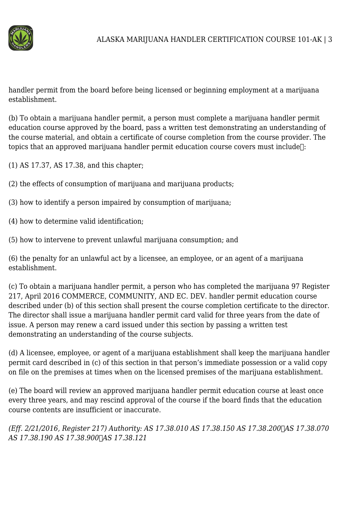

handler permit from the board before being licensed or beginning employment at a marijuana establishment.

(b) To obtain a marijuana handler permit, a person must complete a marijuana handler permit education course approved by the board, pass a written test demonstrating an understanding of the course material, and obtain a certificate of course completion from the course provider. The topics that an approved marijuana handler permit education course covers must include<sup>[1]</sup>:

(1) AS 17.37, AS 17.38, and this chapter;

- (2) the effects of consumption of marijuana and marijuana products;
- (3) how to identify a person impaired by consumption of marijuana;
- (4) how to determine valid identification;
- (5) how to intervene to prevent unlawful marijuana consumption; and

(6) the penalty for an unlawful act by a licensee, an employee, or an agent of a marijuana establishment.

(c) To obtain a marijuana handler permit, a person who has completed the marijuana 97 Register 217, April 2016 COMMERCE, COMMUNITY, AND EC. DEV. handler permit education course described under (b) of this section shall present the course completion certificate to the director. The director shall issue a marijuana handler permit card valid for three years from the date of issue. A person may renew a card issued under this section by passing a written test demonstrating an understanding of the course subjects.

(d) A licensee, employee, or agent of a marijuana establishment shall keep the marijuana handler permit card described in (c) of this section in that person's immediate possession or a valid copy on file on the premises at times when on the licensed premises of the marijuana establishment.

(e) The board will review an approved marijuana handler permit education course at least once every three years, and may rescind approval of the course if the board finds that the education course contents are insufficient or inaccurate.

*(Eff. 2/21/2016, Register 217) Authority: AS 17.38.010 AS 17.38.150 AS 17.38.200
AS 17.38.070 AS 17.38.190 AS 17.38.900
AS 17.38.121*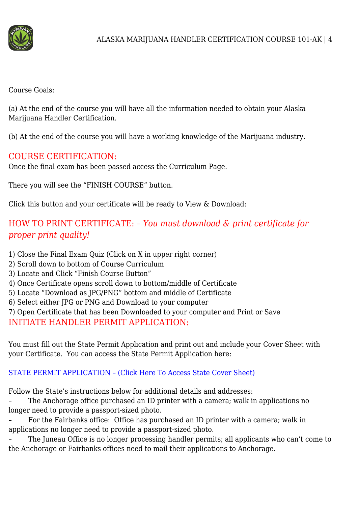

Course Goals:

(a) At the end of the course you will have all the information needed to obtain your Alaska Marijuana Handler Certification.

(b) At the end of the course you will have a working knowledge of the Marijuana industry.

# COURSE CERTIFICATION:

Once the final exam has been passed access the Curriculum Page.

There you will see the "FINISH COURSE" button.

Click this button and your certificate will be ready to View & Download:

# HOW TO PRINT CERTIFICATE: – *You must download & print certificate for proper print quality!*

- 1) Close the Final Exam Quiz (Click on X in upper right corner)
- 2) Scroll down to bottom of Course Curriculum
- 3) Locate and Click "Finish Course Button"
- 4) Once Certificate opens scroll down to bottom/middle of Certificate
- 5) Locate "Download as JPG/PNG" bottom and middle of Certificate
- 6) Select either JPG or PNG and Download to your computer
- 7) Open Certificate that has been Downloaded to your computer and Print or Save

INITIATE HANDLER PERMIT APPLICATION:

You must fill out the State Permit Application and print out and include your Cover Sheet with your Certificate. You can access the State Permit Application here:

# [STATE PERMIT APPLICATION – \(Click Here To Access State Cover Sheet\)](https://www.commerce.alaska.gov/abc/Marijuana/secure)

Follow the State's instructions below for additional details and addresses:

– The Anchorage office purchased an ID printer with a camera; walk in applications no longer need to provide a passport-sized photo.

– For the Fairbanks office: Office has purchased an ID printer with a camera; walk in applications no longer need to provide a passport-sized photo.

– The Juneau Office is no longer processing handler permits; all applicants who can't come to the Anchorage or Fairbanks offices need to mail their applications to Anchorage.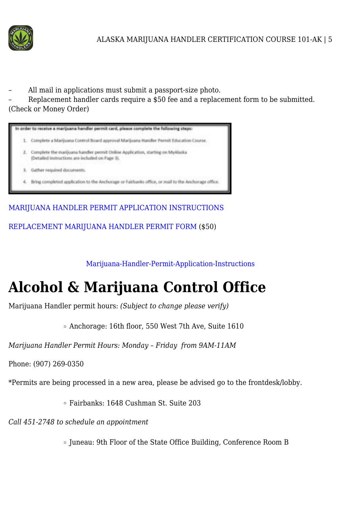

– All mail in applications must submit a passport-size photo.

– Replacement handler cards require a \$50 fee and a replacement form to be submitted. (Check or Money Order)



[MARIJUANA HANDLER PERMIT APPLICATION INSTRUCTIONS](https://www.commerce.alaska.gov/web/Portals/9/pub/MCB/MJHandlerPermit/MarijuanaHandlerPermitApplicationInstructions.pdf)

[REPLACEMENT MARIJUANA HANDLER PERMIT FORM](https://www.commerce.alaska.gov/web/Portals/9/pub/MCB/MJHandlerPermit/MarijuanaHandlerPermitReplacementForm.pdf) (\$50)

[Marijuana-Handler-Permit-Application-Instructions](https://marijuanahandlers.com/wp-content/uploads/2016/03/Marijuana-Handler-Permit-Application-Instructions.pdf)

# **Alcohol & Marijuana Control Office**

Marijuana Handler permit hours: *(Subject to change please verify)*

Anchorage: 16th floor, 550 West 7th Ave, Suite 1610

*Marijuana Handler Permit Hours: Monday – Friday from 9AM-11AM*

Phone: (907) 269-0350

\*Permits are being processed in a new area, please be advised go to the frontdesk/lobby.

Fairbanks: 1648 Cushman St. Suite 203

*Call 451-2748 to schedule an appointment*

• Juneau: 9th Floor of the State Office Building, Conference Room B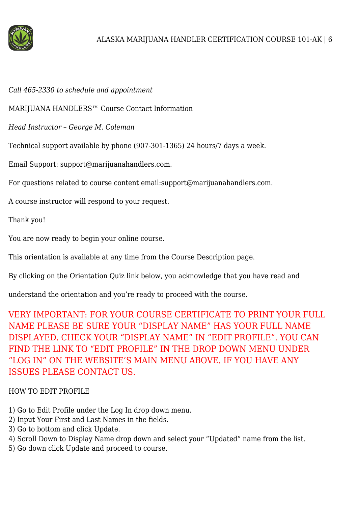

#### *Call 465-2330 to schedule and appointment*

MARIJUANA HANDLERS™ Course Contact Information

*Head Instructor – George M. Coleman*

Technical support available by phone (907-301-1365) 24 hours/7 days a week.

Email Support: support@marijuanahandlers.com.

For questions related to course content email:support@marijuanahandlers.com.

A course instructor will respond to your request.

Thank you!

You are now ready to begin your online course.

This orientation is available at any time from the Course Description page.

By clicking on the Orientation Quiz link below, you acknowledge that you have read and

understand the orientation and you're ready to proceed with the course.

VERY IMPORTANT: FOR YOUR COURSE CERTIFICATE TO PRINT YOUR FULL NAME PLEASE BE SURE YOUR "DISPLAY NAME" HAS YOUR FULL NAME DISPLAYED. CHECK YOUR "DISPLAY NAME" IN "EDIT PROFILE". YOU CAN FIND THE LINK TO "EDIT PROFILE" IN THE DROP DOWN MENU UNDER "LOG IN" ON THE WEBSITE'S MAIN MENU ABOVE. IF YOU HAVE ANY ISSUES PLEASE CONTACT US.

# HOW TO EDIT PROFILE

- 1) Go to Edit Profile under the Log In drop down menu.
- 2) Input Your First and Last Names in the fields.
- 3) Go to bottom and click Update.
- 4) Scroll Down to Display Name drop down and select your "Updated" name from the list.
- 5) Go down click Update and proceed to course.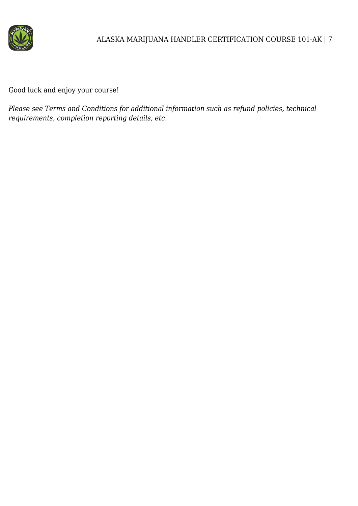

Good luck and enjoy your course!

*Please see Terms and Conditions for additional information such as refund policies, technical requirements, completion reporting details, etc.*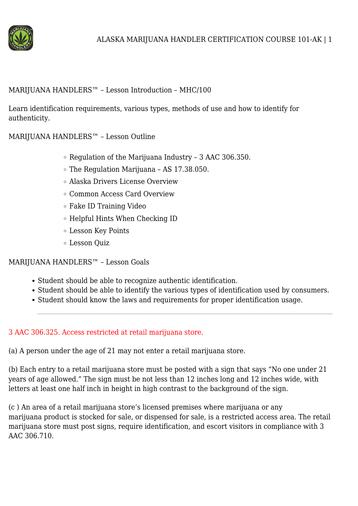

#### MARIJUANA HANDLERS™ – Lesson Introduction – MHC/100

Learn identification requirements, various types, methods of use and how to identify for authenticity.

MARIJUANA HANDLERS™ – Lesson Outline

- Regulation of the Marijuana Industry 3 AAC 306.350.
- The Regulation Marijuana AS 17.38.050.
- Alaska Drivers License Overview
- Common Access Card Overview
- Fake ID Training Video
- Helpful Hints When Checking ID
- Lesson Key Points
- Lesson Quiz

MARIJUANA HANDLERS™ – Lesson Goals

- Student should be able to recognize authentic identification.
- Student should be able to identify the various types of identification used by consumers.
- Student should know the laws and requirements for proper identification usage.

#### 3 AAC 306.325. Access restricted at retail marijuana store.

(a) A person under the age of 21 may not enter a retail marijuana store.

(b) Each entry to a retail marijuana store must be posted with a sign that says "No one under 21 years of age allowed." The sign must be not less than 12 inches long and 12 inches wide, with letters at least one half inch in height in high contrast to the background of the sign.

(c ) An area of a retail marijuana store's licensed premises where marijuana or any marijuana product is stocked for sale, or dispensed for sale, is a restricted access area. The retail marijuana store must post signs, require identification, and escort visitors in compliance with 3 AAC 306.710.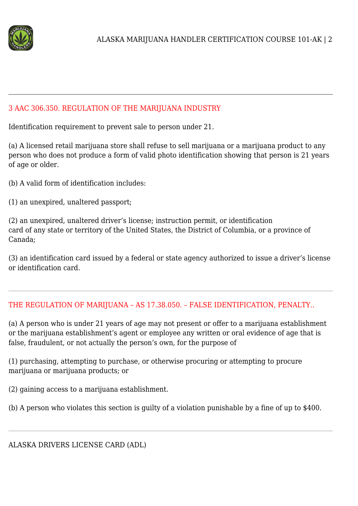

#### 3 AAC 306.350. REGULATION OF THE MARIJUANA INDUSTRY

Identification requirement to prevent sale to person under 21.

(a) A licensed retail marijuana store shall refuse to sell marijuana or a marijuana product to any person who does not produce a form of valid photo identification showing that person is 21 years of age or older.

(b) A valid form of identification includes:

(1) an unexpired, unaltered passport;

(2) an unexpired, unaltered driver's license; instruction permit, or identification card of any state or territory of the United States, the District of Columbia, or a province of Canada;

(3) an identification card issued by a federal or state agency authorized to issue a driver's license or identification card.

# THE REGULATION OF MARIJUANA – AS 17.38.050. – FALSE IDENTIFICATION, PENALTY..

(a) A person who is under 21 years of age may not present or offer to a marijuana establishment or the marijuana establishment's agent or employee any written or oral evidence of age that is false, fraudulent, or not actually the person's own, for the purpose of

(1) purchasing, attempting to purchase, or otherwise procuring or attempting to procure marijuana or marijuana products; or

(2) gaining access to a marijuana establishment.

(b) A person who violates this section is guilty of a violation punishable by a fine of up to \$400.

ALASKA DRIVERS LICENSE CARD (ADL)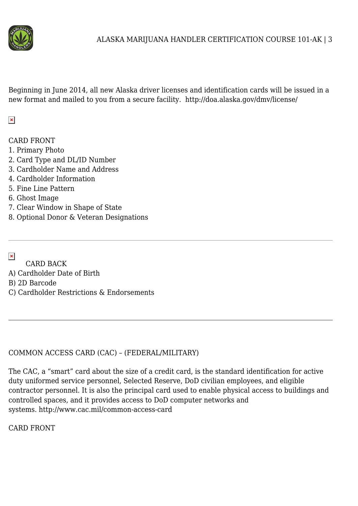

Beginning in June 2014, all new Alaska driver licenses and identification cards will be issued in a new format and mailed to you from a secure facility. http://doa.alaska.gov/dmv/license/

# $\pmb{\times}$

CARD FRONT

- 1. Primary Photo
- 2. Card Type and DL/ID Number
- 3. Cardholder Name and Address
- 4. Cardholder Information
- 5. Fine Line Pattern
- 6. Ghost Image
- 7. Clear Window in Shape of State
- 8. Optional Donor & Veteran Designations

 $\pmb{\times}$ 

- CARD BACK
- A) Cardholder Date of Birth

B) 2D Barcode

C) Cardholder Restrictions & Endorsements

# COMMON ACCESS CARD (CAC) – (FEDERAL/MILITARY)

The CAC, a "smart" card about the size of a credit card, is the standard identification for active duty uniformed service personnel, Selected Reserve, DoD civilian employees, and eligible contractor personnel. It is also the principal card used to enable physical access to buildings and controlled spaces, and it provides access to DoD computer networks and systems. http://www.cac.mil/common-access-card

CARD FRONT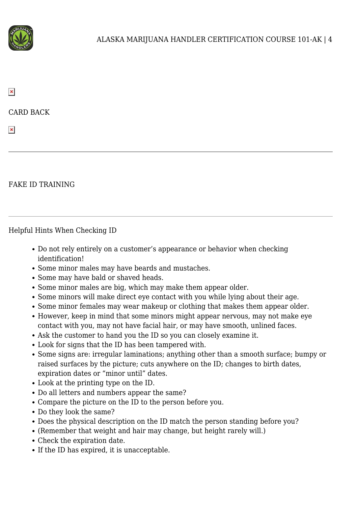

 $\pmb{\times}$ 

CARD BACK

 $\pmb{\times}$ 

#### FAKE ID TRAINING

Helpful Hints When Checking ID

- Do not rely entirely on a customer's appearance or behavior when checking identification!
- Some minor males may have beards and mustaches.
- Some may have bald or shaved heads.
- Some minor males are big, which may make them appear older.
- Some minors will make direct eye contact with you while lying about their age.
- Some minor females may wear makeup or clothing that makes them appear older.
- However, keep in mind that some minors might appear nervous, may not make eye contact with you, may not have facial hair, or may have smooth, unlined faces.
- Ask the customer to hand you the ID so you can closely examine it.
- Look for signs that the ID has been tampered with.
- Some signs are: irregular laminations; anything other than a smooth surface; bumpy or raised surfaces by the picture; cuts anywhere on the ID; changes to birth dates, expiration dates or "minor until" dates.
- Look at the printing type on the ID.
- Do all letters and numbers appear the same?
- Compare the picture on the ID to the person before you.
- Do they look the same?
- Does the physical description on the ID match the person standing before you?
- (Remember that weight and hair may change, but height rarely will.)
- Check the expiration date.
- If the ID has expired, it is unacceptable.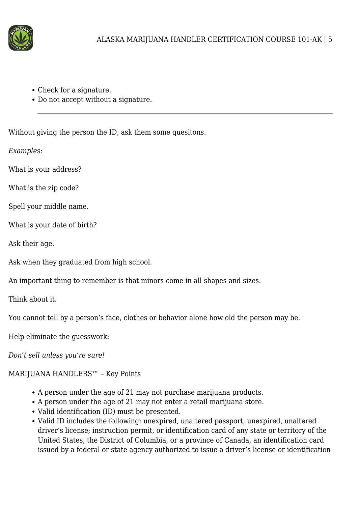

- Check for a signature.
- Do not accept without a signature.

Without giving the person the ID, ask them some quesitons.

*Examples:*

What is your address?

What is the zip code?

Spell your middle name.

What is your date of birth?

Ask their age.

Ask when they graduated from high school.

An important thing to remember is that minors come in all shapes and sizes.

Think about it.

You cannot tell by a person's face, clothes or behavior alone how old the person may be.

Help eliminate the guesswork:

*Don't sell unless you're sure!*

# MARIJUANA HANDLERS™ – Key Points

- A person under the age of 21 may not purchase marijuana products.
- A person under the age of 21 may not enter a retail marijuana store.
- Valid identification (ID) must be presented.
- Valid ID includes the following: unexpired, unaltered passport, unexpired, unaltered driver's license; instruction permit, or identification card of any state or territory of the United States, the District of Columbia, or a province of Canada, an identification card issued by a federal or state agency authorized to issue a driver's license or identification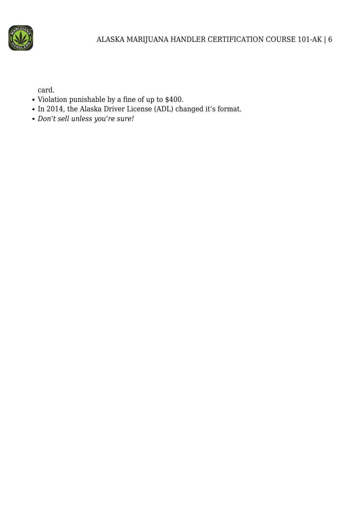

card.

- Violation punishable by a fine of up to \$400.
- In 2014, the Alaska Driver License (ADL) changed it's format.
- *Don't sell unless you're sure!*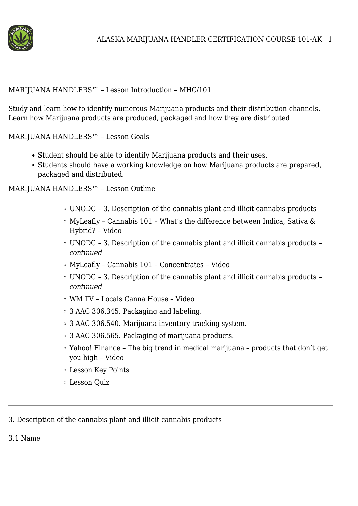

#### MARIJUANA HANDLERS™ – Lesson Introduction – MHC/101

Study and learn how to identify numerous Marijuana products and their distribution channels. Learn how Marijuana products are produced, packaged and how they are distributed.

MARIJUANA HANDLERS™ – Lesson Goals

- Student should be able to identify Marijuana products and their uses.
- Students should have a working knowledge on how Marijuana products are prepared, packaged and distributed.

MARIJUANA HANDLERS™ – Lesson Outline

- UNODC 3. Description of the cannabis plant and illicit cannabis products
- $\circ$  MyLeafly Cannabis 101 What's the difference between Indica, Sativa & Hybrid? – Video
- UNODC 3. Description of the cannabis plant and illicit cannabis products *continued*
- MyLeafly Cannabis 101 Concentrates Video
- UNODC 3. Description of the cannabis plant and illicit cannabis products *continued*
- WM TV Locals Canna House Video
- 3 AAC 306.345. Packaging and labeling.
- 3 AAC 306.540. Marijuana inventory tracking system.
- 3 AAC 306.565. Packaging of marijuana products.
- Yahoo! Finance The big trend in medical marijuana products that don't get you high – Video
- Lesson Key Points
- Lesson Quiz

3. Description of the cannabis plant and illicit cannabis products

3.1 Name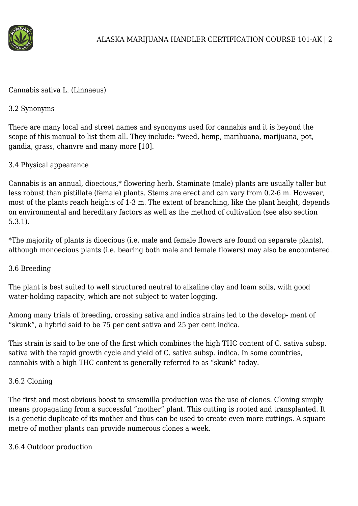

Cannabis sativa L. (Linnaeus)

#### 3.2 Synonyms

There are many local and street names and synonyms used for cannabis and it is beyond the scope of this manual to list them all. They include: \*weed, hemp, marihuana, marijuana, pot, gandia, grass, chanvre and many more [10].

# 3.4 Physical appearance

Cannabis is an annual, dioecious,\* flowering herb. Staminate (male) plants are usually taller but less robust than pistillate (female) plants. Stems are erect and can vary from 0.2-6 m. However, most of the plants reach heights of 1-3 m. The extent of branching, like the plant height, depends on environmental and hereditary factors as well as the method of cultivation (see also section 5.3.1).

\*The majority of plants is dioecious (i.e. male and female flowers are found on separate plants), although monoecious plants (i.e. bearing both male and female flowers) may also be encountered.

# 3.6 Breeding

The plant is best suited to well structured neutral to alkaline clay and loam soils, with good water-holding capacity, which are not subject to water logging.

Among many trials of breeding, crossing sativa and indica strains led to the develop- ment of "skunk", a hybrid said to be 75 per cent sativa and 25 per cent indica.

This strain is said to be one of the first which combines the high THC content of C. sativa subsp. sativa with the rapid growth cycle and yield of C. sativa subsp. indica. In some countries, cannabis with a high THC content is generally referred to as "skunk" today.

#### 3.6.2 Cloning

The first and most obvious boost to sinsemilla production was the use of clones. Cloning simply means propagating from a successful "mother" plant. This cutting is rooted and transplanted. It is a genetic duplicate of its mother and thus can be used to create even more cuttings. A square metre of mother plants can provide numerous clones a week.

3.6.4 Outdoor production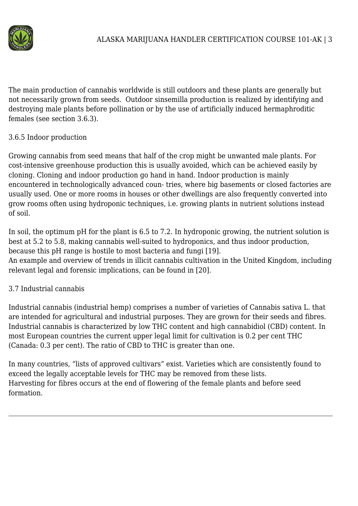

The main production of cannabis worldwide is still outdoors and these plants are generally but not necessarily grown from seeds. Outdoor sinsemilla production is realized by identifying and destroying male plants before pollination or by the use of artificially induced hermaphroditic females (see section 3.6.3).

#### 3.6.5 Indoor production

Growing cannabis from seed means that half of the crop might be unwanted male plants. For cost-intensive greenhouse production this is usually avoided, which can be achieved easily by cloning. Cloning and indoor production go hand in hand. Indoor production is mainly encountered in technologically advanced coun- tries, where big basements or closed factories are usually used. One or more rooms in houses or other dwellings are also frequently converted into grow rooms often using hydroponic techniques, i.e. growing plants in nutrient solutions instead of soil.

In soil, the optimum pH for the plant is 6.5 to 7.2. In hydroponic growing, the nutrient solution is best at 5.2 to 5.8, making cannabis well-suited to hydroponics, and thus indoor production, because this pH range is hostile to most bacteria and fungi [19].

An example and overview of trends in illicit cannabis cultivation in the United Kingdom, including relevant legal and forensic implications, can be found in [20].

# 3.7 Industrial cannabis

Industrial cannabis (industrial hemp) comprises a number of varieties of Cannabis sativa L. that are intended for agricultural and industrial purposes. They are grown for their seeds and fibres. Industrial cannabis is characterized by low THC content and high cannabidiol (CBD) content. In most European countries the current upper legal limit for cultivation is 0.2 per cent THC (Canada: 0.3 per cent). The ratio of CBD to THC is greater than one.

In many countries, "lists of approved cultivars" exist. Varieties which are consistently found to exceed the legally acceptable levels for THC may be removed from these lists. Harvesting for fibres occurs at the end of flowering of the female plants and before seed formation.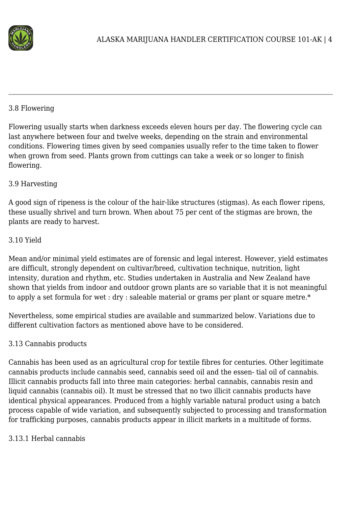

#### 3.8 Flowering

Flowering usually starts when darkness exceeds eleven hours per day. The flowering cycle can last anywhere between four and twelve weeks, depending on the strain and environmental conditions. Flowering times given by seed companies usually refer to the time taken to flower when grown from seed. Plants grown from cuttings can take a week or so longer to finish flowering.

#### 3.9 Harvesting

A good sign of ripeness is the colour of the hair-like structures (stigmas). As each flower ripens, these usually shrivel and turn brown. When about 75 per cent of the stigmas are brown, the plants are ready to harvest.

#### 3.10 Yield

Mean and/or minimal yield estimates are of forensic and legal interest. However, yield estimates are difficult, strongly dependent on cultivar/breed, cultivation technique, nutrition, light intensity, duration and rhythm, etc. Studies undertaken in Australia and New Zealand have shown that yields from indoor and outdoor grown plants are so variable that it is not meaningful to apply a set formula for wet : dry : saleable material or grams per plant or square metre.\*

Nevertheless, some empirical studies are available and summarized below. Variations due to different cultivation factors as mentioned above have to be considered.

#### 3.13 Cannabis products

Cannabis has been used as an agricultural crop for textile fibres for centuries. Other legitimate cannabis products include cannabis seed, cannabis seed oil and the essen- tial oil of cannabis. Illicit cannabis products fall into three main categories: herbal cannabis, cannabis resin and liquid cannabis (cannabis oil). It must be stressed that no two illicit cannabis products have identical physical appearances. Produced from a highly variable natural product using a batch process capable of wide variation, and subsequently subjected to processing and transformation for trafficking purposes, cannabis products appear in illicit markets in a multitude of forms.

#### 3.13.1 Herbal cannabis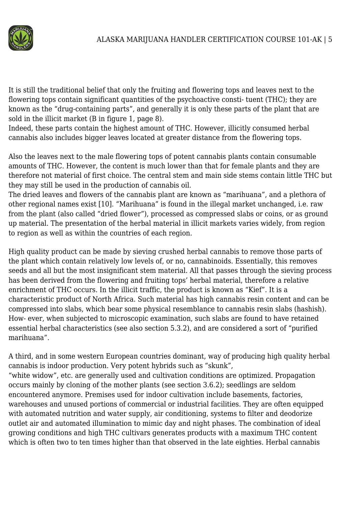

It is still the traditional belief that only the fruiting and flowering tops and leaves next to the flowering tops contain significant quantities of the psychoactive consti- tuent (THC); they are known as the "drug-containing parts", and generally it is only these parts of the plant that are sold in the illicit market (B in figure 1, page 8).

Indeed, these parts contain the highest amount of THC. However, illicitly consumed herbal cannabis also includes bigger leaves located at greater distance from the flowering tops.

Also the leaves next to the male flowering tops of potent cannabis plants contain consumable amounts of THC. However, the content is much lower than that for female plants and they are therefore not material of first choice. The central stem and main side stems contain little THC but they may still be used in the production of cannabis oil.

The dried leaves and flowers of the cannabis plant are known as "marihuana", and a plethora of other regional names exist [10]. "Marihuana" is found in the illegal market unchanged, i.e. raw from the plant (also called "dried flower"), processed as compressed slabs or coins, or as ground up material. The presentation of the herbal material in illicit markets varies widely, from region to region as well as within the countries of each region.

High quality product can be made by sieving crushed herbal cannabis to remove those parts of the plant which contain relatively low levels of, or no, cannabinoids. Essentially, this removes seeds and all but the most insignificant stem material. All that passes through the sieving process has been derived from the flowering and fruiting tops' herbal material, therefore a relative enrichment of THC occurs. In the illicit traffic, the product is known as "Kief". It is a characteristic product of North Africa. Such material has high cannabis resin content and can be compressed into slabs, which bear some physical resemblance to cannabis resin slabs (hashish). How- ever, when subjected to microscopic examination, such slabs are found to have retained essential herbal characteristics (see also section 5.3.2), and are considered a sort of "purified marihuana".

A third, and in some western European countries dominant, way of producing high quality herbal cannabis is indoor production. Very potent hybrids such as "skunk", "white widow", etc. are generally used and cultivation conditions are optimized. Propagation occurs mainly by cloning of the mother plants (see section 3.6.2); seedlings are seldom encountered anymore. Premises used for indoor cultivation include basements, factories, warehouses and unused portions of commercial or industrial facilities. They are often equipped with automated nutrition and water supply, air conditioning, systems to filter and deodorize outlet air and automated illumination to mimic day and night phases. The combination of ideal growing conditions and high THC cultivars generates products with a maximum THC content which is often two to ten times higher than that observed in the late eighties. Herbal cannabis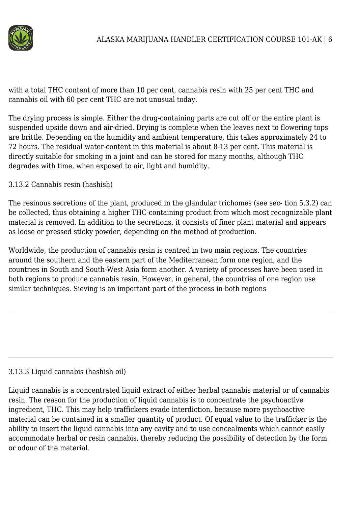

with a total THC content of more than 10 per cent, cannabis resin with 25 per cent THC and cannabis oil with 60 per cent THC are not unusual today.

The drying process is simple. Either the drug-containing parts are cut off or the entire plant is suspended upside down and air-dried. Drying is complete when the leaves next to flowering tops are brittle. Depending on the humidity and ambient temperature, this takes approximately 24 to 72 hours. The residual water-content in this material is about 8-13 per cent. This material is directly suitable for smoking in a joint and can be stored for many months, although THC degrades with time, when exposed to air, light and humidity.

3.13.2 Cannabis resin (hashish)

The resinous secretions of the plant, produced in the glandular trichomes (see sec- tion 5.3.2) can be collected, thus obtaining a higher THC-containing product from which most recognizable plant material is removed. In addition to the secretions, it consists of finer plant material and appears as loose or pressed sticky powder, depending on the method of production.

Worldwide, the production of cannabis resin is centred in two main regions. The countries around the southern and the eastern part of the Mediterranean form one region, and the countries in South and South-West Asia form another. A variety of processes have been used in both regions to produce cannabis resin. However, in general, the countries of one region use similar techniques. Sieving is an important part of the process in both regions

#### 3.13.3 Liquid cannabis (hashish oil)

Liquid cannabis is a concentrated liquid extract of either herbal cannabis material or of cannabis resin. The reason for the production of liquid cannabis is to concentrate the psychoactive ingredient, THC. This may help traffickers evade interdiction, because more psychoactive material can be contained in a smaller quantity of product. Of equal value to the trafficker is the ability to insert the liquid cannabis into any cavity and to use concealments which cannot easily accommodate herbal or resin cannabis, thereby reducing the possibility of detection by the form or odour of the material.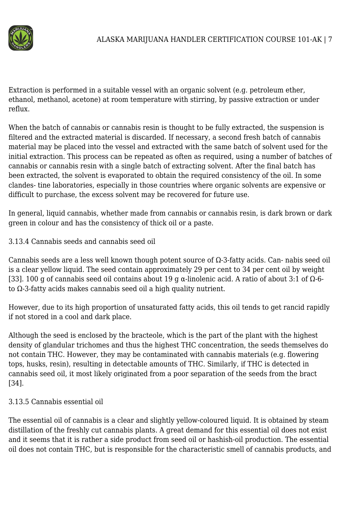

Extraction is performed in a suitable vessel with an organic solvent (e.g. petroleum ether, ethanol, methanol, acetone) at room temperature with stirring, by passive extraction or under reflux.

When the batch of cannabis or cannabis resin is thought to be fully extracted, the suspension is filtered and the extracted material is discarded. If necessary, a second fresh batch of cannabis material may be placed into the vessel and extracted with the same batch of solvent used for the initial extraction. This process can be repeated as often as required, using a number of batches of cannabis or cannabis resin with a single batch of extracting solvent. After the final batch has been extracted, the solvent is evaporated to obtain the required consistency of the oil. In some clandes- tine laboratories, especially in those countries where organic solvents are expensive or difficult to purchase, the excess solvent may be recovered for future use.

In general, liquid cannabis, whether made from cannabis or cannabis resin, is dark brown or dark green in colour and has the consistency of thick oil or a paste.

3.13.4 Cannabis seeds and cannabis seed oil

Cannabis seeds are a less well known though potent source of Ω-3-fatty acids. Can- nabis seed oil is a clear yellow liquid. The seed contain approximately 29 per cent to 34 per cent oil by weight [33]. 100 g of cannabis seed oil contains about 19 g α-linolenic acid. A ratio of about 3:1 of Ω-6 to Ω-3-fatty acids makes cannabis seed oil a high quality nutrient.

However, due to its high proportion of unsaturated fatty acids, this oil tends to get rancid rapidly if not stored in a cool and dark place.

Although the seed is enclosed by the bracteole, which is the part of the plant with the highest density of glandular trichomes and thus the highest THC concentration, the seeds themselves do not contain THC. However, they may be contaminated with cannabis materials (e.g. flowering tops, husks, resin), resulting in detectable amounts of THC. Similarly, if THC is detected in cannabis seed oil, it most likely originated from a poor separation of the seeds from the bract [34].

# 3.13.5 Cannabis essential oil

The essential oil of cannabis is a clear and slightly yellow-coloured liquid. It is obtained by steam distillation of the freshly cut cannabis plants. A great demand for this essential oil does not exist and it seems that it is rather a side product from seed oil or hashish-oil production. The essential oil does not contain THC, but is responsible for the characteristic smell of cannabis products, and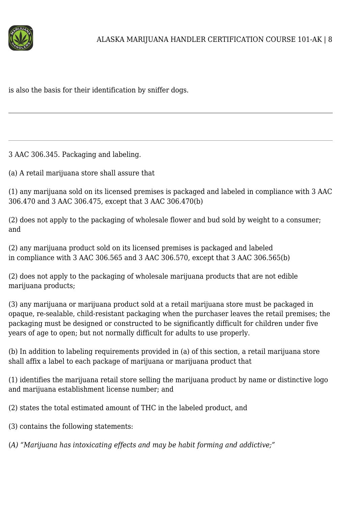

is also the basis for their identification by sniffer dogs.

3 AAC 306.345. Packaging and labeling.

(a) A retail marijuana store shall assure that

(1) any marijuana sold on its licensed premises is packaged and labeled in compliance with 3 AAC 306.470 and 3 AAC 306.475, except that 3 AAC 306.470(b)

(2) does not apply to the packaging of wholesale flower and bud sold by weight to a consumer; and

(2) any marijuana product sold on its licensed premises is packaged and labeled in compliance with 3 AAC 306.565 and 3 AAC 306.570, except that 3 AAC 306.565(b)

(2) does not apply to the packaging of wholesale marijuana products that are not edible marijuana products;

(3) any marijuana or marijuana product sold at a retail marijuana store must be packaged in opaque, re-sealable, child-resistant packaging when the purchaser leaves the retail premises; the packaging must be designed or constructed to be significantly difficult for children under five years of age to open; but not normally difficult for adults to use properly.

(b) In addition to labeling requirements provided in (a) of this section, a retail marijuana store shall affix a label to each package of marijuana or marijuana product that

(1) identifies the marijuana retail store selling the marijuana product by name or distinctive logo and marijuana establishment license number; and

(2) states the total estimated amount of THC in the labeled product, and

(3) contains the following statements:

(*A) "Marijuana has intoxicating effects and may be habit forming and addictive;"*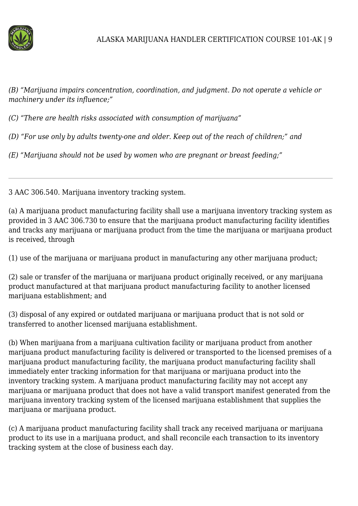

*(B) "Marijuana impairs concentration, coordination, and judgment. Do not operate a vehicle or machinery under its influence;"*

*(C) "There are health risks associated with consumption of marijuana"*

*(D) "For use only by adults twenty-one and older. Keep out of the reach of children;" and*

*(E) "Marijuana should not be used by women who are pregnant or breast feeding;"*

3 AAC 306.540. Marijuana inventory tracking system.

(a) A marijuana product manufacturing facility shall use a marijuana inventory tracking system as provided in 3 AAC 306.730 to ensure that the marijuana product manufacturing facility identifies and tracks any marijuana or marijuana product from the time the marijuana or marijuana product is received, through

(1) use of the marijuana or marijuana product in manufacturing any other marijuana product;

(2) sale or transfer of the marijuana or marijuana product originally received, or any marijuana product manufactured at that marijuana product manufacturing facility to another licensed marijuana establishment; and

(3) disposal of any expired or outdated marijuana or marijuana product that is not sold or transferred to another licensed marijuana establishment.

(b) When marijuana from a marijuana cultivation facility or marijuana product from another marijuana product manufacturing facility is delivered or transported to the licensed premises of a marijuana product manufacturing facility, the marijuana product manufacturing facility shall immediately enter tracking information for that marijuana or marijuana product into the inventory tracking system. A marijuana product manufacturing facility may not accept any marijuana or marijuana product that does not have a valid transport manifest generated from the marijuana inventory tracking system of the licensed marijuana establishment that supplies the marijuana or marijuana product.

(c) A marijuana product manufacturing facility shall track any received marijuana or marijuana product to its use in a marijuana product, and shall reconcile each transaction to its inventory tracking system at the close of business each day.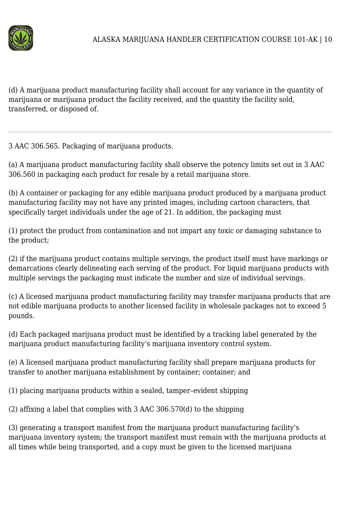

(d) A marijuana product manufacturing facility shall account for any variance in the quantity of marijuana or marijuana product the facility received, and the quantity the facility sold, transferred, or disposed of.

3 AAC 306.565. Packaging of marijuana products.

(a) A marijuana product manufacturing facility shall observe the potency limits set out in 3 AAC 306.560 in packaging each product for resale by a retail marijuana store.

(b) A container or packaging for any edible marijuana product produced by a marijuana product manufacturing facility may not have any printed images, including cartoon characters, that specifically target individuals under the age of 21. In addition, the packaging must

(1) protect the product from contamination and not impart any toxic or damaging substance to the product;

(2) if the marijuana product contains multiple servings, the product itself must have markings or demarcations clearly delineating each serving of the product. For liquid marijuana products with multiple servings the packaging must indicate the number and size of individual servings.

(c) A licensed marijuana product manufacturing facility may transfer marijuana products that are not edible marijuana products to another licensed facility in wholesale packages not to exceed 5 pounds.

(d) Each packaged marijuana product must be identified by a tracking label generated by the marijuana product manufacturing facility's marijuana inventory control system.

(e) A licensed marijuana product manufacturing facility shall prepare marijuana products for transfer to another marijuana establishment by container; container; and

(1) placing marijuana products within a sealed, tamper–evident shipping

(2) affixing a label that complies with 3 AAC 306.570(d) to the shipping

(3) generating a transport manifest from the marijuana product manufacturing facility's marijuana inventory system; the transport manifest must remain with the marijuana products at all times while being transported, and a copy must be given to the licensed marijuana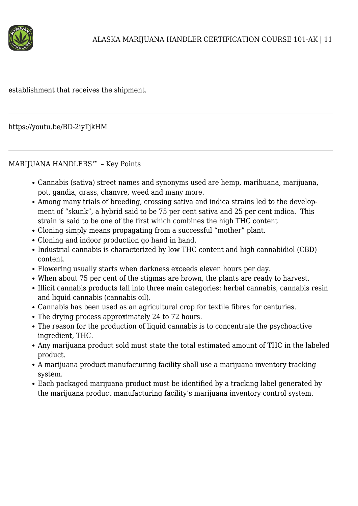

establishment that receives the shipment.

https://youtu.be/BD-2iyTjkHM

#### MARIJUANA HANDLERS™ – Key Points

- Cannabis (sativa) street names and synonyms used are hemp, marihuana, marijuana, pot, gandia, grass, chanvre, weed and many more.
- Among many trials of breeding, crossing sativa and indica strains led to the development of "skunk", a hybrid said to be 75 per cent sativa and 25 per cent indica. This strain is said to be one of the first which combines the high THC content
- Cloning simply means propagating from a successful "mother" plant.
- Cloning and indoor production go hand in hand.
- Industrial cannabis is characterized by low THC content and high cannabidiol (CBD) content.
- Flowering usually starts when darkness exceeds eleven hours per day.
- When about 75 per cent of the stigmas are brown, the plants are ready to harvest.
- Illicit cannabis products fall into three main categories: herbal cannabis, cannabis resin and liquid cannabis (cannabis oil).
- Cannabis has been used as an agricultural crop for textile fibres for centuries.
- The drying process approximately 24 to 72 hours.
- The reason for the production of liquid cannabis is to concentrate the psychoactive ingredient, THC.
- Any marijuana product sold must state the total estimated amount of THC in the labeled product.
- A marijuana product manufacturing facility shall use a marijuana inventory tracking system.
- Each packaged marijuana product must be identified by a tracking label generated by the marijuana product manufacturing facility's marijuana inventory control system.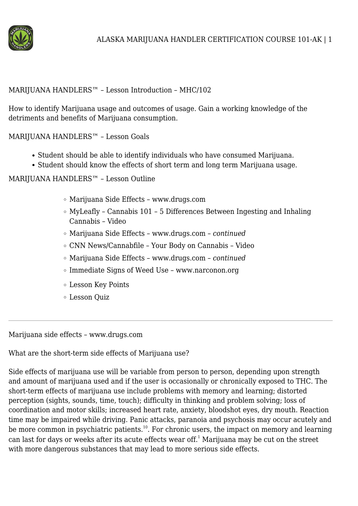

#### MARIJUANA HANDLERS™ – Lesson Introduction – MHC/102

How to identify Marijuana usage and outcomes of usage. Gain a working knowledge of the detriments and benefits of Marijuana consumption.

MARIJUANA HANDLERS™ – Lesson Goals

- Student should be able to identify individuals who have consumed Marijuana.
- Student should know the effects of short term and long term Marijuana usage.

MARIJUANA HANDLERS™ – Lesson Outline

- Marijuana Side Effects www.drugs.com
- $\circ$  MyLeafly Cannabis 101 5 Differences Between Ingesting and Inhaling Cannabis – Video
- Marijuana Side Effects www.drugs.com *continued*
- CNN News/Cannabfile Your Body on Cannabis Video
- Marijuana Side Effects www.drugs.com *continued*
- Immediate Signs of Weed Use www.narconon.org
- Lesson Key Points
- Lesson Quiz

Marijuana side effects – www.drugs.com

What are the short-term side effects of Marijuana use?

Side effects of marijuana use will be variable from person to person, depending upon strength and amount of marijuana used and if the user is occasionally or chronically exposed to THC. The short-term effects of marijuana use include problems with memory and learning; distorted perception (sights, sounds, time, touch); difficulty in thinking and problem solving; loss of coordination and motor skills; increased heart rate, anxiety, bloodshot eyes, dry mouth. Reaction time may be impaired while driving. Panic attacks, paranoia and psychosis may occur acutely and be more common in psychiatric patients.<sup>10</sup>. For chronic users, the impact on memory and learning can last for days or weeks after its acute effects wear off.<sup>1</sup> Marijuana may be cut on the street with more dangerous substances that may lead to more serious side effects.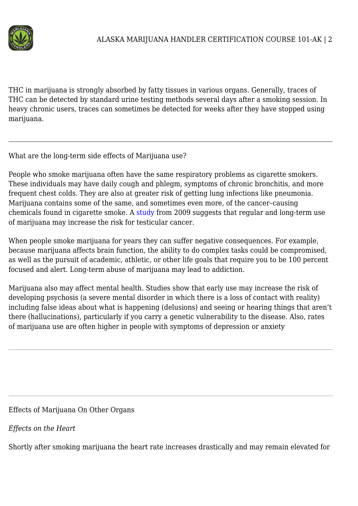

THC in marijuana is strongly absorbed by fatty tissues in various organs. Generally, traces of THC can be detected by standard urine testing methods several days after a smoking session. In heavy chronic users, traces can sometimes be detected for weeks after they have stopped using marijuana.

What are the long-term side effects of Marijuana use?

People who smoke marijuana often have the same respiratory problems as cigarette smokers. These individuals may have daily cough and phlegm, symptoms of chronic bronchitis, and more frequent chest colds. They are also at greater risk of getting lung infections like pneumonia. Marijuana contains some of the same, and sometimes even more, of the cancer–causing chemicals found in cigarette smoke. A [study](http://www.drugs.com/news/marijuana-linked-aggressive-testicular-cancer-16054.html) from 2009 suggests that regular and long-term use of marijuana may increase the risk for testicular cancer.

When people smoke marijuana for years they can suffer negative consequences. For example, because marijuana affects brain function, the ability to do complex tasks could be compromised, as well as the pursuit of academic, athletic, or other life goals that require you to be 100 percent focused and alert. Long-term abuse of marijuana may lead to addiction.

Marijuana also may affect mental health. Studies show that early use may increase the risk of developing psychosis (a severe mental disorder in which there is a loss of contact with reality) including false ideas about what is happening (delusions) and seeing or hearing things that aren't there (hallucinations), particularly if you carry a genetic vulnerability to the disease. Also, rates of marijuana use are often higher in people with symptoms of depression or anxiety.

Effects of Marijuana On Other Organs

*Effects on the Heart*

Shortly after smoking marijuana the heart rate increases drastically and may remain elevated for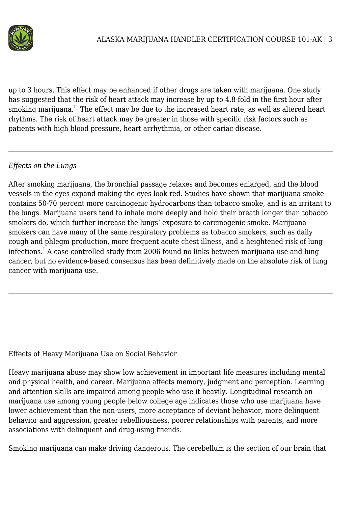

up to 3 hours. This effect may be enhanced if other drugs are taken with marijuana. One study has suggested that the risk of heart attack may increase by up to 4.8-fold in the first hour after smoking marijuana.<sup>11</sup> The effect may be due to the increased heart rate, as well as altered heart rhythms. The risk of heart attack may be greater in those with specific risk factors such as patients with high blood pressure, heart arrhythmia, or other cariac disease.

#### *Effects on the Lungs*

After smoking marijuana, the bronchial passage relaxes and becomes enlarged, and the blood vessels in the eyes expand making the eyes look red. Studies have shown that marijuana smoke contains 50-70 percent more carcinogenic hydrocarbons than tobacco smoke, and is an irritant to the lungs. Marijuana users tend to inhale more deeply and hold their breath longer than tobacco smokers do, which further increase the lungs' exposure to carcinogenic smoke. Marijuana smokers can have many of the same respiratory problems as tobacco smokers, such as daily cough and phlegm production, more frequent acute chest illness, and a heightened risk of lung infections.<sup>1</sup> A case-controlled study from 2006 found no links between marijuana use and lung cancer, but no evidence-based consensus has been definitively made on the absolute risk of lung cancer with marijuana use.

#### Effects of Heavy Marijuana Use on Social Behavior

Heavy marijuana abuse may show low achievement in important life measures including mental and physical health, and career. Marijuana affects memory, judgment and perception. Learning and attention skills are impaired among people who use it heavily. Longitudinal research on marijuana use among young people below college age indicates those who use marijuana have lower achievement than the non-users, more acceptance of deviant behavior, more delinquent behavior and aggression, greater rebelliousness, poorer relationships with parents, and more associations with delinquent and drug-using friends.

Smoking marijuana can make driving dangerous. The cerebellum is the section of our brain that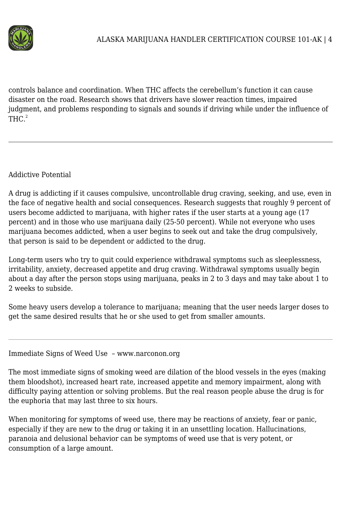

controls balance and coordination. When THC affects the cerebellum's function it can cause disaster on the road. Research shows that drivers have slower reaction times, impaired judgment, and problems responding to signals and sounds if driving while under the influence of  $THC.<sup>2</sup>$ 

Addictive Potential

A drug is addicting if it causes compulsive, uncontrollable drug craving, seeking, and use, even in the face of negative health and social consequences. Research suggests that roughly 9 percent of users become addicted to marijuana, with higher rates if the user starts at a young age (17 percent) and in those who use marijuana daily (25-50 percent). While not everyone who uses marijuana becomes addicted, when a user begins to seek out and take the drug compulsively, that person is said to be dependent or addicted to the drug.

Long-term users who try to quit could experience withdrawal symptoms such as sleeplessness, irritability, anxiety, decreased appetite and drug craving. Withdrawal symptoms usually begin about a day after the person stops using marijuana, peaks in 2 to 3 days and may take about 1 to 2 weeks to subside.

Some heavy users develop a tolerance to marijuana; meaning that the user needs larger doses to get the same desired results that he or she used to get from smaller amounts.

#### Immediate Signs of Weed Use – www.narconon.org

The most immediate signs of smoking weed are dilation of the blood vessels in the eyes (making them bloodshot), increased heart rate, increased appetite and memory impairment, along with difficulty paying attention or solving problems. But the real reason people abuse the drug is for the euphoria that may last three to six hours.

When monitoring for symptoms of weed use, there may be reactions of anxiety, fear or panic, especially if they are new to the drug or taking it in an unsettling location. Hallucinations, paranoia and delusional behavior can be symptoms of weed use that is very potent, or consumption of a large amount.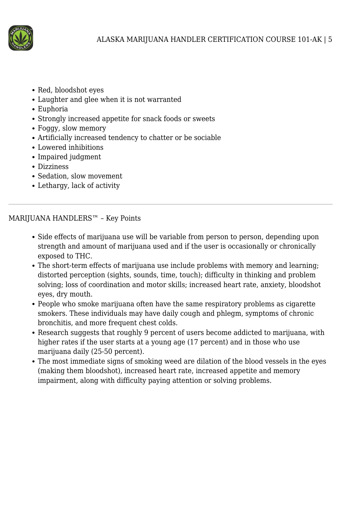

- Red, bloodshot eyes
- Laughter and glee when it is not warranted
- Euphoria
- Strongly increased appetite for snack foods or sweets
- Foggy, slow memory
- Artificially increased tendency to chatter or be sociable
- Lowered inhibitions
- Impaired judgment
- Dizziness
- Sedation, slow movement
- Lethargy, lack of activity

MARIJUANA HANDLERS™ – Key Points

- Side effects of marijuana use will be variable from person to person, depending upon strength and amount of marijuana used and if the user is occasionally or chronically exposed to THC.
- The short-term effects of marijuana use include problems with memory and learning; distorted perception (sights, sounds, time, touch); difficulty in thinking and problem solving; loss of coordination and motor skills; increased heart rate, anxiety, bloodshot eyes, dry mouth.
- People who smoke marijuana often have the same respiratory problems as cigarette smokers. These individuals may have daily cough and phlegm, symptoms of chronic bronchitis, and more frequent chest colds.
- Research suggests that roughly 9 percent of users become addicted to marijuana, with higher rates if the user starts at a young age (17 percent) and in those who use marijuana daily (25-50 percent).
- The most immediate signs of smoking weed are dilation of the blood vessels in the eyes (making them bloodshot), increased heart rate, increased appetite and memory impairment, along with difficulty paying attention or solving problems.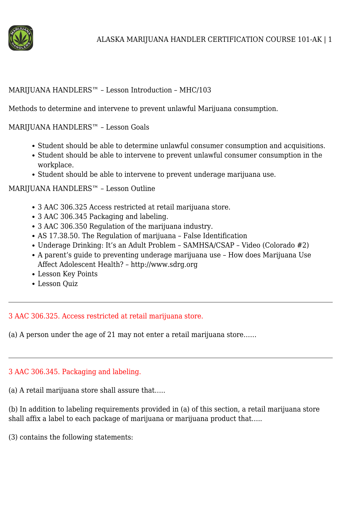

#### MARIJUANA HANDLERS™ – Lesson Introduction – MHC/103

Methods to determine and intervene to prevent unlawful Marijuana consumption.

#### MARIJUANA HANDLERS™ – Lesson Goals

- Student should be able to determine unlawful consumer consumption and acquisitions.
- Student should be able to intervene to prevent unlawful consumer consumption in the workplace.
- Student should be able to intervene to prevent underage marijuana use.

#### MARIJUANA HANDLERS™ – Lesson Outline

- 3 AAC 306.325 Access restricted at retail marijuana store.
- 3 AAC 306.345 Packaging and labeling.
- 3 AAC 306.350 Regulation of the marijuana industry.
- AS 17.38.50. The Regulation of marijuana False Identification
- Underage Drinking: It's an Adult Problem SAMHSA/CSAP Video (Colorado #2)
- A parent's guide to preventing underage marijuana use How does Marijuana Use Affect Adolescent Health? – http://www.sdrg.org
- Lesson Key Points
- Lesson Quiz

#### 3 AAC 306.325. Access restricted at retail marijuana store.

(a) A person under the age of 21 may not enter a retail marijuana store……

#### 3 AAC 306.345. Packaging and labeling.

(a) A retail marijuana store shall assure that…..

(b) In addition to labeling requirements provided in (a) of this section, a retail marijuana store shall affix a label to each package of marijuana or marijuana product that…..

(3) contains the following statements: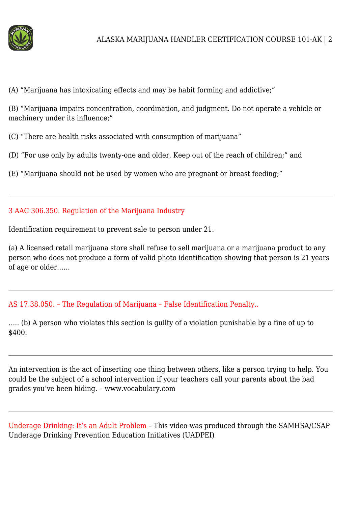

(A) "Marijuana has intoxicating effects and may be habit forming and addictive;"

(B) "Marijuana impairs concentration, coordination, and judgment. Do not operate a vehicle or machinery under its influence;"

(C) "There are health risks associated with consumption of marijuana"

(D) "For use only by adults twenty-one and older. Keep out of the reach of children;" and

(E) "Marijuana should not be used by women who are pregnant or breast feeding;"

#### 3 AAC 306.350. Regulation of the Marijuana Industry

Identification requirement to prevent sale to person under 21.

(a) A licensed retail marijuana store shall refuse to sell marijuana or a marijuana product to any person who does not produce a form of valid photo identification showing that person is 21 years of age or older……

# AS 17.38.050. – The Regulation of Marijuana – False Identification Penalty..

….. (b) A person who violates this section is guilty of a violation punishable by a fine of up to \$400.

An intervention is the act of inserting one thing between others, like a person trying to help. You could be the subject of a school intervention if your teachers call your parents about the bad grades you've been hiding. – www.vocabulary.com

Underage Drinking: It's an Adult Problem – This video was produced through the SAMHSA/CSAP Underage Drinking Prevention Education Initiatives (UADPEI)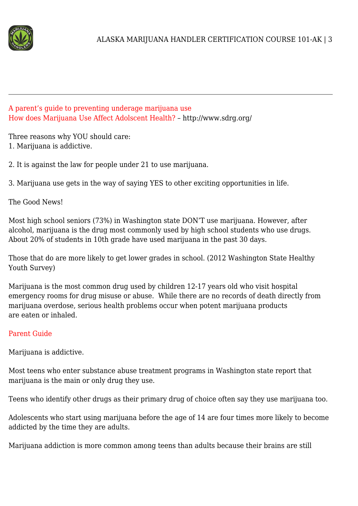

#### A parent's guide to preventing underage marijuana use How does Marijuana Use Affect Adolscent Health? – http://www.sdrg.org/

Three reasons why YOU should care: 1. Marijuana is addictive.

2. It is against the law for people under 21 to use marijuana.

3. Marijuana use gets in the way of saying YES to other exciting opportunities in life.

The Good News!

Most high school seniors (73%) in Washington state DON'T use marijuana. However, after alcohol, marijuana is the drug most commonly used by high school students who use drugs. About 20% of students in 10th grade have used marijuana in the past 30 days.

Those that do are more likely to get lower grades in school. (2012 Washington State Healthy Youth Survey)

Marijuana is the most common drug used by children 12-17 years old who visit hospital emergency rooms for drug misuse or abuse. While there are no records of death directly from marijuana overdose, serious health problems occur when potent marijuana products are eaten or inhaled.

# Parent Guide

Marijuana is addictive.

Most teens who enter substance abuse treatment programs in Washington state report that marijuana is the main or only drug they use.

Teens who identify other drugs as their primary drug of choice often say they use marijuana too.

Adolescents who start using marijuana before the age of 14 are four times more likely to become addicted by the time they are adults.

Marijuana addiction is more common among teens than adults because their brains are still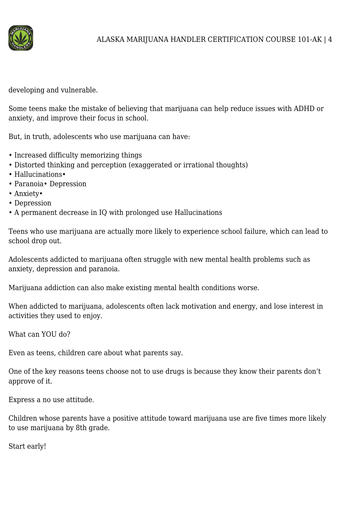

developing and vulnerable.

Some teens make the mistake of believing that marijuana can help reduce issues with ADHD or anxiety, and improve their focus in school.

But, in truth, adolescents who use marijuana can have:

- Increased difficulty memorizing things
- Distorted thinking and perception (exaggerated or irrational thoughts)
- Hallucinations•
- Paranoia• Depression
- Anxiety•
- Depression
- A permanent decrease in IQ with prolonged use Hallucinations

Teens who use marijuana are actually more likely to experience school failure, which can lead to school drop out.

Adolescents addicted to marijuana often struggle with new mental health problems such as anxiety, depression and paranoia.

Marijuana addiction can also make existing mental health conditions worse.

When addicted to marijuana, adolescents often lack motivation and energy, and lose interest in activities they used to enjoy.

What can YOU do?

Even as teens, children care about what parents say.

One of the key reasons teens choose not to use drugs is because they know their parents don't approve of it.

Express a no use attitude.

Children whose parents have a positive attitude toward marijuana use are five times more likely to use marijuana by 8th grade.

Start early!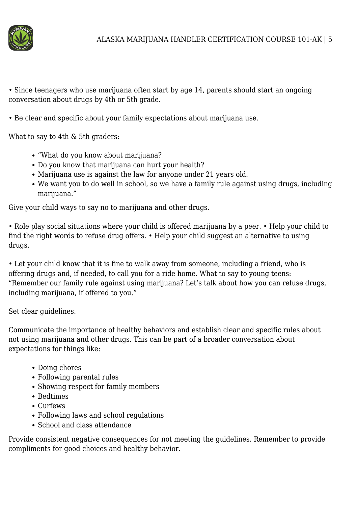

• Since teenagers who use marijuana often start by age 14, parents should start an ongoing conversation about drugs by 4th or 5th grade.

• Be clear and specific about your family expectations about marijuana use.

What to say to 4th & 5th graders:

- "What do you know about marijuana?
- Do you know that marijuana can hurt your health?
- Marijuana use is against the law for anyone under 21 years old.
- We want you to do well in school, so we have a family rule against using drugs, including marijuana."

Give your child ways to say no to marijuana and other drugs.

• Role play social situations where your child is offered marijuana by a peer. • Help your child to find the right words to refuse drug offers. • Help your child suggest an alternative to using drugs.

• Let your child know that it is fine to walk away from someone, including a friend, who is offering drugs and, if needed, to call you for a ride home. What to say to young teens: "Remember our family rule against using marijuana? Let's talk about how you can refuse drugs, including marijuana, if offered to you."

Set clear guidelines.

Communicate the importance of healthy behaviors and establish clear and specific rules about not using marijuana and other drugs. This can be part of a broader conversation about expectations for things like:

- Doing chores
- Following parental rules
- Showing respect for family members
- Bedtimes
- Curfews
- Following laws and school regulations
- School and class attendance

Provide consistent negative consequences for not meeting the guidelines. Remember to provide compliments for good choices and healthy behavior.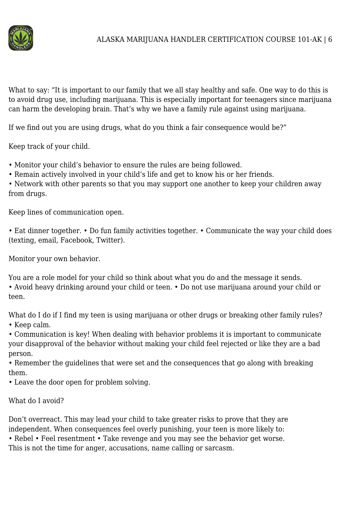

What to say: "It is important to our family that we all stay healthy and safe. One way to do this is to avoid drug use, including marijuana. This is especially important for teenagers since marijuana can harm the developing brain. That's why we have a family rule against using marijuana.

If we find out you are using drugs, what do you think a fair consequence would be?"

Keep track of your child.

- Monitor your child's behavior to ensure the rules are being followed.
- Remain actively involved in your child's life and get to know his or her friends.

• Network with other parents so that you may support one another to keep your children away from drugs.

Keep lines of communication open.

• Eat dinner together. • Do fun family activities together. • Communicate the way your child does (texting, email, Facebook, Twitter).

Monitor your own behavior.

You are a role model for your child so think about what you do and the message it sends.

• Avoid heavy drinking around your child or teen. • Do not use marijuana around your child or teen.

What do I do if I find my teen is using marijuana or other drugs or breaking other family rules? • Keep calm.

• Communication is key! When dealing with behavior problems it is important to communicate your disapproval of the behavior without making your child feel rejected or like they are a bad person.

• Remember the guidelines that were set and the consequences that go along with breaking them.

• Leave the door open for problem solving.

# What do I avoid?

Don't overreact. This may lead your child to take greater risks to prove that they are independent. When consequences feel overly punishing, your teen is more likely to:

• Rebel • Feel resentment • Take revenge and you may see the behavior get worse. This is not the time for anger, accusations, name calling or sarcasm.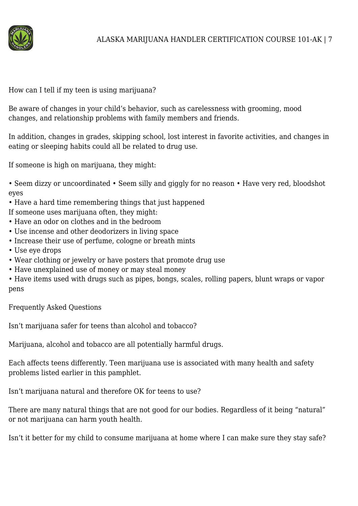

How can I tell if my teen is using marijuana?

Be aware of changes in your child's behavior, such as carelessness with grooming, mood changes, and relationship problems with family members and friends.

In addition, changes in grades, skipping school, lost interest in favorite activities, and changes in eating or sleeping habits could all be related to drug use.

If someone is high on marijuana, they might:

• Seem dizzy or uncoordinated • Seem silly and giggly for no reason • Have very red, bloodshot eyes

• Have a hard time remembering things that just happened

If someone uses marijuana often, they might:

- Have an odor on clothes and in the bedroom
- Use incense and other deodorizers in living space
- Increase their use of perfume, cologne or breath mints
- Use eye drops
- Wear clothing or jewelry or have posters that promote drug use
- Have unexplained use of money or may steal money

• Have items used with drugs such as pipes, bongs, scales, rolling papers, blunt wraps or vapor pens

Frequently Asked Questions

Isn't marijuana safer for teens than alcohol and tobacco?

Marijuana, alcohol and tobacco are all potentially harmful drugs.

Each affects teens differently. Teen marijuana use is associated with many health and safety problems listed earlier in this pamphlet.

Isn't marijuana natural and therefore OK for teens to use?

There are many natural things that are not good for our bodies. Regardless of it being "natural" or not marijuana can harm youth health.

Isn't it better for my child to consume marijuana at home where I can make sure they stay safe?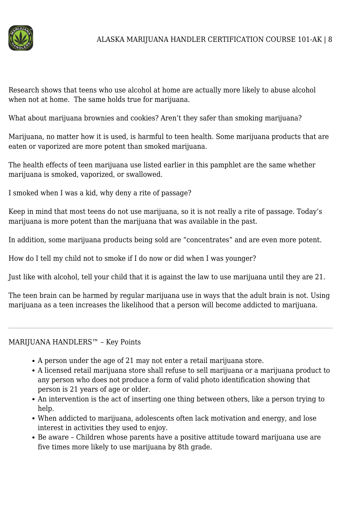

Research shows that teens who use alcohol at home are actually more likely to abuse alcohol when not at home. The same holds true for marijuana.

What about marijuana brownies and cookies? Aren't they safer than smoking marijuana?

Marijuana, no matter how it is used, is harmful to teen health. Some marijuana products that are eaten or vaporized are more potent than smoked marijuana.

The health effects of teen marijuana use listed earlier in this pamphlet are the same whether marijuana is smoked, vaporized, or swallowed.

I smoked when I was a kid, why deny a rite of passage?

Keep in mind that most teens do not use marijuana, so it is not really a rite of passage. Today's marijuana is more potent than the marijuana that was available in the past.

In addition, some marijuana products being sold are "concentrates" and are even more potent.

How do I tell my child not to smoke if I do now or did when I was younger?

Just like with alcohol, tell your child that it is against the law to use marijuana until they are 21.

The teen brain can be harmed by regular marijuana use in ways that the adult brain is not. Using marijuana as a teen increases the likelihood that a person will become addicted to marijuana.

## MARIJUANA HANDLERS™ – Key Points

- A person under the age of 21 may not enter a retail marijuana store.
- A licensed retail marijuana store shall refuse to sell marijuana or a marijuana product to any person who does not produce a form of valid photo identification showing that person is 21 years of age or older.
- An intervention is the act of inserting one thing between others, like a person trying to help.
- When addicted to marijuana, adolescents often lack motivation and energy, and lose interest in activities they used to enjoy.
- Be aware Children whose parents have a positive attitude toward marijuana use are five times more likely to use marijuana by 8th grade.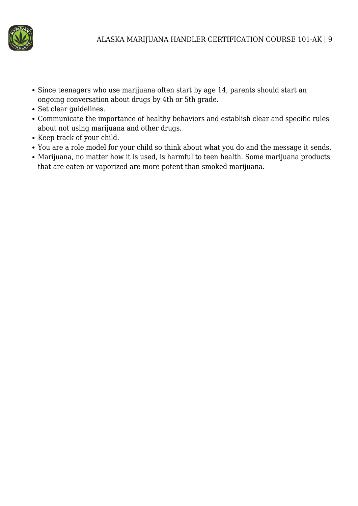

- Since teenagers who use marijuana often start by age 14, parents should start an ongoing conversation about drugs by 4th or 5th grade.
- Set clear guidelines.
- Communicate the importance of healthy behaviors and establish clear and specific rules about not using marijuana and other drugs.
- Keep track of your child.
- You are a role model for your child so think about what you do and the message it sends.
- Marijuana, no matter how it is used, is harmful to teen health. Some marijuana products that are eaten or vaporized are more potent than smoked marijuana.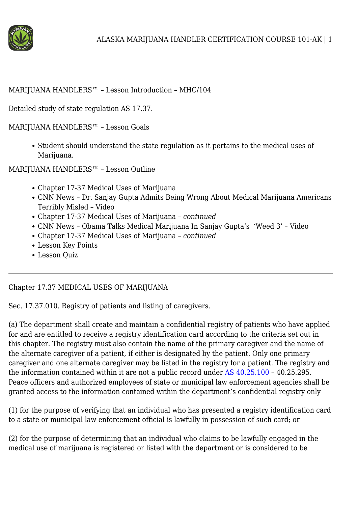

#### MARIJUANA HANDLERS™ – Lesson Introduction – MHC/104

Detailed study of state regulation AS 17.37.

MARIJUANA HANDLERS™ – Lesson Goals

Student should understand the state regulation as it pertains to the medical uses of Marijuana.

MARIJUANA HANDLERS™ – Lesson Outline

- Chapter 17-37 Medical Uses of Marijuana
- CNN News Dr. Sanjay Gupta Admits Being Wrong About Medical Marijuana Americans Terribly Misled – Video
- Chapter 17-37 Medical Uses of Marijuana *continued*
- CNN News Obama Talks Medical Marijuana In Sanjay Gupta's 'Weed 3' Video
- Chapter 17-37 Medical Uses of Marijuana *continued*
- Lesson Key Points
- Lesson Quiz

# Chapter 17.37 MEDICAL USES OF MARIJUANA

Sec. 17.37.010. Registry of patients and listing of caregivers.

(a) The department shall create and maintain a confidential registry of patients who have applied for and are entitled to receive a registry identification card according to the criteria set out in this chapter. The registry must also contain the name of the primary caregiver and the name of the alternate caregiver of a patient, if either is designated by the patient. Only one primary caregiver and one alternate caregiver may be listed in the registry for a patient. The registry and the information contained within it are not a public record under [AS 40.25.100](http://www.legis.state.ak.us/basis/statutes.asp#40.25.100) – 40.25.295. Peace officers and authorized employees of state or municipal law enforcement agencies shall be granted access to the information contained within the department's confidential registry only

(1) for the purpose of verifying that an individual who has presented a registry identification card to a state or municipal law enforcement official is lawfully in possession of such card; or

(2) for the purpose of determining that an individual who claims to be lawfully engaged in the medical use of marijuana is registered or listed with the department or is considered to be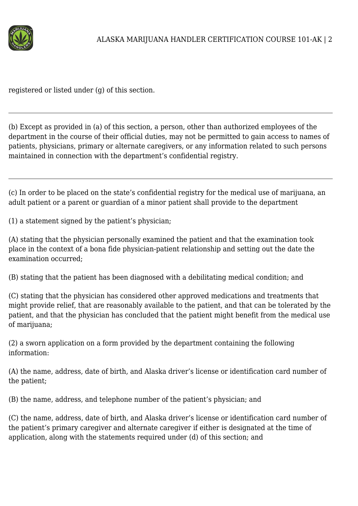

registered or listed under (g) of this section.

(b) Except as provided in (a) of this section, a person, other than authorized employees of the department in the course of their official duties, may not be permitted to gain access to names of patients, physicians, primary or alternate caregivers, or any information related to such persons maintained in connection with the department's confidential registry.

(c) In order to be placed on the state's confidential registry for the medical use of marijuana, an adult patient or a parent or guardian of a minor patient shall provide to the department

(1) a statement signed by the patient's physician;

(A) stating that the physician personally examined the patient and that the examination took place in the context of a bona fide physician-patient relationship and setting out the date the examination occurred;

(B) stating that the patient has been diagnosed with a debilitating medical condition; and

(C) stating that the physician has considered other approved medications and treatments that might provide relief, that are reasonably available to the patient, and that can be tolerated by the patient, and that the physician has concluded that the patient might benefit from the medical use of marijuana;

(2) a sworn application on a form provided by the department containing the following information:

(A) the name, address, date of birth, and Alaska driver's license or identification card number of the patient;

(B) the name, address, and telephone number of the patient's physician; and

(C) the name, address, date of birth, and Alaska driver's license or identification card number of the patient's primary caregiver and alternate caregiver if either is designated at the time of application, along with the statements required under (d) of this section; and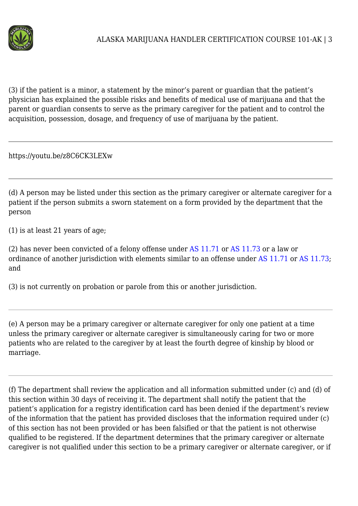

(3) if the patient is a minor, a statement by the minor's parent or guardian that the patient's physician has explained the possible risks and benefits of medical use of marijuana and that the parent or guardian consents to serve as the primary caregiver for the patient and to control the acquisition, possession, dosage, and frequency of use of marijuana by the patient.

https://youtu.be/z8C6CK3LEXw

(d) A person may be listed under this section as the primary caregiver or alternate caregiver for a patient if the person submits a sworn statement on a form provided by the department that the person

(1) is at least 21 years of age;

(2) has never been convicted of a felony offense under [AS 11.71](http://www.legis.state.ak.us/basis/statutes.asp#11.71) or [AS 11.73](http://www.legis.state.ak.us/basis/statutes.asp#11.73) or a law or ordinance of another jurisdiction with elements similar to an offense under [AS 11.71](http://www.legis.state.ak.us/basis/statutes.asp#11.71) or [AS 11.73](http://www.legis.state.ak.us/basis/statutes.asp#11.73); and

(3) is not currently on probation or parole from this or another jurisdiction.

(e) A person may be a primary caregiver or alternate caregiver for only one patient at a time unless the primary caregiver or alternate caregiver is simultaneously caring for two or more patients who are related to the caregiver by at least the fourth degree of kinship by blood or marriage.

(f) The department shall review the application and all information submitted under (c) and (d) of this section within 30 days of receiving it. The department shall notify the patient that the patient's application for a registry identification card has been denied if the department's review of the information that the patient has provided discloses that the information required under (c) of this section has not been provided or has been falsified or that the patient is not otherwise qualified to be registered. If the department determines that the primary caregiver or alternate caregiver is not qualified under this section to be a primary caregiver or alternate caregiver, or if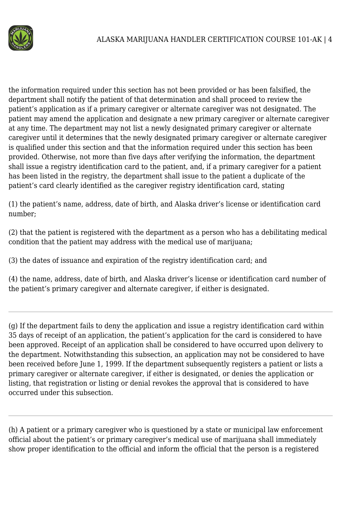

the information required under this section has not been provided or has been falsified, the department shall notify the patient of that determination and shall proceed to review the patient's application as if a primary caregiver or alternate caregiver was not designated. The patient may amend the application and designate a new primary caregiver or alternate caregiver at any time. The department may not list a newly designated primary caregiver or alternate caregiver until it determines that the newly designated primary caregiver or alternate caregiver is qualified under this section and that the information required under this section has been provided. Otherwise, not more than five days after verifying the information, the department shall issue a registry identification card to the patient, and, if a primary caregiver for a patient has been listed in the registry, the department shall issue to the patient a duplicate of the patient's card clearly identified as the caregiver registry identification card, stating

(1) the patient's name, address, date of birth, and Alaska driver's license or identification card number;

(2) that the patient is registered with the department as a person who has a debilitating medical condition that the patient may address with the medical use of marijuana;

(3) the dates of issuance and expiration of the registry identification card; and

(4) the name, address, date of birth, and Alaska driver's license or identification card number of the patient's primary caregiver and alternate caregiver, if either is designated.

(g) If the department fails to deny the application and issue a registry identification card within 35 days of receipt of an application, the patient's application for the card is considered to have been approved. Receipt of an application shall be considered to have occurred upon delivery to the department. Notwithstanding this subsection, an application may not be considered to have been received before June 1, 1999. If the department subsequently registers a patient or lists a primary caregiver or alternate caregiver, if either is designated, or denies the application or listing, that registration or listing or denial revokes the approval that is considered to have occurred under this subsection.

(h) A patient or a primary caregiver who is questioned by a state or municipal law enforcement official about the patient's or primary caregiver's medical use of marijuana shall immediately show proper identification to the official and inform the official that the person is a registered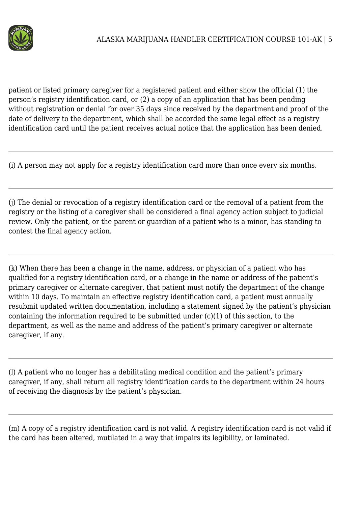

patient or listed primary caregiver for a registered patient and either show the official (1) the person's registry identification card, or (2) a copy of an application that has been pending without registration or denial for over 35 days since received by the department and proof of the date of delivery to the department, which shall be accorded the same legal effect as a registry identification card until the patient receives actual notice that the application has been denied.

(i) A person may not apply for a registry identification card more than once every six months.

(j) The denial or revocation of a registry identification card or the removal of a patient from the registry or the listing of a caregiver shall be considered a final agency action subject to judicial review. Only the patient, or the parent or guardian of a patient who is a minor, has standing to contest the final agency action.

(k) When there has been a change in the name, address, or physician of a patient who has qualified for a registry identification card, or a change in the name or address of the patient's primary caregiver or alternate caregiver, that patient must notify the department of the change within 10 days. To maintain an effective registry identification card, a patient must annually resubmit updated written documentation, including a statement signed by the patient's physician containing the information required to be submitted under (c)(1) of this section, to the department, as well as the name and address of the patient's primary caregiver or alternate caregiver, if any.

(l) A patient who no longer has a debilitating medical condition and the patient's primary caregiver, if any, shall return all registry identification cards to the department within 24 hours of receiving the diagnosis by the patient's physician.

(m) A copy of a registry identification card is not valid. A registry identification card is not valid if the card has been altered, mutilated in a way that impairs its legibility, or laminated.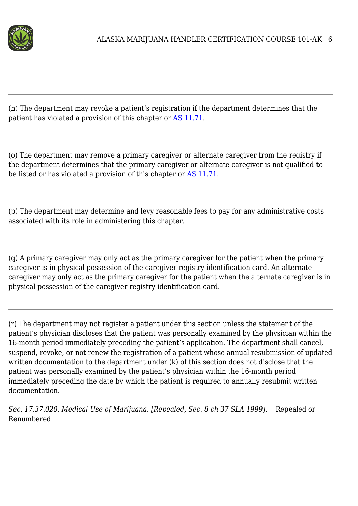

(n) The department may revoke a patient's registration if the department determines that the patient has violated a provision of this chapter or [AS 11.71.](http://www.legis.state.ak.us/basis/statutes.asp#11.71)

(o) The department may remove a primary caregiver or alternate caregiver from the registry if the department determines that the primary caregiver or alternate caregiver is not qualified to be listed or has violated a provision of this chapter or [AS 11.71.](http://www.legis.state.ak.us/basis/statutes.asp#11.71)

(p) The department may determine and levy reasonable fees to pay for any administrative costs associated with its role in administering this chapter.

(q) A primary caregiver may only act as the primary caregiver for the patient when the primary caregiver is in physical possession of the caregiver registry identification card. An alternate caregiver may only act as the primary caregiver for the patient when the alternate caregiver is in physical possession of the caregiver registry identification card.

(r) The department may not register a patient under this section unless the statement of the patient's physician discloses that the patient was personally examined by the physician within the 16-month period immediately preceding the patient's application. The department shall cancel, suspend, revoke, or not renew the registration of a patient whose annual resubmission of updated written documentation to the department under (k) of this section does not disclose that the patient was personally examined by the patient's physician within the 16-month period immediately preceding the date by which the patient is required to annually resubmit written documentation.

*Sec. 17.37.020. Medical Use of Marijuana. [Repealed, Sec. 8 ch 37 SLA 1999].* Repealed or Renumbered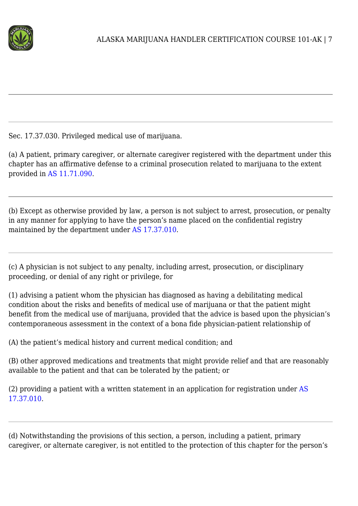

Sec. 17.37.030. Privileged medical use of marijuana.

(a) A patient, primary caregiver, or alternate caregiver registered with the department under this chapter has an affirmative defense to a criminal prosecution related to marijuana to the extent provided in [AS 11.71.090](http://www.legis.state.ak.us/basis/statutes.asp#11.71.090).

(b) Except as otherwise provided by law, a person is not subject to arrest, prosecution, or penalty in any manner for applying to have the person's name placed on the confidential registry maintained by the department under [AS 17.37.010.](http://www.legis.state.ak.us/basis/statutes.asp#17.37.010)

(c) A physician is not subject to any penalty, including arrest, prosecution, or disciplinary proceeding, or denial of any right or privilege, for

(1) advising a patient whom the physician has diagnosed as having a debilitating medical condition about the risks and benefits of medical use of marijuana or that the patient might benefit from the medical use of marijuana, provided that the advice is based upon the physician's contemporaneous assessment in the context of a bona fide physician-patient relationship of

(A) the patient's medical history and current medical condition; and

(B) other approved medications and treatments that might provide relief and that are reasonably available to the patient and that can be tolerated by the patient; or

(2) providing a patient with a written statement in an application for registration under [AS](http://www.legis.state.ak.us/basis/statutes.asp#17.37.010) [17.37.010](http://www.legis.state.ak.us/basis/statutes.asp#17.37.010).

(d) Notwithstanding the provisions of this section, a person, including a patient, primary caregiver, or alternate caregiver, is not entitled to the protection of this chapter for the person's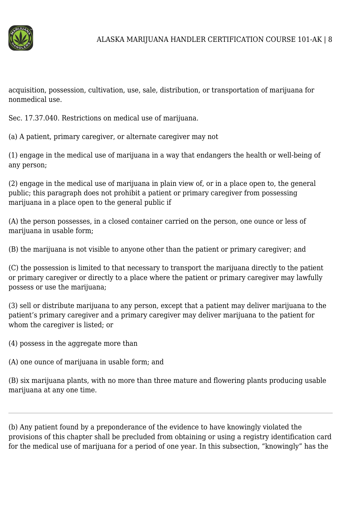

acquisition, possession, cultivation, use, sale, distribution, or transportation of marijuana for nonmedical use.

Sec. 17.37.040. Restrictions on medical use of marijuana.

(a) A patient, primary caregiver, or alternate caregiver may not

(1) engage in the medical use of marijuana in a way that endangers the health or well-being of any person;

(2) engage in the medical use of marijuana in plain view of, or in a place open to, the general public; this paragraph does not prohibit a patient or primary caregiver from possessing marijuana in a place open to the general public if

(A) the person possesses, in a closed container carried on the person, one ounce or less of marijuana in usable form;

(B) the marijuana is not visible to anyone other than the patient or primary caregiver; and

(C) the possession is limited to that necessary to transport the marijuana directly to the patient or primary caregiver or directly to a place where the patient or primary caregiver may lawfully possess or use the marijuana;

(3) sell or distribute marijuana to any person, except that a patient may deliver marijuana to the patient's primary caregiver and a primary caregiver may deliver marijuana to the patient for whom the caregiver is listed; or

(4) possess in the aggregate more than

(A) one ounce of marijuana in usable form; and

(B) six marijuana plants, with no more than three mature and flowering plants producing usable marijuana at any one time.

(b) Any patient found by a preponderance of the evidence to have knowingly violated the provisions of this chapter shall be precluded from obtaining or using a registry identification card for the medical use of marijuana for a period of one year. In this subsection, "knowingly" has the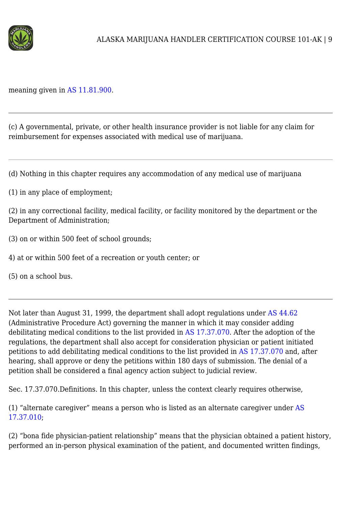

meaning given in [AS 11.81.900.](http://www.legis.state.ak.us/basis/statutes.asp#11.81.900)

(c) A governmental, private, or other health insurance provider is not liable for any claim for reimbursement for expenses associated with medical use of marijuana.

(d) Nothing in this chapter requires any accommodation of any medical use of marijuana

(1) in any place of employment;

(2) in any correctional facility, medical facility, or facility monitored by the department or the Department of Administration;

(3) on or within 500 feet of school grounds;

4) at or within 500 feet of a recreation or youth center; or

(5) on a school bus.

Not later than August 31, 1999, the department shall adopt regulations under [AS 44.62](http://www.legis.state.ak.us/basis/statutes.asp#44.62) (Administrative Procedure Act) governing the manner in which it may consider adding debilitating medical conditions to the list provided in [AS 17.37.070.](http://www.legis.state.ak.us/basis/statutes.asp#17.37.070) After the adoption of the regulations, the department shall also accept for consideration physician or patient initiated petitions to add debilitating medical conditions to the list provided in [AS 17.37.070](http://www.legis.state.ak.us/basis/statutes.asp#17.37.070) and, after hearing, shall approve or deny the petitions within 180 days of submission. The denial of a petition shall be considered a final agency action subject to judicial review.

Sec. 17.37.070.Definitions. In this chapter, unless the context clearly requires otherwise,

(1) "alternate caregiver" means a person who is listed as an alternate caregiver under [AS](http://www.legis.state.ak.us/basis/statutes.asp#17.37.010) [17.37.010](http://www.legis.state.ak.us/basis/statutes.asp#17.37.010);

(2) "bona fide physician-patient relationship" means that the physician obtained a patient history, performed an in-person physical examination of the patient, and documented written findings,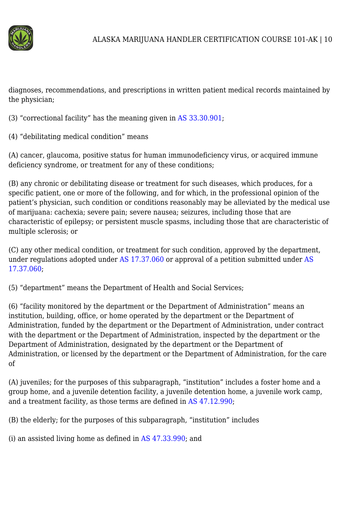

diagnoses, recommendations, and prescriptions in written patient medical records maintained by the physician;

(3) "correctional facility" has the meaning given in [AS 33.30.901](http://www.legis.state.ak.us/basis/statutes.asp#33.30.901);

(4) "debilitating medical condition" means

(A) cancer, glaucoma, positive status for human immunodeficiency virus, or acquired immune deficiency syndrome, or treatment for any of these conditions;

(B) any chronic or debilitating disease or treatment for such diseases, which produces, for a specific patient, one or more of the following, and for which, in the professional opinion of the patient's physician, such condition or conditions reasonably may be alleviated by the medical use of marijuana: cachexia; severe pain; severe nausea; seizures, including those that are characteristic of epilepsy; or persistent muscle spasms, including those that are characteristic of multiple sclerosis; or

(C) any other medical condition, or treatment for such condition, approved by the department, under regulations adopted under [AS 17.37.060](http://www.legis.state.ak.us/basis/statutes.asp#17.37.060) or approval of a petition submitted under [AS](http://www.legis.state.ak.us/basis/statutes.asp#17.37.060) [17.37.060](http://www.legis.state.ak.us/basis/statutes.asp#17.37.060);

(5) "department" means the Department of Health and Social Services;

(6) "facility monitored by the department or the Department of Administration" means an institution, building, office, or home operated by the department or the Department of Administration, funded by the department or the Department of Administration, under contract with the department or the Department of Administration, inspected by the department or the Department of Administration, designated by the department or the Department of Administration, or licensed by the department or the Department of Administration, for the care of

(A) juveniles; for the purposes of this subparagraph, "institution" includes a foster home and a group home, and a juvenile detention facility, a juvenile detention home, a juvenile work camp, and a treatment facility, as those terms are defined in [AS 47.12.990;](http://www.legis.state.ak.us/basis/statutes.asp#47.12.990)

(B) the elderly; for the purposes of this subparagraph, "institution" includes

(i) an assisted living home as defined in [AS 47.33.990](http://www.legis.state.ak.us/basis/statutes.asp#47.33.990); and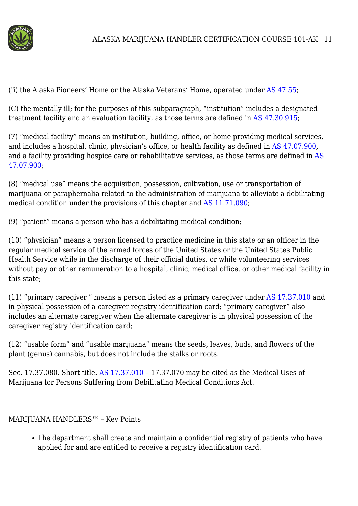

(ii) the Alaska Pioneers' Home or the Alaska Veterans' Home, operated under [AS 47.55](http://www.legis.state.ak.us/basis/statutes.asp#47.55);

(C) the mentally ill; for the purposes of this subparagraph, "institution" includes a designated treatment facility and an evaluation facility, as those terms are defined in [AS 47.30.915;](http://www.legis.state.ak.us/basis/statutes.asp#47.30.915)

(7) "medical facility" means an institution, building, office, or home providing medical services, and includes a hospital, clinic, physician's office, or health facility as defined in [AS 47.07.900](http://www.legis.state.ak.us/basis/statutes.asp#47.07.900), and a facility providing hospice care or rehabilitative services, as those terms are defined in [AS](http://www.legis.state.ak.us/basis/statutes.asp#47.07.900) [47.07.900](http://www.legis.state.ak.us/basis/statutes.asp#47.07.900);

(8) "medical use" means the acquisition, possession, cultivation, use or transportation of marijuana or paraphernalia related to the administration of marijuana to alleviate a debilitating medical condition under the provisions of this chapter and [AS 11.71.090](http://www.legis.state.ak.us/basis/statutes.asp#11.71.090);

(9) "patient" means a person who has a debilitating medical condition;

(10) "physician" means a person licensed to practice medicine in this state or an officer in the regular medical service of the armed forces of the United States or the United States Public Health Service while in the discharge of their official duties, or while volunteering services without pay or other remuneration to a hospital, clinic, medical office, or other medical facility in this state;

(11) "primary caregiver " means a person listed as a primary caregiver under [AS 17.37.010](http://www.legis.state.ak.us/basis/statutes.asp#17.37.010) and in physical possession of a caregiver registry identification card; "primary caregiver" also includes an alternate caregiver when the alternate caregiver is in physical possession of the caregiver registry identification card;

(12) "usable form" and "usable marijuana" means the seeds, leaves, buds, and flowers of the plant (genus) cannabis, but does not include the stalks or roots.

Sec. 17.37.080. Short title. [AS 17.37.010](http://www.legis.state.ak.us/basis/statutes.asp#17.37.010) – 17.37.070 may be cited as the Medical Uses of Marijuana for Persons Suffering from Debilitating Medical Conditions Act.

## MARIJUANA HANDLERS™ – Key Points

The department shall create and maintain a confidential registry of patients who have applied for and are entitled to receive a registry identification card.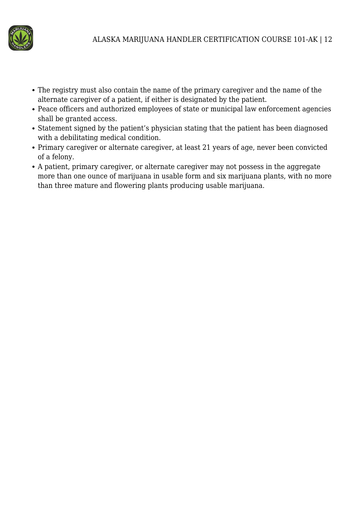

- The registry must also contain the name of the primary caregiver and the name of the alternate caregiver of a patient, if either is designated by the patient.
- Peace officers and authorized employees of state or municipal law enforcement agencies shall be granted access.
- Statement signed by the patient's physician stating that the patient has been diagnosed with a debilitating medical condition.
- Primary caregiver or alternate caregiver, at least 21 years of age, never been convicted of a felony.
- A patient, primary caregiver, or alternate caregiver may not possess in the aggregate more than one ounce of marijuana in usable form and six marijuana plants, with no more than three mature and flowering plants producing usable marijuana.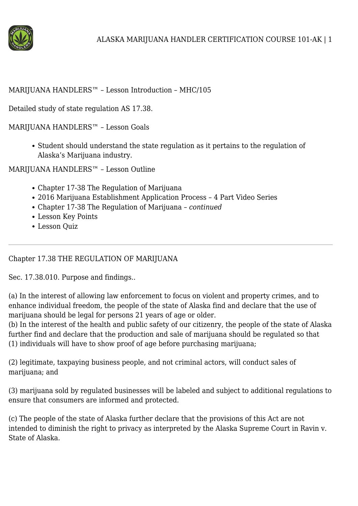

### MARIJUANA HANDLERS™ – Lesson Introduction – MHC/105

Detailed study of state regulation AS 17.38.

MARIJUANA HANDLERS™ – Lesson Goals

• Student should understand the state regulation as it pertains to the regulation of Alaska's Marijuana industry.

MARIJUANA HANDLERS™ – Lesson Outline

- Chapter 17-38 The Regulation of Marijuana
- 2016 Marijuana Establishment Application Process 4 Part Video Series
- Chapter 17-38 The Regulation of Marijuana *continued*
- Lesson Key Points
- Lesson Quiz

Chapter 17.38 THE REGULATION OF MARIJUANA

Sec. 17.38.010. Purpose and findings..

(a) In the interest of allowing law enforcement to focus on violent and property crimes, and to enhance individual freedom, the people of the state of Alaska find and declare that the use of marijuana should be legal for persons 21 years of age or older.

(b) In the interest of the health and public safety of our citizenry, the people of the state of Alaska further find and declare that the production and sale of marijuana should be regulated so that (1) individuals will have to show proof of age before purchasing marijuana;

(2) legitimate, taxpaying business people, and not criminal actors, will conduct sales of marijuana; and

(3) marijuana sold by regulated businesses will be labeled and subject to additional regulations to ensure that consumers are informed and protected.

(c) The people of the state of Alaska further declare that the provisions of this Act are not intended to diminish the right to privacy as interpreted by the Alaska Supreme Court in Ravin v. State of Alaska.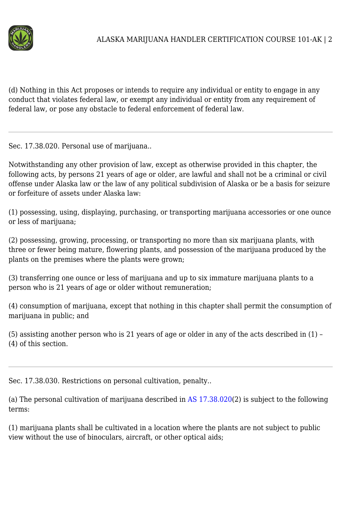

(d) Nothing in this Act proposes or intends to require any individual or entity to engage in any conduct that violates federal law, or exempt any individual or entity from any requirement of federal law, or pose any obstacle to federal enforcement of federal law.

Sec. 17.38.020. Personal use of marijuana..

Notwithstanding any other provision of law, except as otherwise provided in this chapter, the following acts, by persons 21 years of age or older, are lawful and shall not be a criminal or civil offense under Alaska law or the law of any political subdivision of Alaska or be a basis for seizure or forfeiture of assets under Alaska law:

(1) possessing, using, displaying, purchasing, or transporting marijuana accessories or one ounce or less of marijuana;

(2) possessing, growing, processing, or transporting no more than six marijuana plants, with three or fewer being mature, flowering plants, and possession of the marijuana produced by the plants on the premises where the plants were grown;

(3) transferring one ounce or less of marijuana and up to six immature marijuana plants to a person who is 21 years of age or older without remuneration;

(4) consumption of marijuana, except that nothing in this chapter shall permit the consumption of marijuana in public; and

(5) assisting another person who is 21 years of age or older in any of the acts described in (1) – (4) of this section.

Sec. 17.38.030. Restrictions on personal cultivation, penalty..

(a) The personal cultivation of marijuana described in [AS 17.38.020\(](http://www.legis.state.ak.us/basis/statutes.asp#17.38.020)2) is subject to the following terms:

(1) marijuana plants shall be cultivated in a location where the plants are not subject to public view without the use of binoculars, aircraft, or other optical aids;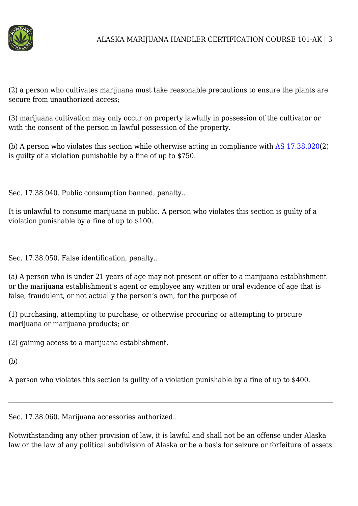

(2) a person who cultivates marijuana must take reasonable precautions to ensure the plants are secure from unauthorized access;

(3) marijuana cultivation may only occur on property lawfully in possession of the cultivator or with the consent of the person in lawful possession of the property.

(b) A person who violates this section while otherwise acting in compliance with [AS 17.38.020\(](http://www.legis.state.ak.us/basis/statutes.asp#17.38.020)2) is guilty of a violation punishable by a fine of up to \$750.

Sec. 17.38.040. Public consumption banned, penalty..

It is unlawful to consume marijuana in public. A person who violates this section is guilty of a violation punishable by a fine of up to \$100.

Sec. 17.38.050. False identification, penalty..

(a) A person who is under 21 years of age may not present or offer to a marijuana establishment or the marijuana establishment's agent or employee any written or oral evidence of age that is false, fraudulent, or not actually the person's own, for the purpose of

(1) purchasing, attempting to purchase, or otherwise procuring or attempting to procure marijuana or marijuana products; or

(2) gaining access to a marijuana establishment.

(b)

A person who violates this section is guilty of a violation punishable by a fine of up to \$400.

Sec. 17.38.060. Marijuana accessories authorized..

Notwithstanding any other provision of law, it is lawful and shall not be an offense under Alaska law or the law of any political subdivision of Alaska or be a basis for seizure or forfeiture of assets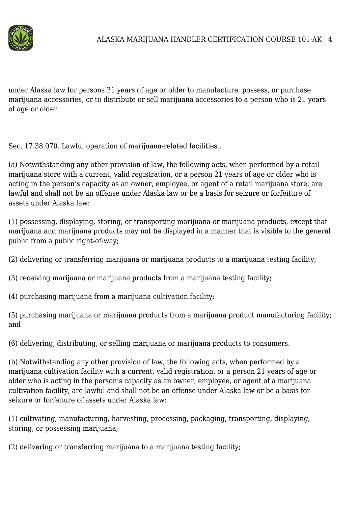

under Alaska law for persons 21 years of age or older to manufacture, possess, or purchase marijuana accessories, or to distribute or sell marijuana accessories to a person who is 21 years of age or older.

Sec. 17.38.070. Lawful operation of marijuana-related facilities..

(a) Notwithstanding any other provision of law, the following acts, when performed by a retail marijuana store with a current, valid registration, or a person 21 years of age or older who is acting in the person's capacity as an owner, employee, or agent of a retail marijuana store, are lawful and shall not be an offense under Alaska law or be a basis for seizure or forfeiture of assets under Alaska law:

(1) possessing, displaying, storing, or transporting marijuana or marijuana products, except that marijuana and marijuana products may not be displayed in a manner that is visible to the general public from a public right-of-way;

(2) delivering or transferring marijuana or marijuana products to a marijuana testing facility;

(3) receiving marijuana or marijuana products from a marijuana testing facility;

(4) purchasing marijuana from a marijuana cultivation facility;

(5) purchasing marijuana or marijuana products from a marijuana product manufacturing facility; and

(6) delivering, distributing, or selling marijuana or marijuana products to consumers.

(b) Notwithstanding any other provision of law, the following acts, when performed by a marijuana cultivation facility with a current, valid registration, or a person 21 years of age or older who is acting in the person's capacity as an owner, employee, or agent of a marijuana cultivation facility, are lawful and shall not be an offense under Alaska law or be a basis for seizure or forfeiture of assets under Alaska law:

(1) cultivating, manufacturing, harvesting, processing, packaging, transporting, displaying, storing, or possessing marijuana;

(2) delivering or transferring marijuana to a marijuana testing facility;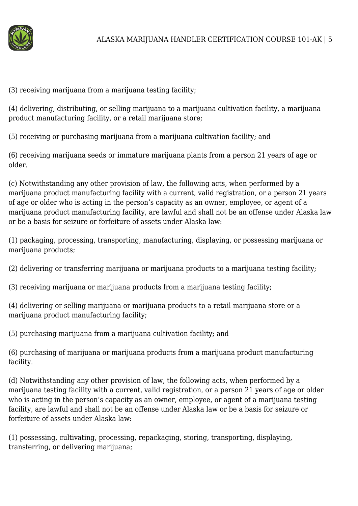

(3) receiving marijuana from a marijuana testing facility;

(4) delivering, distributing, or selling marijuana to a marijuana cultivation facility, a marijuana product manufacturing facility, or a retail marijuana store;

(5) receiving or purchasing marijuana from a marijuana cultivation facility; and

(6) receiving marijuana seeds or immature marijuana plants from a person 21 years of age or older.

(c) Notwithstanding any other provision of law, the following acts, when performed by a marijuana product manufacturing facility with a current, valid registration, or a person 21 years of age or older who is acting in the person's capacity as an owner, employee, or agent of a marijuana product manufacturing facility, are lawful and shall not be an offense under Alaska law or be a basis for seizure or forfeiture of assets under Alaska law:

(1) packaging, processing, transporting, manufacturing, displaying, or possessing marijuana or marijuana products;

(2) delivering or transferring marijuana or marijuana products to a marijuana testing facility;

(3) receiving marijuana or marijuana products from a marijuana testing facility;

(4) delivering or selling marijuana or marijuana products to a retail marijuana store or a marijuana product manufacturing facility;

(5) purchasing marijuana from a marijuana cultivation facility; and

(6) purchasing of marijuana or marijuana products from a marijuana product manufacturing facility.

(d) Notwithstanding any other provision of law, the following acts, when performed by a marijuana testing facility with a current, valid registration, or a person 21 years of age or older who is acting in the person's capacity as an owner, employee, or agent of a marijuana testing facility, are lawful and shall not be an offense under Alaska law or be a basis for seizure or forfeiture of assets under Alaska law:

(1) possessing, cultivating, processing, repackaging, storing, transporting, displaying, transferring, or delivering marijuana;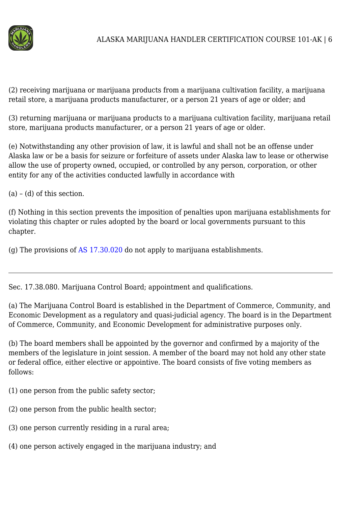

(2) receiving marijuana or marijuana products from a marijuana cultivation facility, a marijuana retail store, a marijuana products manufacturer, or a person 21 years of age or older; and

(3) returning marijuana or marijuana products to a marijuana cultivation facility, marijuana retail store, marijuana products manufacturer, or a person 21 years of age or older.

(e) Notwithstanding any other provision of law, it is lawful and shall not be an offense under Alaska law or be a basis for seizure or forfeiture of assets under Alaska law to lease or otherwise allow the use of property owned, occupied, or controlled by any person, corporation, or other entity for any of the activities conducted lawfully in accordance with

 $(a) - (d)$  of this section.

(f) Nothing in this section prevents the imposition of penalties upon marijuana establishments for violating this chapter or rules adopted by the board or local governments pursuant to this chapter.

(g) The provisions of [AS 17.30.020](http://www.legis.state.ak.us/basis/statutes.asp#17.30.020) do not apply to marijuana establishments.

Sec. 17.38.080. Marijuana Control Board; appointment and qualifications.

(a) The Marijuana Control Board is established in the Department of Commerce, Community, and Economic Development as a regulatory and quasi-judicial agency. The board is in the Department of Commerce, Community, and Economic Development for administrative purposes only.

(b) The board members shall be appointed by the governor and confirmed by a majority of the members of the legislature in joint session. A member of the board may not hold any other state or federal office, either elective or appointive. The board consists of five voting members as follows:

- (1) one person from the public safety sector;
- (2) one person from the public health sector;
- (3) one person currently residing in a rural area;
- (4) one person actively engaged in the marijuana industry; and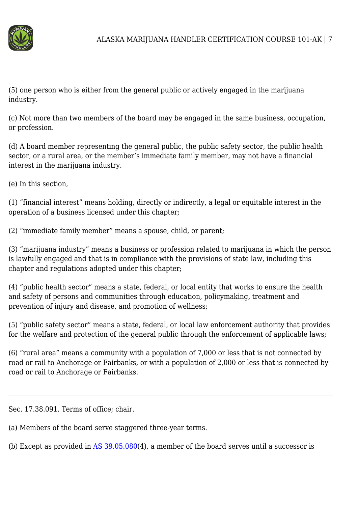

(5) one person who is either from the general public or actively engaged in the marijuana industry.

(c) Not more than two members of the board may be engaged in the same business, occupation, or profession.

(d) A board member representing the general public, the public safety sector, the public health sector, or a rural area, or the member's immediate family member, may not have a financial interest in the marijuana industry.

(e) In this section,

(1) "financial interest" means holding, directly or indirectly, a legal or equitable interest in the operation of a business licensed under this chapter;

(2) "immediate family member" means a spouse, child, or parent;

(3) "marijuana industry" means a business or profession related to marijuana in which the person is lawfully engaged and that is in compliance with the provisions of state law, including this chapter and regulations adopted under this chapter;

(4) "public health sector" means a state, federal, or local entity that works to ensure the health and safety of persons and communities through education, policymaking, treatment and prevention of injury and disease, and promotion of wellness;

(5) "public safety sector" means a state, federal, or local law enforcement authority that provides for the welfare and protection of the general public through the enforcement of applicable laws;

(6) "rural area" means a community with a population of 7,000 or less that is not connected by road or rail to Anchorage or Fairbanks, or with a population of 2,000 or less that is connected by road or rail to Anchorage or Fairbanks.

Sec. 17.38.091. Terms of office; chair.

(a) Members of the board serve staggered three-year terms.

(b) Except as provided in [AS 39.05.080\(](http://www.legis.state.ak.us/basis/statutes.asp#39.05.080)4), a member of the board serves until a successor is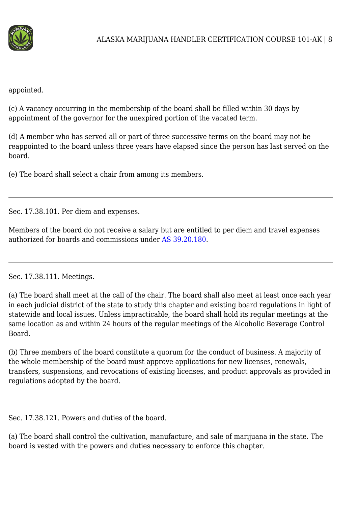

appointed.

(c) A vacancy occurring in the membership of the board shall be filled within 30 days by appointment of the governor for the unexpired portion of the vacated term.

(d) A member who has served all or part of three successive terms on the board may not be reappointed to the board unless three years have elapsed since the person has last served on the board.

(e) The board shall select a chair from among its members.

Sec. 17.38.101. Per diem and expenses.

Members of the board do not receive a salary but are entitled to per diem and travel expenses authorized for boards and commissions under [AS 39.20.180.](http://www.legis.state.ak.us/basis/statutes.asp#39.20.180)

Sec. 17.38.111. Meetings.

(a) The board shall meet at the call of the chair. The board shall also meet at least once each year in each judicial district of the state to study this chapter and existing board regulations in light of statewide and local issues. Unless impracticable, the board shall hold its regular meetings at the same location as and within 24 hours of the regular meetings of the Alcoholic Beverage Control Board.

(b) Three members of the board constitute a quorum for the conduct of business. A majority of the whole membership of the board must approve applications for new licenses, renewals, transfers, suspensions, and revocations of existing licenses, and product approvals as provided in regulations adopted by the board.

Sec. 17.38.121. Powers and duties of the board.

(a) The board shall control the cultivation, manufacture, and sale of marijuana in the state. The board is vested with the powers and duties necessary to enforce this chapter.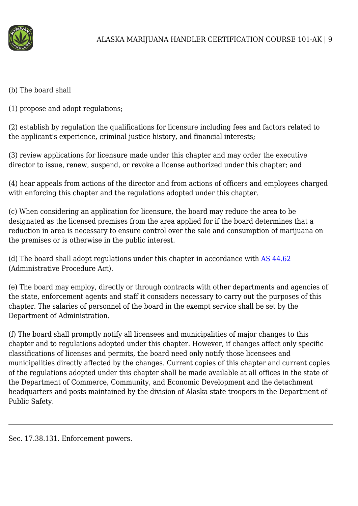

- (b) The board shall
- (1) propose and adopt regulations;

(2) establish by regulation the qualifications for licensure including fees and factors related to the applicant's experience, criminal justice history, and financial interests;

(3) review applications for licensure made under this chapter and may order the executive director to issue, renew, suspend, or revoke a license authorized under this chapter; and

(4) hear appeals from actions of the director and from actions of officers and employees charged with enforcing this chapter and the regulations adopted under this chapter.

(c) When considering an application for licensure, the board may reduce the area to be designated as the licensed premises from the area applied for if the board determines that a reduction in area is necessary to ensure control over the sale and consumption of marijuana on the premises or is otherwise in the public interest.

(d) The board shall adopt regulations under this chapter in accordance with [AS 44.62](http://www.legis.state.ak.us/basis/statutes.asp#44.62) (Administrative Procedure Act).

(e) The board may employ, directly or through contracts with other departments and agencies of the state, enforcement agents and staff it considers necessary to carry out the purposes of this chapter. The salaries of personnel of the board in the exempt service shall be set by the Department of Administration.

(f) The board shall promptly notify all licensees and municipalities of major changes to this chapter and to regulations adopted under this chapter. However, if changes affect only specific classifications of licenses and permits, the board need only notify those licensees and municipalities directly affected by the changes. Current copies of this chapter and current copies of the regulations adopted under this chapter shall be made available at all offices in the state of the Department of Commerce, Community, and Economic Development and the detachment headquarters and posts maintained by the division of Alaska state troopers in the Department of Public Safety.

Sec. 17.38.131. Enforcement powers.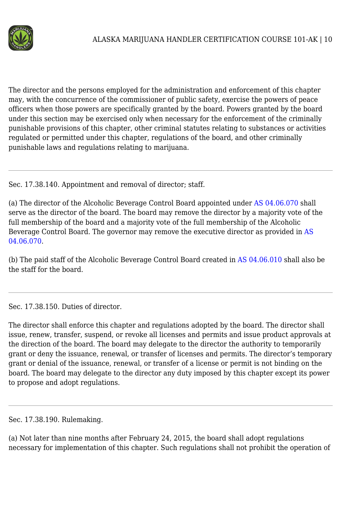

The director and the persons employed for the administration and enforcement of this chapter may, with the concurrence of the commissioner of public safety, exercise the powers of peace officers when those powers are specifically granted by the board. Powers granted by the board under this section may be exercised only when necessary for the enforcement of the criminally punishable provisions of this chapter, other criminal statutes relating to substances or activities regulated or permitted under this chapter, regulations of the board, and other criminally punishable laws and regulations relating to marijuana.

Sec. 17.38.140. Appointment and removal of director; staff.

(a) The director of the Alcoholic Beverage Control Board appointed under [AS 04.06.070](http://www.legis.state.ak.us/basis/statutes.asp#04.06.070) shall serve as the director of the board. The board may remove the director by a majority vote of the full membership of the board and a majority vote of the full membership of the Alcoholic Beverage Control Board. The governor may remove the executive director as provided in [AS](http://www.legis.state.ak.us/basis/statutes.asp#04.06.070) [04.06.070](http://www.legis.state.ak.us/basis/statutes.asp#04.06.070).

(b) The paid staff of the Alcoholic Beverage Control Board created in [AS 04.06.010](http://www.legis.state.ak.us/basis/statutes.asp#04.06.010) shall also be the staff for the board.

Sec. 17.38.150. Duties of director.

The director shall enforce this chapter and regulations adopted by the board. The director shall issue, renew, transfer, suspend, or revoke all licenses and permits and issue product approvals at the direction of the board. The board may delegate to the director the authority to temporarily grant or deny the issuance, renewal, or transfer of licenses and permits. The director's temporary grant or denial of the issuance, renewal, or transfer of a license or permit is not binding on the board. The board may delegate to the director any duty imposed by this chapter except its power to propose and adopt regulations.

Sec. 17.38.190. Rulemaking.

(a) Not later than nine months after February 24, 2015, the board shall adopt regulations necessary for implementation of this chapter. Such regulations shall not prohibit the operation of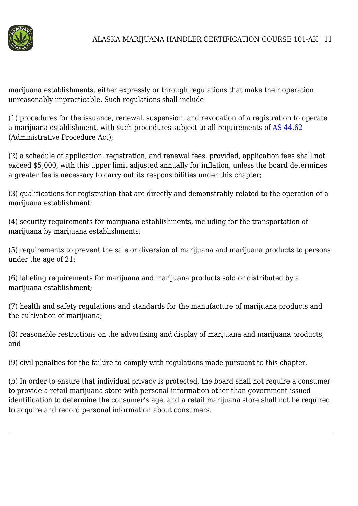

marijuana establishments, either expressly or through regulations that make their operation unreasonably impracticable. Such regulations shall include

(1) procedures for the issuance, renewal, suspension, and revocation of a registration to operate a marijuana establishment, with such procedures subject to all requirements of [AS 44.62](http://www.legis.state.ak.us/basis/statutes.asp#44.62) (Administrative Procedure Act);

(2) a schedule of application, registration, and renewal fees, provided, application fees shall not exceed \$5,000, with this upper limit adjusted annually for inflation, unless the board determines a greater fee is necessary to carry out its responsibilities under this chapter;

(3) qualifications for registration that are directly and demonstrably related to the operation of a marijuana establishment;

(4) security requirements for marijuana establishments, including for the transportation of marijuana by marijuana establishments;

(5) requirements to prevent the sale or diversion of marijuana and marijuana products to persons under the age of 21;

(6) labeling requirements for marijuana and marijuana products sold or distributed by a marijuana establishment;

(7) health and safety regulations and standards for the manufacture of marijuana products and the cultivation of marijuana:

(8) reasonable restrictions on the advertising and display of marijuana and marijuana products; and

(9) civil penalties for the failure to comply with regulations made pursuant to this chapter.

(b) In order to ensure that individual privacy is protected, the board shall not require a consumer to provide a retail marijuana store with personal information other than government-issued identification to determine the consumer's age, and a retail marijuana store shall not be required to acquire and record personal information about consumers.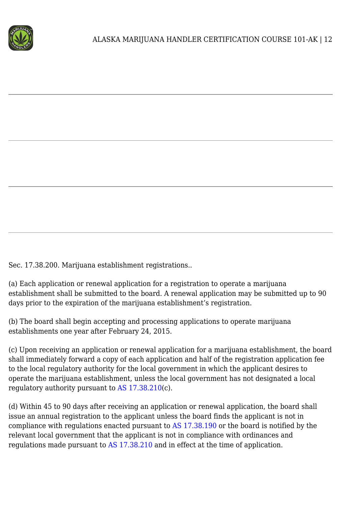

Sec. 17.38.200. Marijuana establishment registrations..

(a) Each application or renewal application for a registration to operate a marijuana establishment shall be submitted to the board. A renewal application may be submitted up to 90 days prior to the expiration of the marijuana establishment's registration.

(b) The board shall begin accepting and processing applications to operate marijuana establishments one year after February 24, 2015.

(c) Upon receiving an application or renewal application for a marijuana establishment, the board shall immediately forward a copy of each application and half of the registration application fee to the local regulatory authority for the local government in which the applicant desires to operate the marijuana establishment, unless the local government has not designated a local regulatory authority pursuant to [AS 17.38.210](http://www.legis.state.ak.us/basis/statutes.asp#17.38.210)(c).

(d) Within 45 to 90 days after receiving an application or renewal application, the board shall issue an annual registration to the applicant unless the board finds the applicant is not in compliance with regulations enacted pursuant to [AS 17.38.190](http://www.legis.state.ak.us/basis/statutes.asp#17.38.190) or the board is notified by the relevant local government that the applicant is not in compliance with ordinances and regulations made pursuant to [AS 17.38.210](http://www.legis.state.ak.us/basis/statutes.asp#17.38.210) and in effect at the time of application.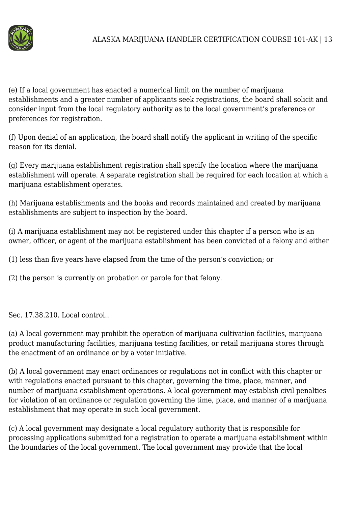

(e) If a local government has enacted a numerical limit on the number of marijuana establishments and a greater number of applicants seek registrations, the board shall solicit and consider input from the local regulatory authority as to the local government's preference or preferences for registration.

(f) Upon denial of an application, the board shall notify the applicant in writing of the specific reason for its denial.

(g) Every marijuana establishment registration shall specify the location where the marijuana establishment will operate. A separate registration shall be required for each location at which a marijuana establishment operates.

(h) Marijuana establishments and the books and records maintained and created by marijuana establishments are subject to inspection by the board.

(i) A marijuana establishment may not be registered under this chapter if a person who is an owner, officer, or agent of the marijuana establishment has been convicted of a felony and either

(1) less than five years have elapsed from the time of the person's conviction; or

(2) the person is currently on probation or parole for that felony.

Sec. 17.38.210. Local control..

(a) A local government may prohibit the operation of marijuana cultivation facilities, marijuana product manufacturing facilities, marijuana testing facilities, or retail marijuana stores through the enactment of an ordinance or by a voter initiative.

(b) A local government may enact ordinances or regulations not in conflict with this chapter or with regulations enacted pursuant to this chapter, governing the time, place, manner, and number of marijuana establishment operations. A local government may establish civil penalties for violation of an ordinance or regulation governing the time, place, and manner of a marijuana establishment that may operate in such local government.

(c) A local government may designate a local regulatory authority that is responsible for processing applications submitted for a registration to operate a marijuana establishment within the boundaries of the local government. The local government may provide that the local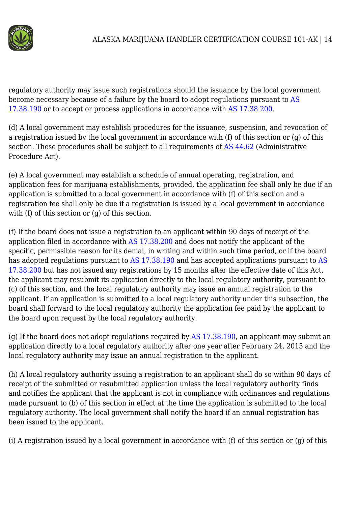

regulatory authority may issue such registrations should the issuance by the local government become necessary because of a failure by the board to adopt regulations pursuant to [AS](http://www.legis.state.ak.us/basis/statutes.asp#17.38.190) [17.38.190](http://www.legis.state.ak.us/basis/statutes.asp#17.38.190) or to accept or process applications in accordance with [AS 17.38.200](http://www.legis.state.ak.us/basis/statutes.asp#17.38.200).

(d) A local government may establish procedures for the issuance, suspension, and revocation of a registration issued by the local government in accordance with (f) of this section or (g) of this section. These procedures shall be subject to all requirements of [AS 44.62](http://www.legis.state.ak.us/basis/statutes.asp#44.62) (Administrative Procedure Act).

(e) A local government may establish a schedule of annual operating, registration, and application fees for marijuana establishments, provided, the application fee shall only be due if an application is submitted to a local government in accordance with (f) of this section and a registration fee shall only be due if a registration is issued by a local government in accordance with (f) of this section or (g) of this section.

(f) If the board does not issue a registration to an applicant within 90 days of receipt of the application filed in accordance with [AS 17.38.200](http://www.legis.state.ak.us/basis/statutes.asp#17.38.200) and does not notify the applicant of the specific, permissible reason for its denial, in writing and within such time period, or if the board has adopted regulations pursuant to [AS 17.38.190](http://www.legis.state.ak.us/basis/statutes.asp#17.38.190) and has accepted applications pursuant to [AS](http://www.legis.state.ak.us/basis/statutes.asp#17.38.200) [17.38.200](http://www.legis.state.ak.us/basis/statutes.asp#17.38.200) but has not issued any registrations by 15 months after the effective date of this Act, the applicant may resubmit its application directly to the local regulatory authority, pursuant to (c) of this section, and the local regulatory authority may issue an annual registration to the applicant. If an application is submitted to a local regulatory authority under this subsection, the board shall forward to the local regulatory authority the application fee paid by the applicant to the board upon request by the local regulatory authority.

(g) If the board does not adopt regulations required by [AS 17.38.190,](http://www.legis.state.ak.us/basis/statutes.asp#17.38.190) an applicant may submit an application directly to a local regulatory authority after one year after February 24, 2015 and the local regulatory authority may issue an annual registration to the applicant.

(h) A local regulatory authority issuing a registration to an applicant shall do so within 90 days of receipt of the submitted or resubmitted application unless the local regulatory authority finds and notifies the applicant that the applicant is not in compliance with ordinances and regulations made pursuant to (b) of this section in effect at the time the application is submitted to the local regulatory authority. The local government shall notify the board if an annual registration has been issued to the applicant.

(i) A registration issued by a local government in accordance with (f) of this section or (g) of this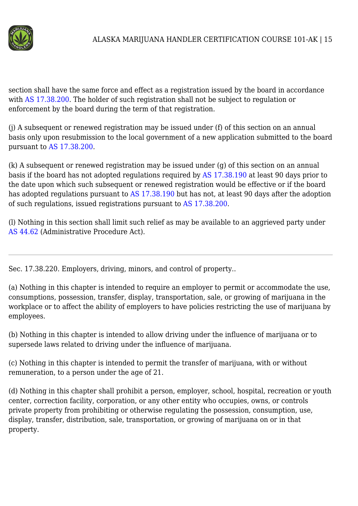

section shall have the same force and effect as a registration issued by the board in accordance with [AS 17.38.200](http://www.legis.state.ak.us/basis/statutes.asp#17.38.200). The holder of such registration shall not be subject to regulation or enforcement by the board during the term of that registration.

(j) A subsequent or renewed registration may be issued under (f) of this section on an annual basis only upon resubmission to the local government of a new application submitted to the board pursuant to [AS 17.38.200.](http://www.legis.state.ak.us/basis/statutes.asp#17.38.200)

(k) A subsequent or renewed registration may be issued under (g) of this section on an annual basis if the board has not adopted regulations required by [AS 17.38.190](http://www.legis.state.ak.us/basis/statutes.asp#17.38.190) at least 90 days prior to the date upon which such subsequent or renewed registration would be effective or if the board has adopted regulations pursuant to [AS 17.38.190](http://www.legis.state.ak.us/basis/statutes.asp#17.38.190) but has not, at least 90 days after the adoption of such regulations, issued registrations pursuant to [AS 17.38.200](http://www.legis.state.ak.us/basis/statutes.asp#17.38.200).

(l) Nothing in this section shall limit such relief as may be available to an aggrieved party under [AS 44.62](http://www.legis.state.ak.us/basis/statutes.asp#44.62) (Administrative Procedure Act).

Sec. 17.38.220. Employers, driving, minors, and control of property..

(a) Nothing in this chapter is intended to require an employer to permit or accommodate the use, consumptions, possession, transfer, display, transportation, sale, or growing of marijuana in the workplace or to affect the ability of employers to have policies restricting the use of marijuana by employees.

(b) Nothing in this chapter is intended to allow driving under the influence of marijuana or to supersede laws related to driving under the influence of marijuana.

(c) Nothing in this chapter is intended to permit the transfer of marijuana, with or without remuneration, to a person under the age of 21.

(d) Nothing in this chapter shall prohibit a person, employer, school, hospital, recreation or youth center, correction facility, corporation, or any other entity who occupies, owns, or controls private property from prohibiting or otherwise regulating the possession, consumption, use, display, transfer, distribution, sale, transportation, or growing of marijuana on or in that property.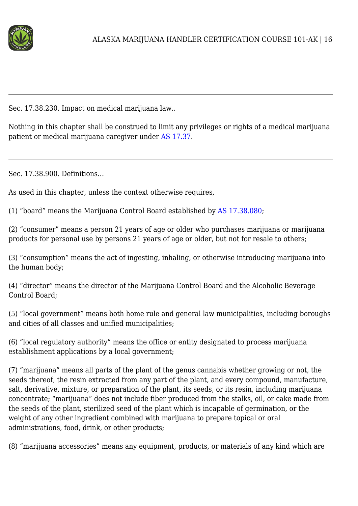

Sec. 17.38.230. Impact on medical marijuana law..

Nothing in this chapter shall be construed to limit any privileges or rights of a medical marijuana patient or medical marijuana caregiver under [AS 17.37](http://www.legis.state.ak.us/basis/statutes.asp#17.37).

Sec. 17.38.900. Definitions…

As used in this chapter, unless the context otherwise requires,

(1) "board" means the Marijuana Control Board established by [AS 17.38.080;](http://www.legis.state.ak.us/basis/statutes.asp#17.38.080)

(2) "consumer" means a person 21 years of age or older who purchases marijuana or marijuana products for personal use by persons 21 years of age or older, but not for resale to others;

(3) "consumption" means the act of ingesting, inhaling, or otherwise introducing marijuana into the human body;

(4) "director" means the director of the Marijuana Control Board and the Alcoholic Beverage Control Board;

(5) "local government" means both home rule and general law municipalities, including boroughs and cities of all classes and unified municipalities;

(6) "local regulatory authority" means the office or entity designated to process marijuana establishment applications by a local government;

(7) "marijuana" means all parts of the plant of the genus cannabis whether growing or not, the seeds thereof, the resin extracted from any part of the plant, and every compound, manufacture, salt, derivative, mixture, or preparation of the plant, its seeds, or its resin, including marijuana concentrate; "marijuana" does not include fiber produced from the stalks, oil, or cake made from the seeds of the plant, sterilized seed of the plant which is incapable of germination, or the weight of any other ingredient combined with marijuana to prepare topical or oral administrations, food, drink, or other products;

(8) "marijuana accessories" means any equipment, products, or materials of any kind which are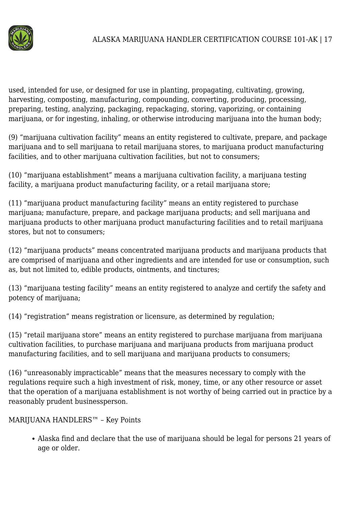

used, intended for use, or designed for use in planting, propagating, cultivating, growing, harvesting, composting, manufacturing, compounding, converting, producing, processing, preparing, testing, analyzing, packaging, repackaging, storing, vaporizing, or containing marijuana, or for ingesting, inhaling, or otherwise introducing marijuana into the human body;

(9) "marijuana cultivation facility" means an entity registered to cultivate, prepare, and package marijuana and to sell marijuana to retail marijuana stores, to marijuana product manufacturing facilities, and to other marijuana cultivation facilities, but not to consumers;

(10) "marijuana establishment" means a marijuana cultivation facility, a marijuana testing facility, a marijuana product manufacturing facility, or a retail marijuana store;

(11) "marijuana product manufacturing facility" means an entity registered to purchase marijuana; manufacture, prepare, and package marijuana products; and sell marijuana and marijuana products to other marijuana product manufacturing facilities and to retail marijuana stores, but not to consumers;

(12) "marijuana products" means concentrated marijuana products and marijuana products that are comprised of marijuana and other ingredients and are intended for use or consumption, such as, but not limited to, edible products, ointments, and tinctures;

(13) "marijuana testing facility" means an entity registered to analyze and certify the safety and potency of marijuana;

(14) "registration" means registration or licensure, as determined by regulation;

(15) "retail marijuana store" means an entity registered to purchase marijuana from marijuana cultivation facilities, to purchase marijuana and marijuana products from marijuana product manufacturing facilities, and to sell marijuana and marijuana products to consumers;

(16) "unreasonably impracticable" means that the measures necessary to comply with the regulations require such a high investment of risk, money, time, or any other resource or asset that the operation of a marijuana establishment is not worthy of being carried out in practice by a reasonably prudent businessperson.

MARIJUANA HANDLERS™ – Key Points

Alaska find and declare that the use of marijuana should be legal for persons 21 years of age or older.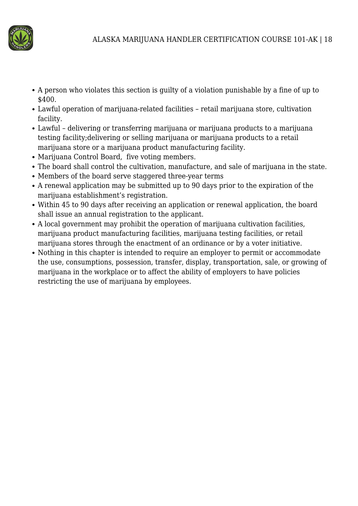

- A person who violates this section is guilty of a violation punishable by a fine of up to \$400.
- Lawful operation of marijuana-related facilities retail marijuana store, cultivation facility.
- Lawful delivering or transferring marijuana or marijuana products to a marijuana testing facility;delivering or selling marijuana or marijuana products to a retail marijuana store or a marijuana product manufacturing facility.
- Marijuana Control Board, five voting members.
- The board shall control the cultivation, manufacture, and sale of marijuana in the state.
- Members of the board serve staggered three-year terms
- A renewal application may be submitted up to 90 days prior to the expiration of the marijuana establishment's registration.
- Within 45 to 90 days after receiving an application or renewal application, the board shall issue an annual registration to the applicant.
- A local government may prohibit the operation of marijuana cultivation facilities, marijuana product manufacturing facilities, marijuana testing facilities, or retail marijuana stores through the enactment of an ordinance or by a voter initiative.
- Nothing in this chapter is intended to require an employer to permit or accommodate the use, consumptions, possession, transfer, display, transportation, sale, or growing of marijuana in the workplace or to affect the ability of employers to have policies restricting the use of marijuana by employees.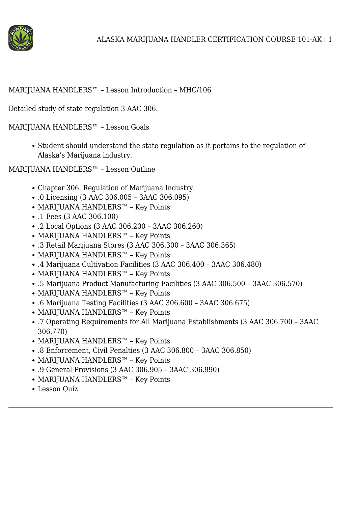

#### MARIJUANA HANDLERS™ – Lesson Introduction – MHC/106

Detailed study of state regulation 3 AAC 306.

MARIJUANA HANDLERS™ – Lesson Goals

• Student should understand the state regulation as it pertains to the regulation of Alaska's Marijuana industry.

MARIJUANA HANDLERS™ – Lesson Outline

- Chapter 306. Regulation of Marijuana Industry.
- .0 Licensing (3 AAC 306.005 3AAC 306.095)
- MARIJUANA HANDLERS™ Key Points
- .1 Fees (3 AAC 306.100)
- .2 Local Options (3 AAC 306.200 3AAC 306.260)
- MARIJUANA HANDLERS™ Key Points
- .3 Retail Marijuana Stores (3 AAC 306.300 3AAC 306.365)
- MARIJUANA HANDLERS™ Key Points
- .4 Marijuana Cultivation Facilities (3 AAC 306.400 3AAC 306.480)
- MARIJUANA HANDLERS™ Key Points
- .5 Marijuana Product Manufacturing Facilities (3 AAC 306.500 3AAC 306.570)
- MARIJUANA HANDLERS™ Key Points
- .6 Marijuana Testing Facilities (3 AAC 306.600 3AAC 306.675)
- MARIJUANA HANDLERS™ Key Points
- .7 Operating Requirements for All Marijuana Establishments (3 AAC 306.700 3AAC 306.770)
- MARIJUANA HANDLERS™ Key Points
- .8 Enforcement, Civil Penalties (3 AAC 306.800 3AAC 306.850)
- MARIJUANA HANDLERS™ Key Points
- .9 General Provisions (3 AAC 306.905 3AAC 306.990)
- MARIJUANA HANDLERS™ Key Points
- Lesson Quiz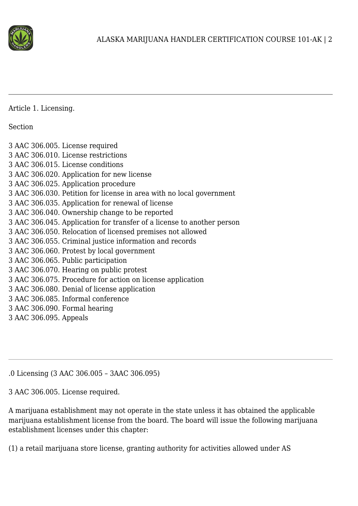

Article 1. Licensing.

Section

3 AAC 306.005. License required 3 AAC 306.010. License restrictions 3 AAC 306.015. License conditions 3 AAC 306.020. Application for new license 3 AAC 306.025. Application procedure 3 AAC 306.030. Petition for license in area with no local government 3 AAC 306.035. Application for renewal of license 3 AAC 306.040. Ownership change to be reported 3 AAC 306.045. Application for transfer of a license to another person 3 AAC 306.050. Relocation of licensed premises not allowed 3 AAC 306.055. Criminal justice information and records 3 AAC 306.060. Protest by local government 3 AAC 306.065. Public participation 3 AAC 306.070. Hearing on public protest 3 AAC 306.075. Procedure for action on license application 3 AAC 306.080. Denial of license application 3 AAC 306.085. Informal conference 3 AAC 306.090. Formal hearing 3 AAC 306.095. Appeals

.0 Licensing (3 AAC 306.005 – 3AAC 306.095)

3 AAC 306.005. License required.

A marijuana establishment may not operate in the state unless it has obtained the applicable marijuana establishment license from the board. The board will issue the following marijuana establishment licenses under this chapter:

(1) a retail marijuana store license, granting authority for activities allowed under AS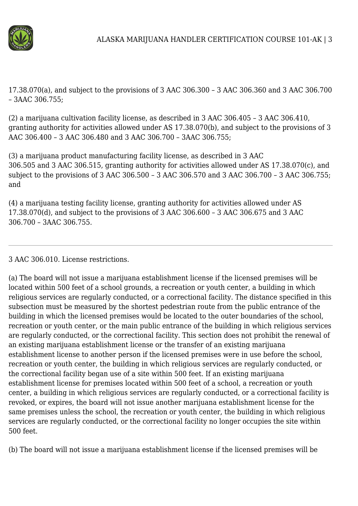

17.38.070(a), and subject to the provisions of 3 AAC 306.300 – 3 AAC 306.360 and 3 AAC 306.700 – 3AAC 306.755;

(2) a marijuana cultivation facility license, as described in 3 AAC 306.405 – 3 AAC 306.410, granting authority for activities allowed under AS 17.38.070(b), and subject to the provisions of 3 AAC 306.400 – 3 AAC 306.480 and 3 AAC 306.700 – 3AAC 306.755;

(3) a marijuana product manufacturing facility license, as described in 3 AAC 306.505 and 3 AAC 306.515, granting authority for activities allowed under AS 17.38.070(c), and subject to the provisions of 3 AAC 306.500 – 3 AAC 306.570 and 3 AAC 306.700 – 3 AAC 306.755; and

(4) a marijuana testing facility license, granting authority for activities allowed under AS 17.38.070(d), and subject to the provisions of 3 AAC 306.600 – 3 AAC 306.675 and 3 AAC 306.700 – 3AAC 306.755.

3 AAC 306.010. License restrictions.

(a) The board will not issue a marijuana establishment license if the licensed premises will be located within 500 feet of a school grounds, a recreation or youth center, a building in which religious services are regularly conducted, or a correctional facility. The distance specified in this subsection must be measured by the shortest pedestrian route from the public entrance of the building in which the licensed premises would be located to the outer boundaries of the school, recreation or youth center, or the main public entrance of the building in which religious services are regularly conducted, or the correctional facility. This section does not prohibit the renewal of an existing marijuana establishment license or the transfer of an existing marijuana establishment license to another person if the licensed premises were in use before the school, recreation or youth center, the building in which religious services are regularly conducted, or the correctional facility began use of a site within 500 feet. If an existing marijuana establishment license for premises located within 500 feet of a school, a recreation or youth center, a building in which religious services are regularly conducted, or a correctional facility is revoked, or expires, the board will not issue another marijuana establishment license for the same premises unless the school, the recreation or youth center, the building in which religious services are regularly conducted, or the correctional facility no longer occupies the site within 500 feet.

(b) The board will not issue a marijuana establishment license if the licensed premises will be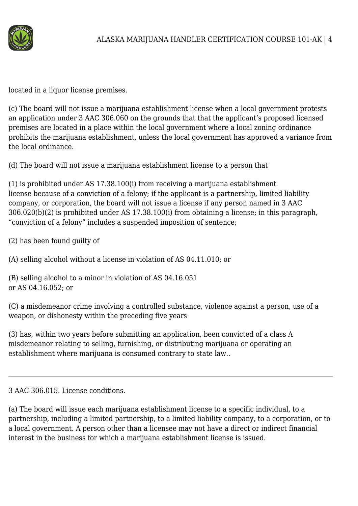

located in a liquor license premises.

(c) The board will not issue a marijuana establishment license when a local government protests an application under 3 AAC 306.060 on the grounds that that the applicant's proposed licensed premises are located in a place within the local government where a local zoning ordinance prohibits the marijuana establishment, unless the local government has approved a variance from the local ordinance.

(d) The board will not issue a marijuana establishment license to a person that

(1) is prohibited under AS 17.38.100(i) from receiving a marijuana establishment license because of a conviction of a felony; if the applicant is a partnership, limited liability company, or corporation, the board will not issue a license if any person named in 3 AAC 306.020(b)(2) is prohibited under AS 17.38.100(i) from obtaining a license; in this paragraph, "conviction of a felony" includes a suspended imposition of sentence;

(2) has been found guilty of

(A) selling alcohol without a license in violation of AS 04.11.010; or

(B) selling alcohol to a minor in violation of AS 04.16.051 or AS 04.16.052; or

(C) a misdemeanor crime involving a controlled substance, violence against a person, use of a weapon, or dishonesty within the preceding five years

(3) has, within two years before submitting an application, been convicted of a class A misdemeanor relating to selling, furnishing, or distributing marijuana or operating an establishment where marijuana is consumed contrary to state law..

3 AAC 306.015. License conditions.

(a) The board will issue each marijuana establishment license to a specific individual, to a partnership, including a limited partnership, to a limited liability company, to a corporation, or to a local government. A person other than a licensee may not have a direct or indirect financial interest in the business for which a marijuana establishment license is issued.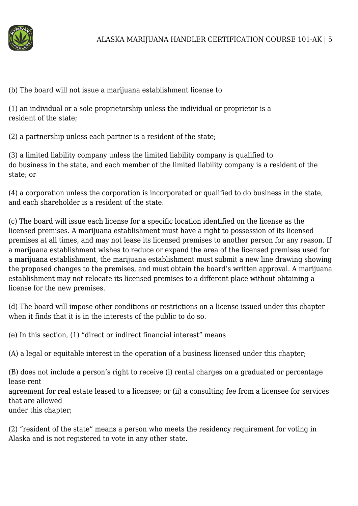

(b) The board will not issue a marijuana establishment license to

(1) an individual or a sole proprietorship unless the individual or proprietor is a resident of the state;

(2) a partnership unless each partner is a resident of the state;

(3) a limited liability company unless the limited liability company is qualified to do business in the state, and each member of the limited liability company is a resident of the state; or

(4) a corporation unless the corporation is incorporated or qualified to do business in the state, and each shareholder is a resident of the state.

(c) The board will issue each license for a specific location identified on the license as the licensed premises. A marijuana establishment must have a right to possession of its licensed premises at all times, and may not lease its licensed premises to another person for any reason. If a marijuana establishment wishes to reduce or expand the area of the licensed premises used for a marijuana establishment, the marijuana establishment must submit a new line drawing showing the proposed changes to the premises, and must obtain the board's written approval. A marijuana establishment may not relocate its licensed premises to a different place without obtaining a license for the new premises.

(d) The board will impose other conditions or restrictions on a license issued under this chapter when it finds that it is in the interests of the public to do so.

(e) In this section, (1) "direct or indirect financial interest" means

(A) a legal or equitable interest in the operation of a business licensed under this chapter;

(B) does not include a person's right to receive (i) rental charges on a graduated or percentage lease-rent

agreement for real estate leased to a licensee; or (ii) a consulting fee from a licensee for services that are allowed

under this chapter;

(2) "resident of the state" means a person who meets the residency requirement for voting in Alaska and is not registered to vote in any other state.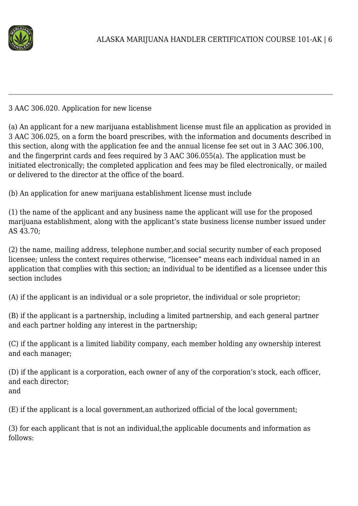

#### 3 AAC 306.020. Application for new license

(a) An applicant for a new marijuana establishment license must file an application as provided in 3 AAC 306.025, on a form the board prescribes, with the information and documents described in this section, along with the application fee and the annual license fee set out in 3 AAC 306.100, and the fingerprint cards and fees required by 3 AAC 306.055(a). The application must be initiated electronically; the completed application and fees may be filed electronically, or mailed or delivered to the director at the office of the board.

(b) An application for anew marijuana establishment license must include

(1) the name of the applicant and any business name the applicant will use for the proposed marijuana establishment, along with the applicant's state business license number issued under AS 43.70;

(2) the name, mailing address, telephone number,and social security number of each proposed licensee; unless the context requires otherwise, "licensee" means each individual named in an application that complies with this section; an individual to be identified as a licensee under this section includes

(A) if the applicant is an individual or a sole proprietor, the individual or sole proprietor;

(B) if the applicant is a partnership, including a limited partnership, and each general partner and each partner holding any interest in the partnership;

(C) if the applicant is a limited liability company, each member holding any ownership interest and each manager;

(D) if the applicant is a corporation, each owner of any of the corporation's stock, each officer, and each director; and

(E) if the applicant is a local government,an authorized official of the local government;

(3) for each applicant that is not an individual,the applicable documents and information as follows: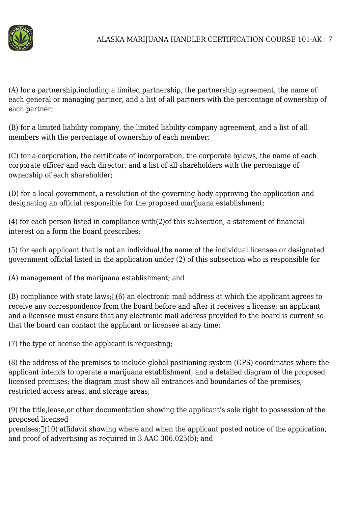

(A) for a partnership,including a limited partnership, the partnership agreement, the name of each general or managing partner, and a list of all partners with the percentage of ownership of each partner;

(B) for a limited liability company, the limited liability company agreement, and a list of all members with the percentage of ownership of each member;

(C) for a corporation, the certificate of incorporation, the corporate bylaws, the name of each corporate officer and each director, and a list of all shareholders with the percentage of ownership of each shareholder;

(D) for a local government, a resolution of the governing body approving the application and designating an official responsible for the proposed marijuana establishment;

(4) for each person listed in compliance with(2)of this subsection, a statement of financial interest on a form the board prescribes;

(5) for each applicant that is not an individual,the name of the individual licensee or designated government official listed in the application under (2) of this subsection who is responsible for

(A) management of the marijuana establishment; and

 $(B)$  compliance with state laws;  $\Box(6)$  an electronic mail address at which the applicant agrees to receive any correspondence from the board before and after it receives a license; an applicant and a licensee must ensure that any electronic mail address provided to the board is current so that the board can contact the applicant or licensee at any time;

(7) the type of license the applicant is requesting;

(8) the address of the premises to include global positioning system (GPS) coordinates where the applicant intends to operate a marijuana establishment, and a detailed diagram of the proposed licensed premises; the diagram must show all entrances and boundaries of the premises, restricted access areas, and storage areas;

(9) the title,lease,or other documentation showing the applicant's sole right to possession of the proposed licensed

premises;  $(10)$  affidavit showing where and when the applicant posted notice of the application, and proof of advertising as required in 3 AAC 306.025(b); and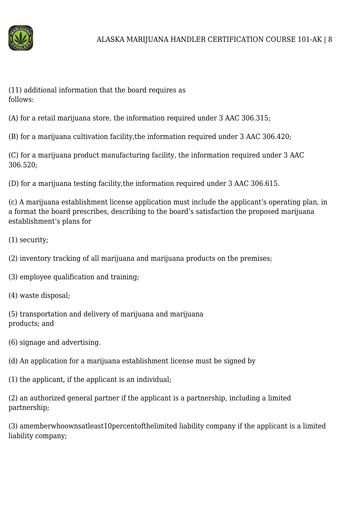

(11) additional information that the board requires as follows:

(A) for a retail marijuana store, the information required under 3 AAC 306.315;

(B) for a marijuana cultivation facility,the information required under 3 AAC 306.420;

(C) for a marijuana product manufacturing facility, the information required under 3 AAC 306.520;

(D) for a marijuana testing facility,the information required under 3 AAC 306.615.

(c) A marijuana establishment license application must include the applicant's operating plan, in a format the board prescribes, describing to the board's satisfaction the proposed marijuana establishment's plans for

(1) security;

(2) inventory tracking of all marijuana and marijuana products on the premises;

(3) employee qualification and training;

(4) waste disposal;

(5) transportation and delivery of marijuana and marijuana products; and

(6) signage and advertising.

(d) An application for a marijuana establishment license must be signed by

(1) the applicant, if the applicant is an individual;

(2) an authorized general partner if the applicant is a partnership, including a limited partnership;

(3) amemberwhoownsatleast10percentofthelimited liability company if the applicant is a limited liability company;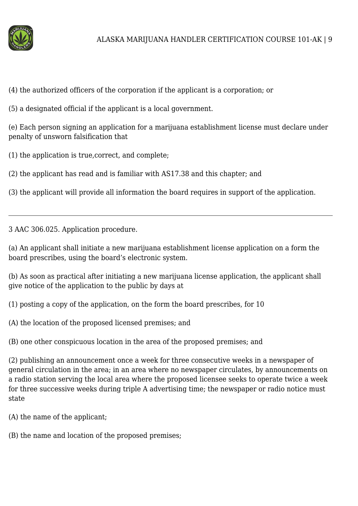

(4) the authorized officers of the corporation if the applicant is a corporation; or

(5) a designated official if the applicant is a local government.

(e) Each person signing an application for a marijuana establishment license must declare under penalty of unsworn falsification that

(1) the application is true,correct, and complete;

(2) the applicant has read and is familiar with AS17.38 and this chapter; and

(3) the applicant will provide all information the board requires in support of the application.

3 AAC 306.025. Application procedure.

(a) An applicant shall initiate a new marijuana establishment license application on a form the board prescribes, using the board's electronic system.

(b) As soon as practical after initiating a new marijuana license application, the applicant shall give notice of the application to the public by days at

(1) posting a copy of the application, on the form the board prescribes, for 10

(A) the location of the proposed licensed premises; and

(B) one other conspicuous location in the area of the proposed premises; and

(2) publishing an announcement once a week for three consecutive weeks in a newspaper of general circulation in the area; in an area where no newspaper circulates, by announcements on a radio station serving the local area where the proposed licensee seeks to operate twice a week for three successive weeks during triple A advertising time; the newspaper or radio notice must state

(A) the name of the applicant;

(B) the name and location of the proposed premises;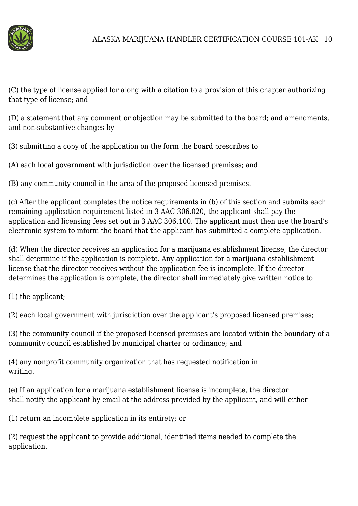

(C) the type of license applied for along with a citation to a provision of this chapter authorizing that type of license; and

(D) a statement that any comment or objection may be submitted to the board; and amendments, and non-substantive changes by

(3) submitting a copy of the application on the form the board prescribes to

(A) each local government with jurisdiction over the licensed premises; and

(B) any community council in the area of the proposed licensed premises.

(c) After the applicant completes the notice requirements in (b) of this section and submits each remaining application requirement listed in 3 AAC 306.020, the applicant shall pay the application and licensing fees set out in 3 AAC 306.100. The applicant must then use the board's electronic system to inform the board that the applicant has submitted a complete application.

(d) When the director receives an application for a marijuana establishment license, the director shall determine if the application is complete. Any application for a marijuana establishment license that the director receives without the application fee is incomplete. If the director determines the application is complete, the director shall immediately give written notice to

(1) the applicant;

(2) each local government with jurisdiction over the applicant's proposed licensed premises;

(3) the community council if the proposed licensed premises are located within the boundary of a community council established by municipal charter or ordinance; and

(4) any nonprofit community organization that has requested notification in writing.

(e) If an application for a marijuana establishment license is incomplete, the director shall notify the applicant by email at the address provided by the applicant, and will either

(1) return an incomplete application in its entirety; or

(2) request the applicant to provide additional, identified items needed to complete the application.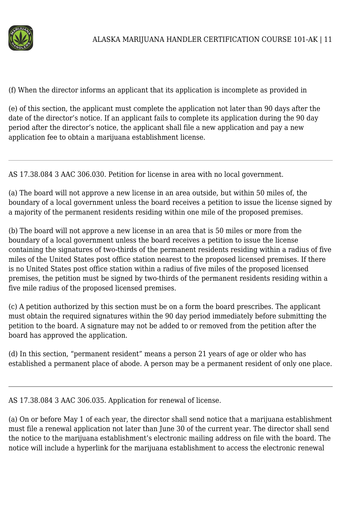

(f) When the director informs an applicant that its application is incomplete as provided in

(e) of this section, the applicant must complete the application not later than 90 days after the date of the director's notice. If an applicant fails to complete its application during the 90 day period after the director's notice, the applicant shall file a new application and pay a new application fee to obtain a marijuana establishment license.

AS 17.38.084 3 AAC 306.030. Petition for license in area with no local government.

(a) The board will not approve a new license in an area outside, but within 50 miles of, the boundary of a local government unless the board receives a petition to issue the license signed by a majority of the permanent residents residing within one mile of the proposed premises.

(b) The board will not approve a new license in an area that is 50 miles or more from the boundary of a local government unless the board receives a petition to issue the license containing the signatures of two-thirds of the permanent residents residing within a radius of five miles of the United States post office station nearest to the proposed licensed premises. If there is no United States post office station within a radius of five miles of the proposed licensed premises, the petition must be signed by two-thirds of the permanent residents residing within a five mile radius of the proposed licensed premises.

(c) A petition authorized by this section must be on a form the board prescribes. The applicant must obtain the required signatures within the 90 day period immediately before submitting the petition to the board. A signature may not be added to or removed from the petition after the board has approved the application.

(d) In this section, "permanent resident" means a person 21 years of age or older who has established a permanent place of abode. A person may be a permanent resident of only one place.

AS 17.38.084 3 AAC 306.035. Application for renewal of license.

(a) On or before May 1 of each year, the director shall send notice that a marijuana establishment must file a renewal application not later than June 30 of the current year. The director shall send the notice to the marijuana establishment's electronic mailing address on file with the board. The notice will include a hyperlink for the marijuana establishment to access the electronic renewal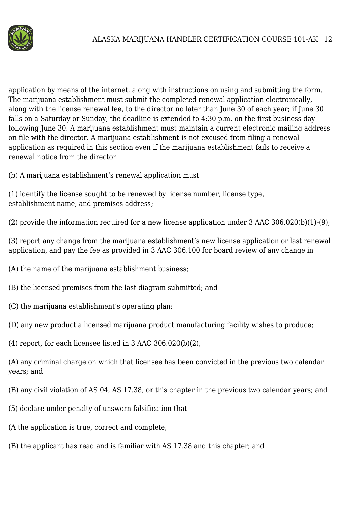

application by means of the internet, along with instructions on using and submitting the form. The marijuana establishment must submit the completed renewal application electronically, along with the license renewal fee, to the director no later than June 30 of each year; if June 30 falls on a Saturday or Sunday, the deadline is extended to 4:30 p.m. on the first business day following June 30. A marijuana establishment must maintain a current electronic mailing address on file with the director. A marijuana establishment is not excused from filing a renewal application as required in this section even if the marijuana establishment fails to receive a renewal notice from the director.

(b) A marijuana establishment's renewal application must

(1) identify the license sought to be renewed by license number, license type, establishment name, and premises address;

(2) provide the information required for a new license application under 3 AAC 306.020(b)(1)-(9);

(3) report any change from the marijuana establishment's new license application or last renewal application, and pay the fee as provided in 3 AAC 306.100 for board review of any change in

- (A) the name of the marijuana establishment business;
- (B) the licensed premises from the last diagram submitted; and
- (C) the marijuana establishment's operating plan;
- (D) any new product a licensed marijuana product manufacturing facility wishes to produce;
- (4) report, for each licensee listed in 3 AAC 306.020(b)(2),

(A) any criminal charge on which that licensee has been convicted in the previous two calendar years; and

- (B) any civil violation of AS 04, AS 17.38, or this chapter in the previous two calendar years; and
- (5) declare under penalty of unsworn falsification that
- (A the application is true, correct and complete;
- (B) the applicant has read and is familiar with AS 17.38 and this chapter; and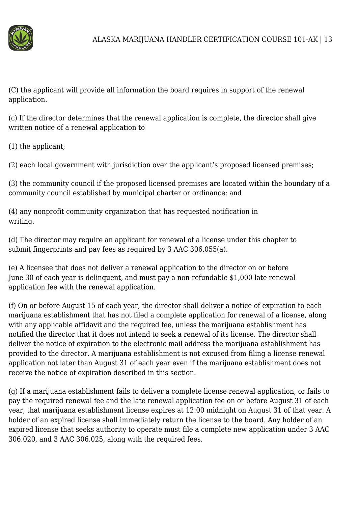

(C) the applicant will provide all information the board requires in support of the renewal application.

(c) If the director determines that the renewal application is complete, the director shall give written notice of a renewal application to

(1) the applicant;

(2) each local government with jurisdiction over the applicant's proposed licensed premises;

(3) the community council if the proposed licensed premises are located within the boundary of a community council established by municipal charter or ordinance; and

(4) any nonprofit community organization that has requested notification in writing.

(d) The director may require an applicant for renewal of a license under this chapter to submit fingerprints and pay fees as required by 3 AAC 306.055(a).

(e) A licensee that does not deliver a renewal application to the director on or before June 30 of each year is delinquent, and must pay a non-refundable \$1,000 late renewal application fee with the renewal application.

(f) On or before August 15 of each year, the director shall deliver a notice of expiration to each marijuana establishment that has not filed a complete application for renewal of a license, along with any applicable affidavit and the required fee, unless the marijuana establishment has notified the director that it does not intend to seek a renewal of its license. The director shall deliver the notice of expiration to the electronic mail address the marijuana establishment has provided to the director. A marijuana establishment is not excused from filing a license renewal application not later than August 31 of each year even if the marijuana establishment does not receive the notice of expiration described in this section.

(g) If a marijuana establishment fails to deliver a complete license renewal application, or fails to pay the required renewal fee and the late renewal application fee on or before August 31 of each year, that marijuana establishment license expires at 12:00 midnight on August 31 of that year. A holder of an expired license shall immediately return the license to the board. Any holder of an expired license that seeks authority to operate must file a complete new application under 3 AAC 306.020, and 3 AAC 306.025, along with the required fees.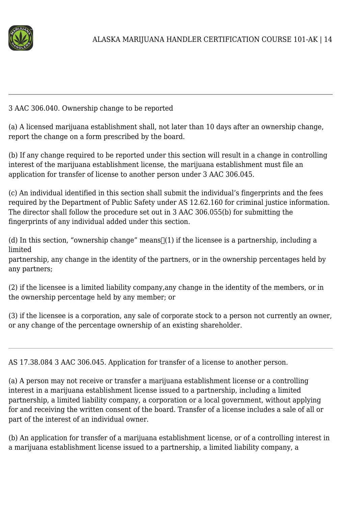

#### 3 AAC 306.040. Ownership change to be reported

(a) A licensed marijuana establishment shall, not later than 10 days after an ownership change, report the change on a form prescribed by the board.

(b) If any change required to be reported under this section will result in a change in controlling interest of the marijuana establishment license, the marijuana establishment must file an application for transfer of license to another person under 3 AAC 306.045.

(c) An individual identified in this section shall submit the individual's fingerprints and the fees required by the Department of Public Safety under AS 12.62.160 for criminal justice information. The director shall follow the procedure set out in 3 AAC 306.055(b) for submitting the fingerprints of any individual added under this section.

(d) In this section, "ownership change" means  $\lceil (1)$  if the licensee is a partnership, including a limited

partnership, any change in the identity of the partners, or in the ownership percentages held by any partners;

(2) if the licensee is a limited liability company,any change in the identity of the members, or in the ownership percentage held by any member; or

(3) if the licensee is a corporation, any sale of corporate stock to a person not currently an owner, or any change of the percentage ownership of an existing shareholder.

AS 17.38.084 3 AAC 306.045. Application for transfer of a license to another person.

(a) A person may not receive or transfer a marijuana establishment license or a controlling interest in a marijuana establishment license issued to a partnership, including a limited partnership, a limited liability company, a corporation or a local government, without applying for and receiving the written consent of the board. Transfer of a license includes a sale of all or part of the interest of an individual owner.

(b) An application for transfer of a marijuana establishment license, or of a controlling interest in a marijuana establishment license issued to a partnership, a limited liability company, a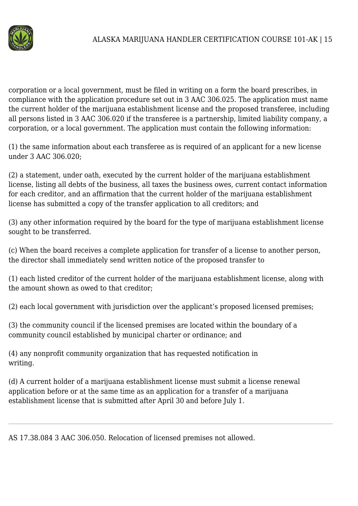

corporation or a local government, must be filed in writing on a form the board prescribes, in compliance with the application procedure set out in 3 AAC 306.025. The application must name the current holder of the marijuana establishment license and the proposed transferee, including all persons listed in 3 AAC 306.020 if the transferee is a partnership, limited liability company, a corporation, or a local government. The application must contain the following information:

(1) the same information about each transferee as is required of an applicant for a new license under 3 AAC 306.020;

(2) a statement, under oath, executed by the current holder of the marijuana establishment license, listing all debts of the business, all taxes the business owes, current contact information for each creditor, and an affirmation that the current holder of the marijuana establishment license has submitted a copy of the transfer application to all creditors; and

(3) any other information required by the board for the type of marijuana establishment license sought to be transferred.

(c) When the board receives a complete application for transfer of a license to another person, the director shall immediately send written notice of the proposed transfer to

(1) each listed creditor of the current holder of the marijuana establishment license, along with the amount shown as owed to that creditor;

(2) each local government with jurisdiction over the applicant's proposed licensed premises;

(3) the community council if the licensed premises are located within the boundary of a community council established by municipal charter or ordinance; and

(4) any nonprofit community organization that has requested notification in writing.

(d) A current holder of a marijuana establishment license must submit a license renewal application before or at the same time as an application for a transfer of a marijuana establishment license that is submitted after April 30 and before July 1.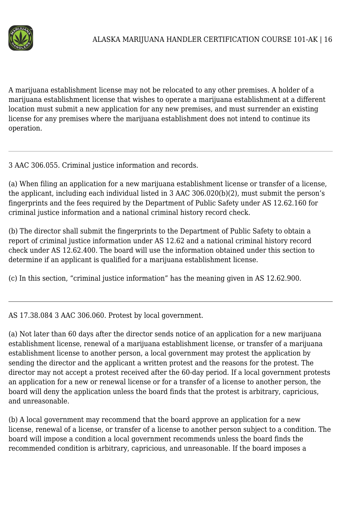

A marijuana establishment license may not be relocated to any other premises. A holder of a marijuana establishment license that wishes to operate a marijuana establishment at a different location must submit a new application for any new premises, and must surrender an existing license for any premises where the marijuana establishment does not intend to continue its operation.

3 AAC 306.055. Criminal justice information and records.

(a) When filing an application for a new marijuana establishment license or transfer of a license, the applicant, including each individual listed in 3 AAC 306.020(b)(2), must submit the person's fingerprints and the fees required by the Department of Public Safety under AS 12.62.160 for criminal justice information and a national criminal history record check.

(b) The director shall submit the fingerprints to the Department of Public Safety to obtain a report of criminal justice information under AS 12.62 and a national criminal history record check under AS 12.62.400. The board will use the information obtained under this section to determine if an applicant is qualified for a marijuana establishment license.

(c) In this section, "criminal justice information" has the meaning given in AS 12.62.900.

AS 17.38.084 3 AAC 306.060. Protest by local government.

(a) Not later than 60 days after the director sends notice of an application for a new marijuana establishment license, renewal of a marijuana establishment license, or transfer of a marijuana establishment license to another person, a local government may protest the application by sending the director and the applicant a written protest and the reasons for the protest. The director may not accept a protest received after the 60-day period. If a local government protests an application for a new or renewal license or for a transfer of a license to another person, the board will deny the application unless the board finds that the protest is arbitrary, capricious, and unreasonable.

(b) A local government may recommend that the board approve an application for a new license, renewal of a license, or transfer of a license to another person subject to a condition. The board will impose a condition a local government recommends unless the board finds the recommended condition is arbitrary, capricious, and unreasonable. If the board imposes a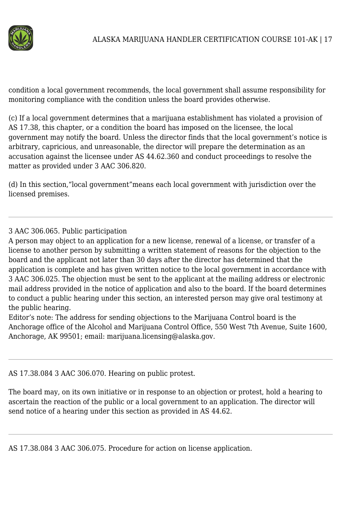

condition a local government recommends, the local government shall assume responsibility for monitoring compliance with the condition unless the board provides otherwise.

(c) If a local government determines that a marijuana establishment has violated a provision of AS 17.38, this chapter, or a condition the board has imposed on the licensee, the local government may notify the board. Unless the director finds that the local government's notice is arbitrary, capricious, and unreasonable, the director will prepare the determination as an accusation against the licensee under AS 44.62.360 and conduct proceedings to resolve the matter as provided under 3 AAC 306.820.

(d) In this section,"local government"means each local government with jurisdiction over the licensed premises.

## 3 AAC 306.065. Public participation

A person may object to an application for a new license, renewal of a license, or transfer of a license to another person by submitting a written statement of reasons for the objection to the board and the applicant not later than 30 days after the director has determined that the application is complete and has given written notice to the local government in accordance with 3 AAC 306.025. The objection must be sent to the applicant at the mailing address or electronic mail address provided in the notice of application and also to the board. If the board determines to conduct a public hearing under this section, an interested person may give oral testimony at the public hearing.

Editor's note: The address for sending objections to the Marijuana Control board is the Anchorage office of the Alcohol and Marijuana Control Office, 550 West 7th Avenue, Suite 1600, Anchorage, AK 99501; email: marijuana.licensing@alaska.gov.

AS 17.38.084 3 AAC 306.070. Hearing on public protest.

The board may, on its own initiative or in response to an objection or protest, hold a hearing to ascertain the reaction of the public or a local government to an application. The director will send notice of a hearing under this section as provided in AS 44.62.

AS 17.38.084 3 AAC 306.075. Procedure for action on license application.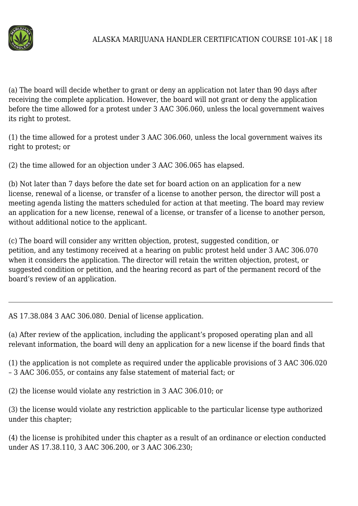

(a) The board will decide whether to grant or deny an application not later than 90 days after receiving the complete application. However, the board will not grant or deny the application before the time allowed for a protest under 3 AAC 306.060, unless the local government waives its right to protest.

(1) the time allowed for a protest under 3 AAC 306.060, unless the local government waives its right to protest; or

(2) the time allowed for an objection under 3 AAC 306.065 has elapsed.

(b) Not later than 7 days before the date set for board action on an application for a new license, renewal of a license, or transfer of a license to another person, the director will post a meeting agenda listing the matters scheduled for action at that meeting. The board may review an application for a new license, renewal of a license, or transfer of a license to another person, without additional notice to the applicant.

(c) The board will consider any written objection, protest, suggested condition, or petition, and any testimony received at a hearing on public protest held under 3 AAC 306.070 when it considers the application. The director will retain the written objection, protest, or suggested condition or petition, and the hearing record as part of the permanent record of the board's review of an application.

AS 17.38.084 3 AAC 306.080. Denial of license application.

(a) After review of the application, including the applicant's proposed operating plan and all relevant information, the board will deny an application for a new license if the board finds that

(1) the application is not complete as required under the applicable provisions of 3 AAC 306.020 – 3 AAC 306.055, or contains any false statement of material fact; or

(2) the license would violate any restriction in 3 AAC 306.010; or

(3) the license would violate any restriction applicable to the particular license type authorized under this chapter;

(4) the license is prohibited under this chapter as a result of an ordinance or election conducted under AS 17.38.110, 3 AAC 306.200, or 3 AAC 306.230;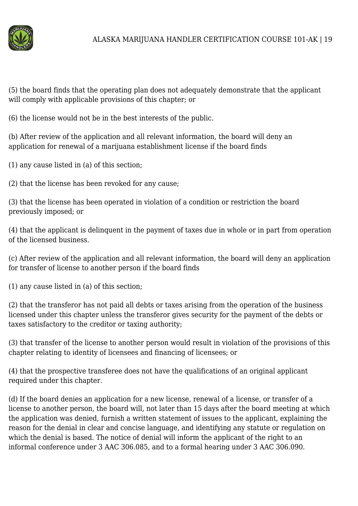

(5) the board finds that the operating plan does not adequately demonstrate that the applicant will comply with applicable provisions of this chapter; or

(6) the license would not be in the best interests of the public.

(b) After review of the application and all relevant information, the board will deny an application for renewal of a marijuana establishment license if the board finds

(1) any cause listed in (a) of this section;

(2) that the license has been revoked for any cause;

(3) that the license has been operated in violation of a condition or restriction the board previously imposed; or

(4) that the applicant is delinquent in the payment of taxes due in whole or in part from operation of the licensed business.

(c) After review of the application and all relevant information, the board will deny an application for transfer of license to another person if the board finds

(1) any cause listed in (a) of this section;

(2) that the transferor has not paid all debts or taxes arising from the operation of the business licensed under this chapter unless the transferor gives security for the payment of the debts or taxes satisfactory to the creditor or taxing authority;

(3) that transfer of the license to another person would result in violation of the provisions of this chapter relating to identity of licensees and financing of licensees; or

(4) that the prospective transferee does not have the qualifications of an original applicant required under this chapter.

(d) If the board denies an application for a new license, renewal of a license, or transfer of a license to another person, the board will, not later than 15 days after the board meeting at which the application was denied, furnish a written statement of issues to the applicant, explaining the reason for the denial in clear and concise language, and identifying any statute or regulation on which the denial is based. The notice of denial will inform the applicant of the right to an informal conference under 3 AAC 306.085, and to a formal hearing under 3 AAC 306.090.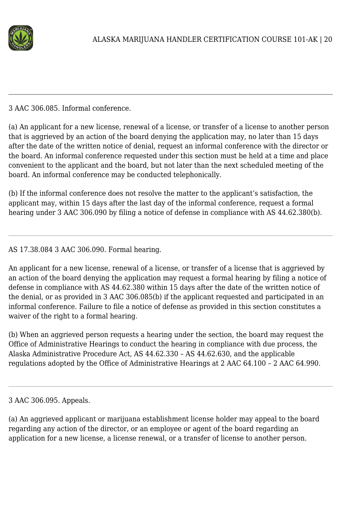

3 AAC 306.085. Informal conference.

(a) An applicant for a new license, renewal of a license, or transfer of a license to another person that is aggrieved by an action of the board denying the application may, no later than 15 days after the date of the written notice of denial, request an informal conference with the director or the board. An informal conference requested under this section must be held at a time and place convenient to the applicant and the board, but not later than the next scheduled meeting of the board. An informal conference may be conducted telephonically.

(b) If the informal conference does not resolve the matter to the applicant's satisfaction, the applicant may, within 15 days after the last day of the informal conference, request a formal hearing under 3 AAC 306.090 by filing a notice of defense in compliance with AS 44.62.380(b).

AS 17.38.084 3 AAC 306.090. Formal hearing.

An applicant for a new license, renewal of a license, or transfer of a license that is aggrieved by an action of the board denying the application may request a formal hearing by filing a notice of defense in compliance with AS 44.62.380 within 15 days after the date of the written notice of the denial, or as provided in 3 AAC 306.085(b) if the applicant requested and participated in an informal conference. Failure to file a notice of defense as provided in this section constitutes a waiver of the right to a formal hearing.

(b) When an aggrieved person requests a hearing under the section, the board may request the Office of Administrative Hearings to conduct the hearing in compliance with due process, the Alaska Administrative Procedure Act, AS 44.62.330 – AS 44.62.630, and the applicable regulations adopted by the Office of Administrative Hearings at 2 AAC 64.100 – 2 AAC 64.990.

(a) An aggrieved applicant or marijuana establishment license holder may appeal to the board regarding any action of the director, or an employee or agent of the board regarding an application for a new license, a license renewal, or a transfer of license to another person.

<sup>3</sup> AAC 306.095. Appeals.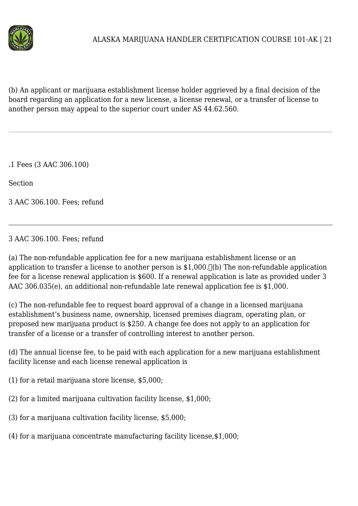

(b) An applicant or marijuana establishment license holder aggrieved by a final decision of the board regarding an application for a new license, a license renewal, or a transfer of license to another person may appeal to the superior court under AS 44.62.560.

.1 Fees (3 AAC 306.100)

Section

3 AAC 306.100. Fees; refund

## 3 AAC 306.100. Fees; refund

(a) The non-refundable application fee for a new marijuana establishment license or an application to transfer a license to another person is  $$1,000$ .  $\Box$ (b) The non-refundable application fee for a license renewal application is \$600. If a renewal application is late as provided under 3 AAC 306.035(e), an additional non-refundable late renewal application fee is \$1,000.

(c) The non-refundable fee to request board approval of a change in a licensed marijuana establishment's business name, ownership, licensed premises diagram, operating plan, or proposed new marijuana product is \$250. A change fee does not apply to an application for transfer of a license or a transfer of controlling interest to another person.

(d) The annual license fee, to be paid with each application for a new marijuana establishment facility license and each license renewal application is

- (1) for a retail marijuana store license, \$5,000;
- (2) for a limited marijuana cultivation facility license, \$1,000;
- (3) for a marijuana cultivation facility license, \$5,000;
- (4) for a marijuana concentrate manufacturing facility license,\$1,000;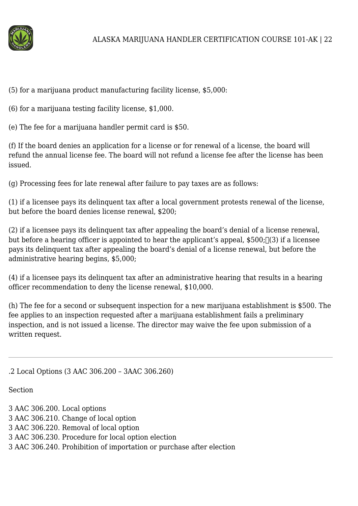

(5) for a marijuana product manufacturing facility license, \$5,000:

(6) for a marijuana testing facility license, \$1,000.

(e) The fee for a marijuana handler permit card is \$50.

(f) If the board denies an application for a license or for renewal of a license, the board will refund the annual license fee. The board will not refund a license fee after the license has been issued.

(g) Processing fees for late renewal after failure to pay taxes are as follows:

(1) if a licensee pays its delinquent tax after a local government protests renewal of the license, but before the board denies license renewal, \$200;

(2) if a licensee pays its delinquent tax after appealing the board's denial of a license renewal, but before a hearing officer is appointed to hear the applicant's appeal,  $$500;$  [(3) if a licensee pays its delinquent tax after appealing the board's denial of a license renewal, but before the administrative hearing begins, \$5,000;

(4) if a licensee pays its delinquent tax after an administrative hearing that results in a hearing officer recommendation to deny the license renewal, \$10,000.

(h) The fee for a second or subsequent inspection for a new marijuana establishment is \$500. The fee applies to an inspection requested after a marijuana establishment fails a preliminary inspection, and is not issued a license. The director may waive the fee upon submission of a written request.

.2 Local Options (3 AAC 306.200 – 3AAC 306.260)

**Section** 

- 3 AAC 306.200. Local options
- 3 AAC 306.210. Change of local option
- 3 AAC 306.220. Removal of local option
- 3 AAC 306.230. Procedure for local option election
- 3 AAC 306.240. Prohibition of importation or purchase after election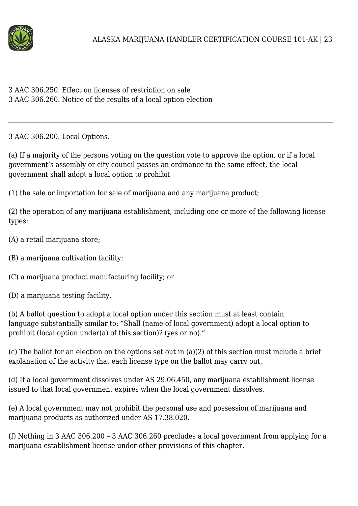

| 3 AAC 306.250. Effect on licenses of restriction on sale        |
|-----------------------------------------------------------------|
| 3 AAC 306.260. Notice of the results of a local option election |

3 AAC 306.200. Local Options.

(a) If a majority of the persons voting on the question vote to approve the option, or if a local government's assembly or city council passes an ordinance to the same effect, the local government shall adopt a local option to prohibit

(1) the sale or importation for sale of marijuana and any marijuana product;

(2) the operation of any marijuana establishment, including one or more of the following license types:

(A) a retail marijuana store;

(B) a marijuana cultivation facility;

(C) a marijuana product manufacturing facility; or

(D) a marijuana testing facility.

(b) A ballot question to adopt a local option under this section must at least contain language substantially similar to: "Shall (name of local government) adopt a local option to prohibit (local option under(a) of this section)? (yes or no)."

(c) The ballot for an election on the options set out in (a)(2) of this section must include a brief explanation of the activity that each license type on the ballot may carry out.

(d) If a local government dissolves under AS 29.06.450, any marijuana establishment license issued to that local government expires when the local government dissolves.

(e) A local government may not prohibit the personal use and possession of marijuana and marijuana products as authorized under AS 17.38.020.

(f) Nothing in 3 AAC 306.200 – 3 AAC 306.260 precludes a local government from applying for a marijuana establishment license under other provisions of this chapter.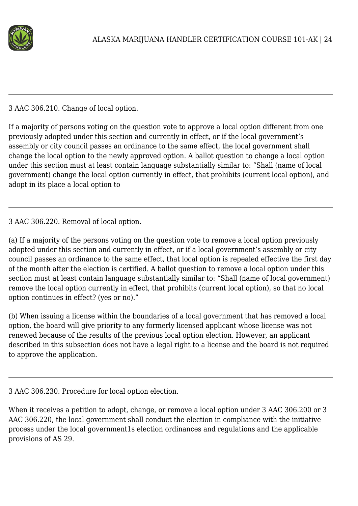

## 3 AAC 306.210. Change of local option.

If a majority of persons voting on the question vote to approve a local option different from one previously adopted under this section and currently in effect, or if the local government's assembly or city council passes an ordinance to the same effect, the local government shall change the local option to the newly approved option. A ballot question to change a local option under this section must at least contain language substantially similar to: "Shall (name of local government) change the local option currently in effect, that prohibits (current local option), and adopt in its place a local option to

## 3 AAC 306.220. Removal of local option.

(a) If a majority of the persons voting on the question vote to remove a local option previously adopted under this section and currently in effect, or if a local government's assembly or city council passes an ordinance to the same effect, that local option is repealed effective the first day of the month after the election is certified. A ballot question to remove a local option under this section must at least contain language substantially similar to: "Shall (name of local government) remove the local option currently in effect, that prohibits (current local option), so that no local option continues in effect? (yes or no)."

(b) When issuing a license within the boundaries of a local government that has removed a local option, the board will give priority to any formerly licensed applicant whose license was not renewed because of the results of the previous local option election. However, an applicant described in this subsection does not have a legal right to a license and the board is not required to approve the application.

#### 3 AAC 306.230. Procedure for local option election.

When it receives a petition to adopt, change, or remove a local option under 3 AAC 306.200 or 3 AAC 306.220, the local government shall conduct the election in compliance with the initiative process under the local government1s election ordinances and regulations and the applicable provisions of AS 29.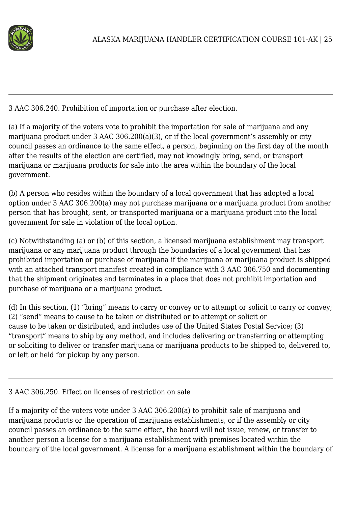

3 AAC 306.240. Prohibition of importation or purchase after election.

(a) If a majority of the voters vote to prohibit the importation for sale of marijuana and any marijuana product under 3 AAC 306.200(a)(3), or if the local government's assembly or city council passes an ordinance to the same effect, a person, beginning on the first day of the month after the results of the election are certified, may not knowingly bring, send, or transport marijuana or marijuana products for sale into the area within the boundary of the local government.

(b) A person who resides within the boundary of a local government that has adopted a local option under 3 AAC 306.200(a) may not purchase marijuana or a marijuana product from another person that has brought, sent, or transported marijuana or a marijuana product into the local government for sale in violation of the local option.

(c) Notwithstanding (a) or (b) of this section, a licensed marijuana establishment may transport marijuana or any marijuana product through the boundaries of a local government that has prohibited importation or purchase of marijuana if the marijuana or marijuana product is shipped with an attached transport manifest created in compliance with 3 AAC 306.750 and documenting that the shipment originates and terminates in a place that does not prohibit importation and purchase of marijuana or a marijuana product.

(d) In this section, (1) "bring" means to carry or convey or to attempt or solicit to carry or convey; (2) "send" means to cause to be taken or distributed or to attempt or solicit or cause to be taken or distributed, and includes use of the United States Postal Service; (3) "transport" means to ship by any method, and includes delivering or transferring or attempting or soliciting to deliver or transfer marijuana or marijuana products to be shipped to, delivered to, or left or held for pickup by any person.

# 3 AAC 306.250. Effect on licenses of restriction on sale

If a majority of the voters vote under 3 AAC 306.200(a) to prohibit sale of marijuana and marijuana products or the operation of marijuana establishments, or if the assembly or city council passes an ordinance to the same effect, the board will not issue, renew, or transfer to another person a license for a marijuana establishment with premises located within the boundary of the local government. A license for a marijuana establishment within the boundary of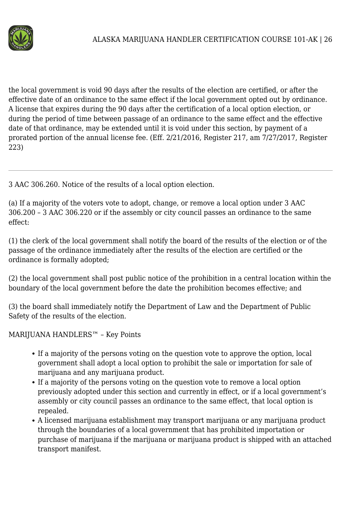

the local government is void 90 days after the results of the election are certified, or after the effective date of an ordinance to the same effect if the local government opted out by ordinance. A license that expires during the 90 days after the certification of a local option election, or during the period of time between passage of an ordinance to the same effect and the effective date of that ordinance, may be extended until it is void under this section, by payment of a prorated portion of the annual license fee. (Eff. 2/21/2016, Register 217, am 7/27/2017, Register 223)

3 AAC 306.260. Notice of the results of a local option election.

(a) If a majority of the voters vote to adopt, change, or remove a local option under 3 AAC 306.200 – 3 AAC 306.220 or if the assembly or city council passes an ordinance to the same effect:

(1) the clerk of the local government shall notify the board of the results of the election or of the passage of the ordinance immediately after the results of the election are certified or the ordinance is formally adopted;

(2) the local government shall post public notice of the prohibition in a central location within the boundary of the local government before the date the prohibition becomes effective; and

(3) the board shall immediately notify the Department of Law and the Department of Public Safety of the results of the election.

MARIJUANA HANDLERS™ – Key Points

- If a majority of the persons voting on the question vote to approve the option, local government shall adopt a local option to prohibit the sale or importation for sale of marijuana and any marijuana product.
- If a majority of the persons voting on the question vote to remove a local option previously adopted under this section and currently in effect, or if a local government's assembly or city council passes an ordinance to the same effect, that local option is repealed.
- A licensed marijuana establishment may transport marijuana or any marijuana product through the boundaries of a local government that has prohibited importation or purchase of marijuana if the marijuana or marijuana product is shipped with an attached transport manifest.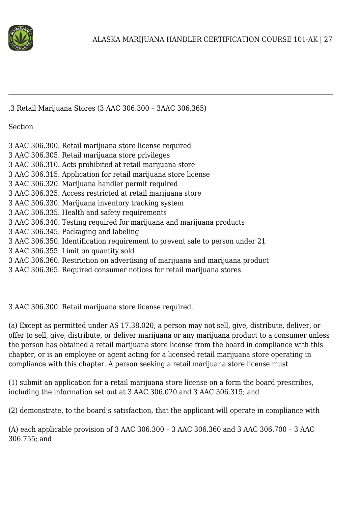

.3 Retail Marijuana Stores (3 AAC 306.300 – 3AAC 306.365)

Section

| 3 AAC 306.300. Retail marijuana store license required |  |
|--------------------------------------------------------|--|
|                                                        |  |

- 3 AAC 306.305. Retail marijuana store privileges
- 3 AAC 306.310. Acts prohibited at retail marijuana store
- 3 AAC 306.315. Application for retail marijuana store license
- 3 AAC 306.320. Marijuana handler permit required
- 3 AAC 306.325. Access restricted at retail marijuana store
- 3 AAC 306.330. Marijuana inventory tracking system
- 3 AAC 306.335. Health and safety requirements
- 3 AAC 306.340. Testing required for marijuana and marijuana products
- 3 AAC 306.345. Packaging and labeling
- 3 AAC 306.350. Identification requirement to prevent sale to person under 21
- 3 AAC 306.355. Limit on quantity sold
- 3 AAC 306.360. Restriction on advertising of marijuana and marijuana product
- 3 AAC 306.365. Required consumer notices for retail marijuana stores

3 AAC 306.300. Retail marijuana store license required.

(a) Except as permitted under AS 17.38.020, a person may not sell, give, distribute, deliver, or offer to sell, give, distribute, or deliver marijuana or any marijuana product to a consumer unless the person has obtained a retail marijuana store license from the board in compliance with this chapter, or is an employee or agent acting for a licensed retail marijuana store operating in compliance with this chapter. A person seeking a retail marijuana store license must

(1) submit an application for a retail marijuana store license on a form the board prescribes, including the information set out at 3 AAC 306.020 and 3 AAC 306.315; and

(2) demonstrate, to the board's satisfaction, that the applicant will operate in compliance with

(A) each applicable provision of 3 AAC 306.300 – 3 AAC 306.360 and 3 AAC 306.700 – 3 AAC 306.755; and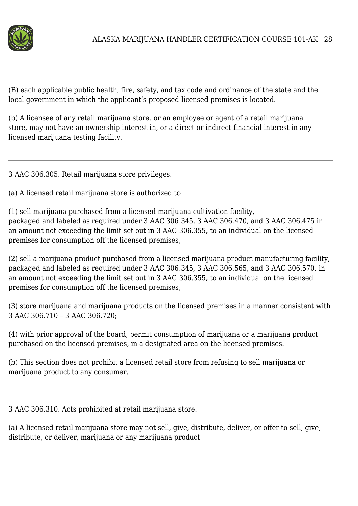

(B) each applicable public health, fire, safety, and tax code and ordinance of the state and the local government in which the applicant's proposed licensed premises is located.

(b) A licensee of any retail marijuana store, or an employee or agent of a retail marijuana store, may not have an ownership interest in, or a direct or indirect financial interest in any licensed marijuana testing facility.

3 AAC 306.305. Retail marijuana store privileges.

(a) A licensed retail marijuana store is authorized to

(1) sell marijuana purchased from a licensed marijuana cultivation facility, packaged and labeled as required under 3 AAC 306.345, 3 AAC 306.470, and 3 AAC 306.475 in an amount not exceeding the limit set out in 3 AAC 306.355, to an individual on the licensed premises for consumption off the licensed premises;

(2) sell a marijuana product purchased from a licensed marijuana product manufacturing facility, packaged and labeled as required under 3 AAC 306.345, 3 AAC 306.565, and 3 AAC 306.570, in an amount not exceeding the limit set out in 3 AAC 306.355, to an individual on the licensed premises for consumption off the licensed premises;

(3) store marijuana and marijuana products on the licensed premises in a manner consistent with 3 AAC 306.710 – 3 AAC 306.720;

(4) with prior approval of the board, permit consumption of marijuana or a marijuana product purchased on the licensed premises, in a designated area on the licensed premises.

(b) This section does not prohibit a licensed retail store from refusing to sell marijuana or marijuana product to any consumer.

3 AAC 306.310. Acts prohibited at retail marijuana store.

(a) A licensed retail marijuana store may not sell, give, distribute, deliver, or offer to sell, give, distribute, or deliver, marijuana or any marijuana product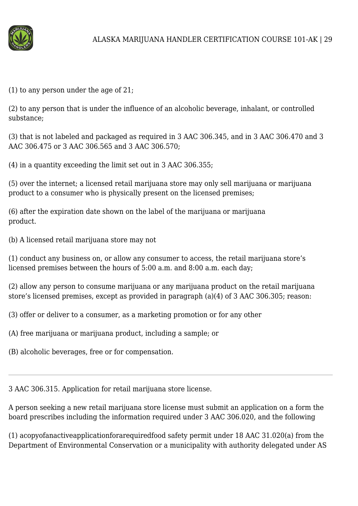

(1) to any person under the age of 21;

(2) to any person that is under the influence of an alcoholic beverage, inhalant, or controlled substance;

(3) that is not labeled and packaged as required in 3 AAC 306.345, and in 3 AAC 306.470 and 3 AAC 306.475 or 3 AAC 306.565 and 3 AAC 306.570;

(4) in a quantity exceeding the limit set out in 3 AAC 306.355;

(5) over the internet; a licensed retail marijuana store may only sell marijuana or marijuana product to a consumer who is physically present on the licensed premises;

(6) after the expiration date shown on the label of the marijuana or marijuana product.

(b) A licensed retail marijuana store may not

(1) conduct any business on, or allow any consumer to access, the retail marijuana store's licensed premises between the hours of 5:00 a.m. and 8:00 a.m. each day;

(2) allow any person to consume marijuana or any marijuana product on the retail marijuana store's licensed premises, except as provided in paragraph (a)(4) of 3 AAC 306.305; reason:

(3) offer or deliver to a consumer, as a marketing promotion or for any other

(A) free marijuana or marijuana product, including a sample; or

(B) alcoholic beverages, free or for compensation.

3 AAC 306.315. Application for retail marijuana store license.

A person seeking a new retail marijuana store license must submit an application on a form the board prescribes including the information required under 3 AAC 306.020, and the following

(1) acopyofanactiveapplicationforarequiredfood safety permit under 18 AAC 31.020(a) from the Department of Environmental Conservation or a municipality with authority delegated under AS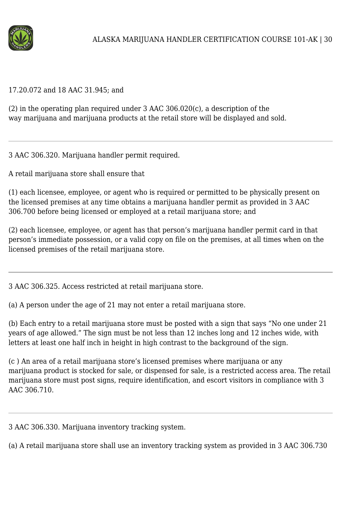

#### 17.20.072 and 18 AAC 31.945; and

(2) in the operating plan required under 3 AAC 306.020(c), a description of the way marijuana and marijuana products at the retail store will be displayed and sold.

3 AAC 306.320. Marijuana handler permit required.

A retail marijuana store shall ensure that

(1) each licensee, employee, or agent who is required or permitted to be physically present on the licensed premises at any time obtains a marijuana handler permit as provided in 3 AAC 306.700 before being licensed or employed at a retail marijuana store; and

(2) each licensee, employee, or agent has that person's marijuana handler permit card in that person's immediate possession, or a valid copy on file on the premises, at all times when on the licensed premises of the retail marijuana store.

3 AAC 306.325. Access restricted at retail marijuana store.

(a) A person under the age of 21 may not enter a retail marijuana store.

(b) Each entry to a retail marijuana store must be posted with a sign that says "No one under 21 years of age allowed." The sign must be not less than 12 inches long and 12 inches wide, with letters at least one half inch in height in high contrast to the background of the sign.

(c ) An area of a retail marijuana store's licensed premises where marijuana or any marijuana product is stocked for sale, or dispensed for sale, is a restricted access area. The retail marijuana store must post signs, require identification, and escort visitors in compliance with 3 AAC 306.710.

3 AAC 306.330. Marijuana inventory tracking system.

(a) A retail marijuana store shall use an inventory tracking system as provided in 3 AAC 306.730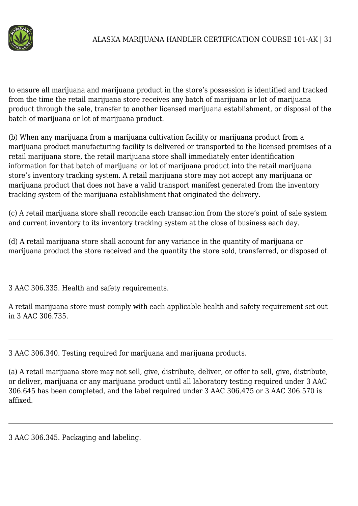

to ensure all marijuana and marijuana product in the store's possession is identified and tracked from the time the retail marijuana store receives any batch of marijuana or lot of marijuana product through the sale, transfer to another licensed marijuana establishment, or disposal of the batch of marijuana or lot of marijuana product.

(b) When any marijuana from a marijuana cultivation facility or marijuana product from a marijuana product manufacturing facility is delivered or transported to the licensed premises of a retail marijuana store, the retail marijuana store shall immediately enter identification information for that batch of marijuana or lot of marijuana product into the retail marijuana store's inventory tracking system. A retail marijuana store may not accept any marijuana or marijuana product that does not have a valid transport manifest generated from the inventory tracking system of the marijuana establishment that originated the delivery.

(c) A retail marijuana store shall reconcile each transaction from the store's point of sale system and current inventory to its inventory tracking system at the close of business each day.

(d) A retail marijuana store shall account for any variance in the quantity of marijuana or marijuana product the store received and the quantity the store sold, transferred, or disposed of.

3 AAC 306.335. Health and safety requirements.

A retail marijuana store must comply with each applicable health and safety requirement set out in 3 AAC 306.735.

3 AAC 306.340. Testing required for marijuana and marijuana products.

(a) A retail marijuana store may not sell, give, distribute, deliver, or offer to sell, give, distribute, or deliver, marijuana or any marijuana product until all laboratory testing required under 3 AAC 306.645 has been completed, and the label required under 3 AAC 306.475 or 3 AAC 306.570 is affixed.

3 AAC 306.345. Packaging and labeling.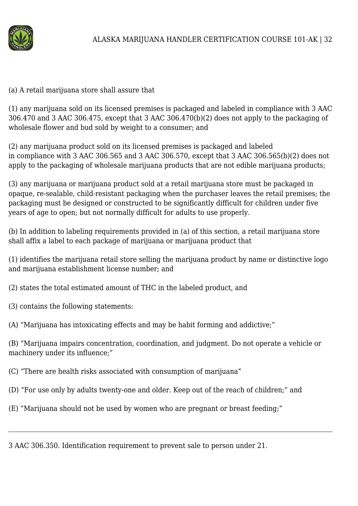

#### (a) A retail marijuana store shall assure that

(1) any marijuana sold on its licensed premises is packaged and labeled in compliance with 3 AAC 306.470 and 3 AAC 306.475, except that 3 AAC 306.470(b)(2) does not apply to the packaging of wholesale flower and bud sold by weight to a consumer; and

(2) any marijuana product sold on its licensed premises is packaged and labeled in compliance with 3 AAC 306.565 and 3 AAC 306.570, except that 3 AAC 306.565(b)(2) does not apply to the packaging of wholesale marijuana products that are not edible marijuana products;

(3) any marijuana or marijuana product sold at a retail marijuana store must be packaged in opaque, re-sealable, child-resistant packaging when the purchaser leaves the retail premises; the packaging must be designed or constructed to be significantly difficult for children under five years of age to open; but not normally difficult for adults to use properly.

(b) In addition to labeling requirements provided in (a) of this section, a retail marijuana store shall affix a label to each package of marijuana or marijuana product that

(1) identifies the marijuana retail store selling the marijuana product by name or distinctive logo and marijuana establishment license number; and

- (2) states the total estimated amount of THC in the labeled product, and
- (3) contains the following statements:

(A) "Marijuana has intoxicating effects and may be habit forming and addictive;"

(B) "Marijuana impairs concentration, coordination, and judgment. Do not operate a vehicle or machinery under its influence;"

(C) "There are health risks associated with consumption of marijuana"

(D) "For use only by adults twenty-one and older. Keep out of the reach of children;" and

(E) "Marijuana should not be used by women who are pregnant or breast feeding;"

3 AAC 306.350. Identification requirement to prevent sale to person under 21.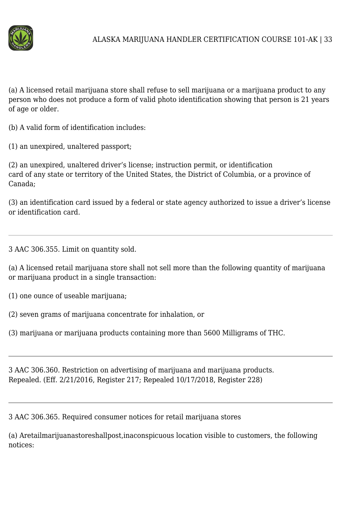

(a) A licensed retail marijuana store shall refuse to sell marijuana or a marijuana product to any person who does not produce a form of valid photo identification showing that person is 21 years of age or older.

(b) A valid form of identification includes:

(1) an unexpired, unaltered passport;

(2) an unexpired, unaltered driver's license; instruction permit, or identification card of any state or territory of the United States, the District of Columbia, or a province of Canada;

(3) an identification card issued by a federal or state agency authorized to issue a driver's license or identification card.

3 AAC 306.355. Limit on quantity sold.

(a) A licensed retail marijuana store shall not sell more than the following quantity of marijuana or marijuana product in a single transaction:

(1) one ounce of useable marijuana;

(2) seven grams of marijuana concentrate for inhalation, or

(3) marijuana or marijuana products containing more than 5600 Milligrams of THC.

3 AAC 306.360. Restriction on advertising of marijuana and marijuana products. Repealed. (Eff. 2/21/2016, Register 217; Repealed 10/17/2018, Register 228)

3 AAC 306.365. Required consumer notices for retail marijuana stores

(a) Aretailmarijuanastoreshallpost,inaconspicuous location visible to customers, the following notices: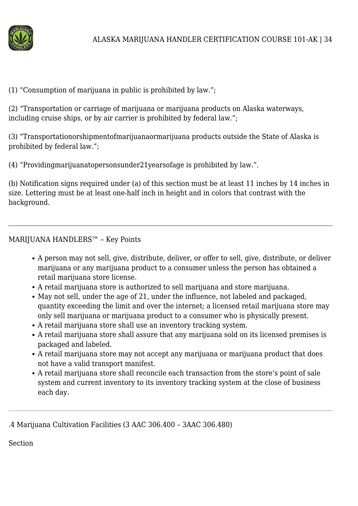

# (1) "Consumption of marijuana in public is prohibited by law.";

(2) "Transportation or carriage of marijuana or marijuana products on Alaska waterways, including cruise ships, or by air carrier is prohibited by federal law.";

(3) "Transportationorshipmentofmarijuanaormarijuana products outside the State of Alaska is prohibited by federal law.";

(4) "Providingmarijuanatopersonsunder21yearsofage is prohibited by law.".

(b) Notification signs required under (a) of this section must be at least 11 inches by 14 inches in size. Lettering must be at least one-half inch in height and in colors that contrast with the background.

# MARIJUANA HANDLERS™ – Key Points

- A person may not sell, give, distribute, deliver, or offer to sell, give, distribute, or deliver marijuana or any marijuana product to a consumer unless the person has obtained a retail marijuana store license.
- A retail marijuana store is authorized to sell marijuana and store marijuana.
- May not sell, under the age of 21, under the influence, not labeled and packaged, quantity exceeding the limit and over the internet; a licensed retail marijuana store may only sell marijuana or marijuana product to a consumer who is physically present.
- A retail marijuana store shall use an inventory tracking system.
- A retail marijuana store shall assure that any marijuana sold on its licensed premises is packaged and labeled.
- A retail marijuana store may not accept any marijuana or marijuana product that does not have a valid transport manifest.
- A retail marijuana store shall reconcile each transaction from the store's point of sale system and current inventory to its inventory tracking system at the close of business each day.

.4 Marijuana Cultivation Facilities (3 AAC 306.400 – 3AAC 306.480)

Section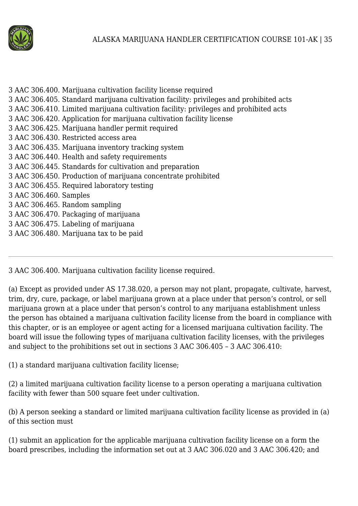

3 AAC 306.400. Marijuana cultivation facility license required 3 AAC 306.405. Standard marijuana cultivation facility: privileges and prohibited acts 3 AAC 306.410. Limited marijuana cultivation facility: privileges and prohibited acts 3 AAC 306.420. Application for marijuana cultivation facility license 3 AAC 306.425. Marijuana handler permit required 3 AAC 306.430. Restricted access area 3 AAC 306.435. Marijuana inventory tracking system 3 AAC 306.440. Health and safety requirements 3 AAC 306.445. Standards for cultivation and preparation 3 AAC 306.450. Production of marijuana concentrate prohibited 3 AAC 306.455. Required laboratory testing 3 AAC 306.460. Samples 3 AAC 306.465. Random sampling 3 AAC 306.470. Packaging of marijuana 3 AAC 306.475. Labeling of marijuana 3 AAC 306.480. Marijuana tax to be paid

3 AAC 306.400. Marijuana cultivation facility license required.

(a) Except as provided under AS 17.38.020, a person may not plant, propagate, cultivate, harvest, trim, dry, cure, package, or label marijuana grown at a place under that person's control, or sell marijuana grown at a place under that person's control to any marijuana establishment unless the person has obtained a marijuana cultivation facility license from the board in compliance with this chapter, or is an employee or agent acting for a licensed marijuana cultivation facility. The board will issue the following types of marijuana cultivation facility licenses, with the privileges and subject to the prohibitions set out in sections 3 AAC 306.405 – 3 AAC 306.410:

(1) a standard marijuana cultivation facility license;

(2) a limited marijuana cultivation facility license to a person operating a marijuana cultivation facility with fewer than 500 square feet under cultivation.

(b) A person seeking a standard or limited marijuana cultivation facility license as provided in (a) of this section must

(1) submit an application for the applicable marijuana cultivation facility license on a form the board prescribes, including the information set out at 3 AAC 306.020 and 3 AAC 306.420; and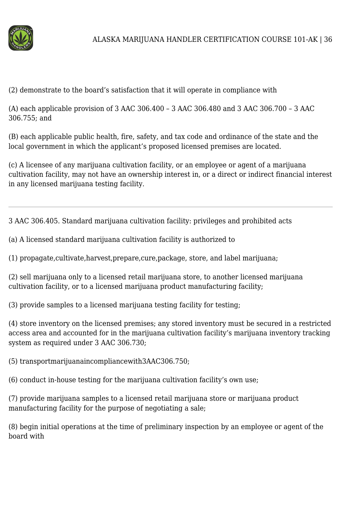

(2) demonstrate to the board's satisfaction that it will operate in compliance with

(A) each applicable provision of 3 AAC 306.400 – 3 AAC 306.480 and 3 AAC 306.700 – 3 AAC 306.755; and

(B) each applicable public health, fire, safety, and tax code and ordinance of the state and the local government in which the applicant's proposed licensed premises are located.

(c) A licensee of any marijuana cultivation facility, or an employee or agent of a marijuana cultivation facility, may not have an ownership interest in, or a direct or indirect financial interest in any licensed marijuana testing facility.

3 AAC 306.405. Standard marijuana cultivation facility: privileges and prohibited acts

(a) A licensed standard marijuana cultivation facility is authorized to

(1) propagate,cultivate,harvest,prepare,cure,package, store, and label marijuana;

(2) sell marijuana only to a licensed retail marijuana store, to another licensed marijuana cultivation facility, or to a licensed marijuana product manufacturing facility;

(3) provide samples to a licensed marijuana testing facility for testing;

(4) store inventory on the licensed premises; any stored inventory must be secured in a restricted access area and accounted for in the marijuana cultivation facility's marijuana inventory tracking system as required under 3 AAC 306.730;

(5) transportmarijuanaincompliancewith3AAC306.750;

(6) conduct in-house testing for the marijuana cultivation facility's own use;

(7) provide marijuana samples to a licensed retail marijuana store or marijuana product manufacturing facility for the purpose of negotiating a sale;

(8) begin initial operations at the time of preliminary inspection by an employee or agent of the board with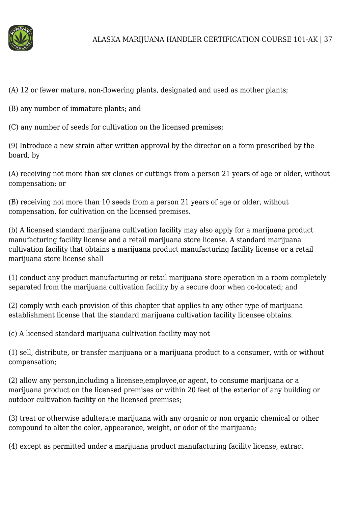

(A) 12 or fewer mature, non-flowering plants, designated and used as mother plants;

(B) any number of immature plants; and

(C) any number of seeds for cultivation on the licensed premises;

(9) Introduce a new strain after written approval by the director on a form prescribed by the board, by

(A) receiving not more than six clones or cuttings from a person 21 years of age or older, without compensation; or

(B) receiving not more than 10 seeds from a person 21 years of age or older, without compensation, for cultivation on the licensed premises.

(b) A licensed standard marijuana cultivation facility may also apply for a marijuana product manufacturing facility license and a retail marijuana store license. A standard marijuana cultivation facility that obtains a marijuana product manufacturing facility license or a retail marijuana store license shall

(1) conduct any product manufacturing or retail marijuana store operation in a room completely separated from the marijuana cultivation facility by a secure door when co-located; and

(2) comply with each provision of this chapter that applies to any other type of marijuana establishment license that the standard marijuana cultivation facility licensee obtains.

(c) A licensed standard marijuana cultivation facility may not

(1) sell, distribute, or transfer marijuana or a marijuana product to a consumer, with or without compensation;

(2) allow any person,including a licensee,employee,or agent, to consume marijuana or a marijuana product on the licensed premises or within 20 feet of the exterior of any building or outdoor cultivation facility on the licensed premises;

(3) treat or otherwise adulterate marijuana with any organic or non organic chemical or other compound to alter the color, appearance, weight, or odor of the marijuana;

(4) except as permitted under a marijuana product manufacturing facility license, extract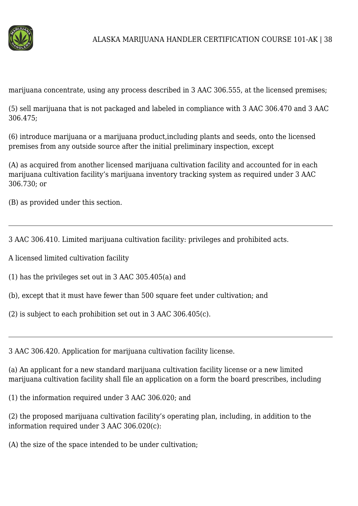

marijuana concentrate, using any process described in 3 AAC 306.555, at the licensed premises;

(5) sell marijuana that is not packaged and labeled in compliance with 3 AAC 306.470 and 3 AAC 306.475;

(6) introduce marijuana or a marijuana product,including plants and seeds, onto the licensed premises from any outside source after the initial preliminary inspection, except

(A) as acquired from another licensed marijuana cultivation facility and accounted for in each marijuana cultivation facility's marijuana inventory tracking system as required under 3 AAC 306.730; or

(B) as provided under this section.

3 AAC 306.410. Limited marijuana cultivation facility: privileges and prohibited acts.

A licensed limited cultivation facility

(1) has the privileges set out in 3 AAC 305.405(a) and

(b), except that it must have fewer than 500 square feet under cultivation; and

(2) is subject to each prohibition set out in 3 AAC 306.405(c).

3 AAC 306.420. Application for marijuana cultivation facility license.

(a) An applicant for a new standard marijuana cultivation facility license or a new limited marijuana cultivation facility shall file an application on a form the board prescribes, including

(1) the information required under 3 AAC 306.020; and

(2) the proposed marijuana cultivation facility's operating plan, including, in addition to the information required under 3 AAC 306.020(c):

(A) the size of the space intended to be under cultivation;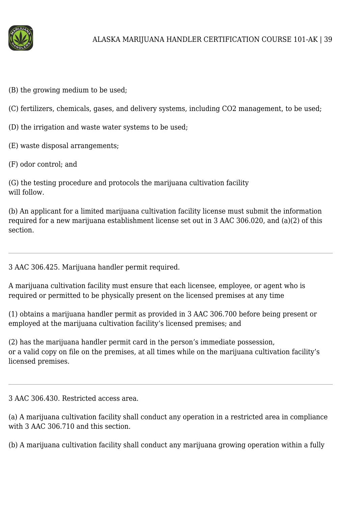

(B) the growing medium to be used;

(C) fertilizers, chemicals, gases, and delivery systems, including CO2 management, to be used;

(D) the irrigation and waste water systems to be used;

(E) waste disposal arrangements;

(F) odor control; and

(G) the testing procedure and protocols the marijuana cultivation facility will follow.

(b) An applicant for a limited marijuana cultivation facility license must submit the information required for a new marijuana establishment license set out in 3 AAC 306.020, and (a)(2) of this section.

3 AAC 306.425. Marijuana handler permit required.

A marijuana cultivation facility must ensure that each licensee, employee, or agent who is required or permitted to be physically present on the licensed premises at any time

(1) obtains a marijuana handler permit as provided in 3 AAC 306.700 before being present or employed at the marijuana cultivation facility's licensed premises; and

(2) has the marijuana handler permit card in the person's immediate possession, or a valid copy on file on the premises, at all times while on the marijuana cultivation facility's licensed premises.

3 AAC 306.430. Restricted access area.

(a) A marijuana cultivation facility shall conduct any operation in a restricted area in compliance with 3 AAC 306.710 and this section.

(b) A marijuana cultivation facility shall conduct any marijuana growing operation within a fully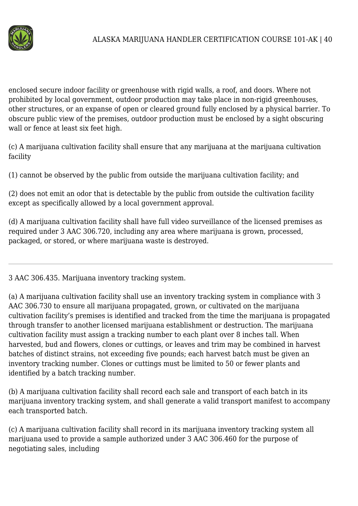

enclosed secure indoor facility or greenhouse with rigid walls, a roof, and doors. Where not prohibited by local government, outdoor production may take place in non-rigid greenhouses, other structures, or an expanse of open or cleared ground fully enclosed by a physical barrier. To obscure public view of the premises, outdoor production must be enclosed by a sight obscuring wall or fence at least six feet high.

(c) A marijuana cultivation facility shall ensure that any marijuana at the marijuana cultivation facility

(1) cannot be observed by the public from outside the marijuana cultivation facility; and

(2) does not emit an odor that is detectable by the public from outside the cultivation facility except as specifically allowed by a local government approval.

(d) A marijuana cultivation facility shall have full video surveillance of the licensed premises as required under 3 AAC 306.720, including any area where marijuana is grown, processed, packaged, or stored, or where marijuana waste is destroyed.

3 AAC 306.435. Marijuana inventory tracking system.

(a) A marijuana cultivation facility shall use an inventory tracking system in compliance with 3 AAC 306.730 to ensure all marijuana propagated, grown, or cultivated on the marijuana cultivation facility's premises is identified and tracked from the time the marijuana is propagated through transfer to another licensed marijuana establishment or destruction. The marijuana cultivation facility must assign a tracking number to each plant over 8 inches tall. When harvested, bud and flowers, clones or cuttings, or leaves and trim may be combined in harvest batches of distinct strains, not exceeding five pounds; each harvest batch must be given an inventory tracking number. Clones or cuttings must be limited to 50 or fewer plants and identified by a batch tracking number.

(b) A marijuana cultivation facility shall record each sale and transport of each batch in its marijuana inventory tracking system, and shall generate a valid transport manifest to accompany each transported batch.

(c) A marijuana cultivation facility shall record in its marijuana inventory tracking system all marijuana used to provide a sample authorized under 3 AAC 306.460 for the purpose of negotiating sales, including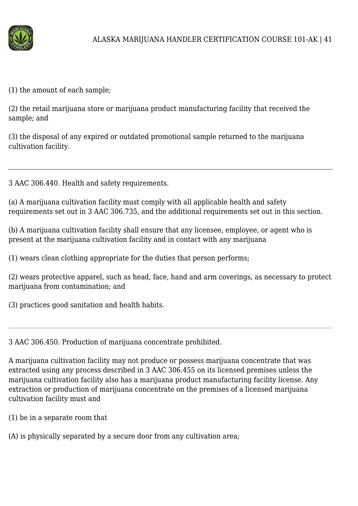

(1) the amount of each sample;

(2) the retail marijuana store or marijuana product manufacturing facility that received the sample; and

(3) the disposal of any expired or outdated promotional sample returned to the marijuana cultivation facility.

3 AAC 306.440. Health and safety requirements.

(a) A marijuana cultivation facility must comply with all applicable health and safety requirements set out in 3 AAC 306.735, and the additional requirements set out in this section.

(b) A marijuana cultivation facility shall ensure that any licensee, employee, or agent who is present at the marijuana cultivation facility and in contact with any marijuana

(1) wears clean clothing appropriate for the duties that person performs;

(2) wears protective apparel, such as head, face, hand and arm coverings, as necessary to protect marijuana from contamination: and

(3) practices good sanitation and health habits.

3 AAC 306.450. Production of marijuana concentrate prohibited.

A marijuana cultivation facility may not produce or possess marijuana concentrate that was extracted using any process described in 3 AAC 306.455 on its licensed premises unless the marijuana cultivation facility also has a marijuana product manufacturing facility license. Any extraction or production of marijuana concentrate on the premises of a licensed marijuana cultivation facility must and

(1) be in a separate room that

(A) is physically separated by a secure door from any cultivation area;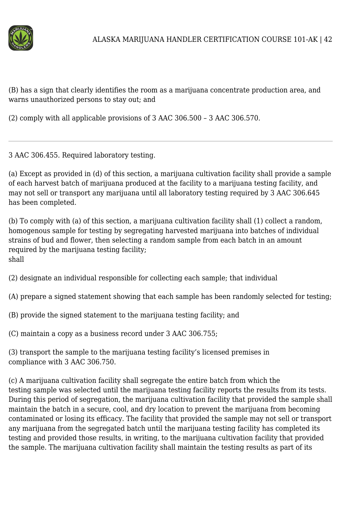

(B) has a sign that clearly identifies the room as a marijuana concentrate production area, and warns unauthorized persons to stay out; and

(2) comply with all applicable provisions of 3 AAC 306.500 – 3 AAC 306.570.

3 AAC 306.455. Required laboratory testing.

(a) Except as provided in (d) of this section, a marijuana cultivation facility shall provide a sample of each harvest batch of marijuana produced at the facility to a marijuana testing facility, and may not sell or transport any marijuana until all laboratory testing required by 3 AAC 306.645 has been completed.

(b) To comply with (a) of this section, a marijuana cultivation facility shall (1) collect a random, homogenous sample for testing by segregating harvested marijuana into batches of individual strains of bud and flower, then selecting a random sample from each batch in an amount required by the marijuana testing facility; shall

(2) designate an individual responsible for collecting each sample; that individual

(A) prepare a signed statement showing that each sample has been randomly selected for testing;

(B) provide the signed statement to the marijuana testing facility; and

(C) maintain a copy as a business record under 3 AAC 306.755;

(3) transport the sample to the marijuana testing facility's licensed premises in compliance with 3 AAC 306.750.

(c) A marijuana cultivation facility shall segregate the entire batch from which the testing sample was selected until the marijuana testing facility reports the results from its tests. During this period of segregation, the marijuana cultivation facility that provided the sample shall maintain the batch in a secure, cool, and dry location to prevent the marijuana from becoming contaminated or losing its efficacy. The facility that provided the sample may not sell or transport any marijuana from the segregated batch until the marijuana testing facility has completed its testing and provided those results, in writing, to the marijuana cultivation facility that provided the sample. The marijuana cultivation facility shall maintain the testing results as part of its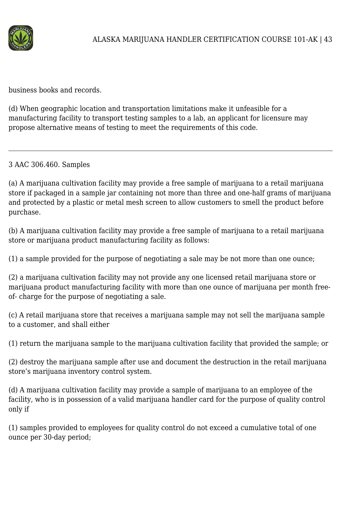

business books and records.

(d) When geographic location and transportation limitations make it unfeasible for a manufacturing facility to transport testing samples to a lab, an applicant for licensure may propose alternative means of testing to meet the requirements of this code.

3 AAC 306.460. Samples

(a) A marijuana cultivation facility may provide a free sample of marijuana to a retail marijuana store if packaged in a sample jar containing not more than three and one-half grams of marijuana and protected by a plastic or metal mesh screen to allow customers to smell the product before purchase.

(b) A marijuana cultivation facility may provide a free sample of marijuana to a retail marijuana store or marijuana product manufacturing facility as follows:

(1) a sample provided for the purpose of negotiating a sale may be not more than one ounce;

(2) a marijuana cultivation facility may not provide any one licensed retail marijuana store or marijuana product manufacturing facility with more than one ounce of marijuana per month freeof- charge for the purpose of negotiating a sale.

(c) A retail marijuana store that receives a marijuana sample may not sell the marijuana sample to a customer, and shall either

(1) return the marijuana sample to the marijuana cultivation facility that provided the sample; or

(2) destroy the marijuana sample after use and document the destruction in the retail marijuana store's marijuana inventory control system.

(d) A marijuana cultivation facility may provide a sample of marijuana to an employee of the facility, who is in possession of a valid marijuana handler card for the purpose of quality control only if

(1) samples provided to employees for quality control do not exceed a cumulative total of one ounce per 30-day period;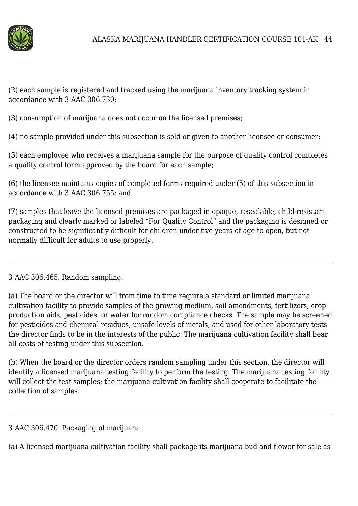

(2) each sample is registered and tracked using the marijuana inventory tracking system in accordance with 3 AAC 306.730;

(3) consumption of marijuana does not occur on the licensed premises;

(4) no sample provided under this subsection is sold or given to another licensee or consumer;

(5) each employee who receives a marijuana sample for the purpose of quality control completes a quality control form approved by the board for each sample;

(6) the licensee maintains copies of completed forms required under (5) of this subsection in accordance with 3 AAC 306.755; and

(7) samples that leave the licensed premises are packaged in opaque, resealable, child-resistant packaging and clearly marked or labeled "For Quality Control" and the packaging is designed or constructed to be significantly difficult for children under five years of age to open, but not normally difficult for adults to use properly.

3 AAC 306.465. Random sampling.

(a) The board or the director will from time to time require a standard or limited marijuana cultivation facility to provide samples of the growing medium, soil amendments, fertilizers, crop production aids, pesticides, or water for random compliance checks. The sample may be screened for pesticides and chemical residues, unsafe levels of metals, and used for other laboratory tests the director finds to be in the interests of the public. The marijuana cultivation facility shall bear all costs of testing under this subsection.

(b) When the board or the director orders random sampling under this section, the director will identify a licensed marijuana testing facility to perform the testing. The marijuana testing facility will collect the test samples; the marijuana cultivation facility shall cooperate to facilitate the collection of samples.

3 AAC 306.470. Packaging of marijuana.

(a) A licensed marijuana cultivation facility shall package its marijuana bud and flower for sale as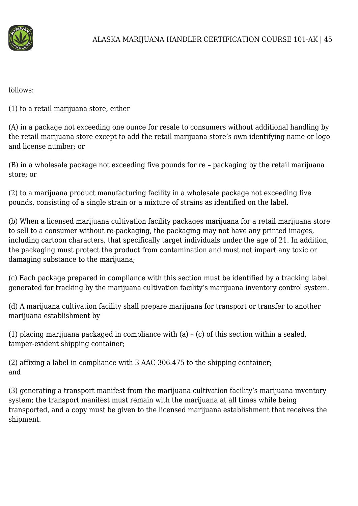

follows:

(1) to a retail marijuana store, either

(A) in a package not exceeding one ounce for resale to consumers without additional handling by the retail marijuana store except to add the retail marijuana store's own identifying name or logo and license number; or

(B) in a wholesale package not exceeding five pounds for re – packaging by the retail marijuana store; or

(2) to a marijuana product manufacturing facility in a wholesale package not exceeding five pounds, consisting of a single strain or a mixture of strains as identified on the label.

(b) When a licensed marijuana cultivation facility packages marijuana for a retail marijuana store to sell to a consumer without re-packaging, the packaging may not have any printed images, including cartoon characters, that specifically target individuals under the age of 21. In addition, the packaging must protect the product from contamination and must not impart any toxic or damaging substance to the marijuana;

(c) Each package prepared in compliance with this section must be identified by a tracking label generated for tracking by the marijuana cultivation facility's marijuana inventory control system.

(d) A marijuana cultivation facility shall prepare marijuana for transport or transfer to another marijuana establishment by

(1) placing marijuana packaged in compliance with (a) – (c) of this section within a sealed, tamper-evident shipping container;

(2) affixing a label in compliance with 3 AAC 306.475 to the shipping container; and

(3) generating a transport manifest from the marijuana cultivation facility's marijuana inventory system; the transport manifest must remain with the marijuana at all times while being transported, and a copy must be given to the licensed marijuana establishment that receives the shipment.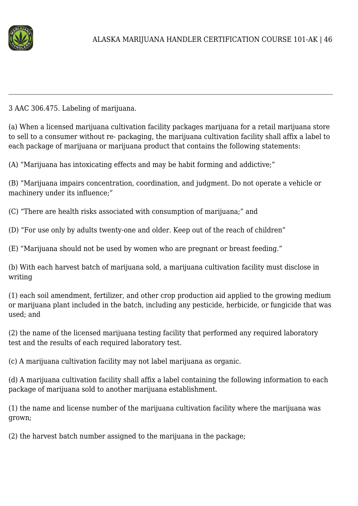

3 AAC 306.475. Labeling of marijuana.

(a) When a licensed marijuana cultivation facility packages marijuana for a retail marijuana store to sell to a consumer without re- packaging, the marijuana cultivation facility shall affix a label to each package of marijuana or marijuana product that contains the following statements:

(A) "Marijuana has intoxicating effects and may be habit forming and addictive;"

(B) "Marijuana impairs concentration, coordination, and judgment. Do not operate a vehicle or machinery under its influence;"

(C) "There are health risks associated with consumption of marijuana;" and

(D) "For use only by adults twenty-one and older. Keep out of the reach of children"

(E) "Marijuana should not be used by women who are pregnant or breast feeding."

(b) With each harvest batch of marijuana sold, a marijuana cultivation facility must disclose in writing

(1) each soil amendment, fertilizer, and other crop production aid applied to the growing medium or marijuana plant included in the batch, including any pesticide, herbicide, or fungicide that was used; and

(2) the name of the licensed marijuana testing facility that performed any required laboratory test and the results of each required laboratory test.

(c) A marijuana cultivation facility may not label marijuana as organic.

(d) A marijuana cultivation facility shall affix a label containing the following information to each package of marijuana sold to another marijuana establishment.

(1) the name and license number of the marijuana cultivation facility where the marijuana was grown;

(2) the harvest batch number assigned to the marijuana in the package;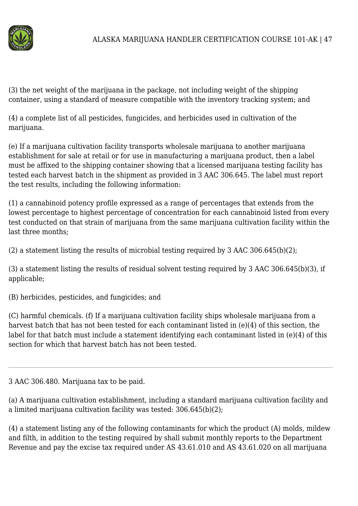

(3) the net weight of the marijuana in the package, not including weight of the shipping container, using a standard of measure compatible with the inventory tracking system; and

(4) a complete list of all pesticides, fungicides, and herbicides used in cultivation of the marijuana.

(e) If a marijuana cultivation facility transports wholesale marijuana to another marijuana establishment for sale at retail or for use in manufacturing a marijuana product, then a label must be affixed to the shipping container showing that a licensed marijuana testing facility has tested each harvest batch in the shipment as provided in 3 AAC 306.645. The label must report the test results, including the following information:

(1) a cannabinoid potency profile expressed as a range of percentages that extends from the lowest percentage to highest percentage of concentration for each cannabinoid listed from every test conducted on that strain of marijuana from the same marijuana cultivation facility within the last three months;

(2) a statement listing the results of microbial testing required by 3 AAC 306.645(b)(2);

(3) a statement listing the results of residual solvent testing required by 3 AAC 306.645(b)(3), if applicable;

(B) herbicides, pesticides, and fungicides; and

(C) harmful chemicals. (f) If a marijuana cultivation facility ships wholesale marijuana from a harvest batch that has not been tested for each contaminant listed in (e)(4) of this section, the label for that batch must include a statement identifying each contaminant listed in (e)(4) of this section for which that harvest batch has not been tested.

3 AAC 306.480. Marijuana tax to be paid.

(a) A marijuana cultivation establishment, including a standard marijuana cultivation facility and a limited marijuana cultivation facility was tested: 306.645(b)(2);

(4) a statement listing any of the following contaminants for which the product (A) molds, mildew and filth, in addition to the testing required by shall submit monthly reports to the Department Revenue and pay the excise tax required under AS 43.61.010 and AS 43.61.020 on all marijuana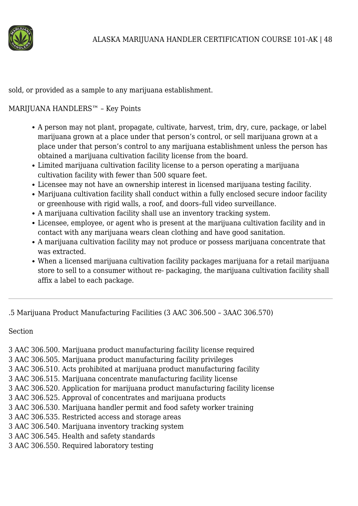

sold, or provided as a sample to any marijuana establishment.

# MARIJUANA HANDLERS™ – Key Points

- A person may not plant, propagate, cultivate, harvest, trim, dry, cure, package, or label marijuana grown at a place under that person's control, or sell marijuana grown at a place under that person's control to any marijuana establishment unless the person has obtained a marijuana cultivation facility license from the board.
- Limited marijuana cultivation facility license to a person operating a marijuana cultivation facility with fewer than 500 square feet.
- Licensee may not have an ownership interest in licensed marijuana testing facility.
- Marijuana cultivation facility shall conduct within a fully enclosed secure indoor facility or greenhouse with rigid walls, a roof, and doors–full video surveillance.
- A marijuana cultivation facility shall use an inventory tracking system.
- Licensee, employee, or agent who is present at the marijuana cultivation facility and in contact with any marijuana wears clean clothing and have good sanitation.
- A marijuana cultivation facility may not produce or possess marijuana concentrate that was extracted.
- When a licensed marijuana cultivation facility packages marijuana for a retail marijuana store to sell to a consumer without re- packaging, the marijuana cultivation facility shall affix a label to each package.

.5 Marijuana Product Manufacturing Facilities (3 AAC 306.500 – 3AAC 306.570)

Section

- 3 AAC 306.500. Marijuana product manufacturing facility license required
- 3 AAC 306.505. Marijuana product manufacturing facility privileges
- 3 AAC 306.510. Acts prohibited at marijuana product manufacturing facility
- 3 AAC 306.515. Marijuana concentrate manufacturing facility license
- 3 AAC 306.520. Application for marijuana product manufacturing facility license
- 3 AAC 306.525. Approval of concentrates and marijuana products
- 3 AAC 306.530. Marijuana handler permit and food safety worker training
- 3 AAC 306.535. Restricted access and storage areas
- 3 AAC 306.540. Marijuana inventory tracking system
- 3 AAC 306.545. Health and safety standards
- 3 AAC 306.550. Required laboratory testing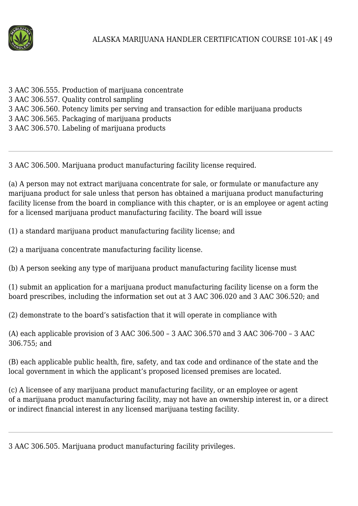

- 3 AAC 306.555. Production of marijuana concentrate
- 3 AAC 306.557. Quality control sampling
- 3 AAC 306.560. Potency limits per serving and transaction for edible marijuana products
- 3 AAC 306.565. Packaging of marijuana products
- 3 AAC 306.570. Labeling of marijuana products

3 AAC 306.500. Marijuana product manufacturing facility license required.

(a) A person may not extract marijuana concentrate for sale, or formulate or manufacture any marijuana product for sale unless that person has obtained a marijuana product manufacturing facility license from the board in compliance with this chapter, or is an employee or agent acting for a licensed marijuana product manufacturing facility. The board will issue

(1) a standard marijuana product manufacturing facility license; and

(2) a marijuana concentrate manufacturing facility license.

(b) A person seeking any type of marijuana product manufacturing facility license must

(1) submit an application for a marijuana product manufacturing facility license on a form the board prescribes, including the information set out at 3 AAC 306.020 and 3 AAC 306.520; and

(2) demonstrate to the board's satisfaction that it will operate in compliance with

(A) each applicable provision of 3 AAC 306.500 – 3 AAC 306.570 and 3 AAC 306-700 – 3 AAC 306.755; and

(B) each applicable public health, fire, safety, and tax code and ordinance of the state and the local government in which the applicant's proposed licensed premises are located.

(c) A licensee of any marijuana product manufacturing facility, or an employee or agent of a marijuana product manufacturing facility, may not have an ownership interest in, or a direct or indirect financial interest in any licensed marijuana testing facility.

3 AAC 306.505. Marijuana product manufacturing facility privileges.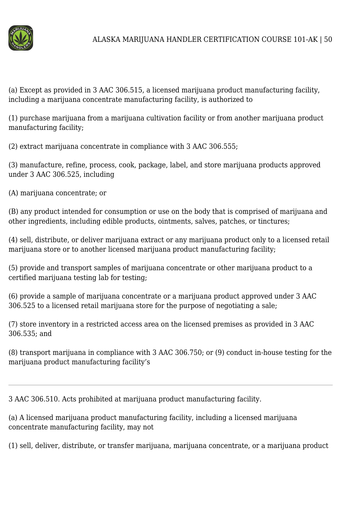

(a) Except as provided in 3 AAC 306.515, a licensed marijuana product manufacturing facility, including a marijuana concentrate manufacturing facility, is authorized to

(1) purchase marijuana from a marijuana cultivation facility or from another marijuana product manufacturing facility;

(2) extract marijuana concentrate in compliance with 3 AAC 306.555;

(3) manufacture, refine, process, cook, package, label, and store marijuana products approved under 3 AAC 306.525, including

(A) marijuana concentrate; or

(B) any product intended for consumption or use on the body that is comprised of marijuana and other ingredients, including edible products, ointments, salves, patches, or tinctures;

(4) sell, distribute, or deliver marijuana extract or any marijuana product only to a licensed retail marijuana store or to another licensed marijuana product manufacturing facility;

(5) provide and transport samples of marijuana concentrate or other marijuana product to a certified marijuana testing lab for testing;

(6) provide a sample of marijuana concentrate or a marijuana product approved under 3 AAC 306.525 to a licensed retail marijuana store for the purpose of negotiating a sale;

(7) store inventory in a restricted access area on the licensed premises as provided in 3 AAC 306.535; and

(8) transport marijuana in compliance with 3 AAC 306.750; or (9) conduct in-house testing for the marijuana product manufacturing facility's

3 AAC 306.510. Acts prohibited at marijuana product manufacturing facility.

(a) A licensed marijuana product manufacturing facility, including a licensed marijuana concentrate manufacturing facility, may not

(1) sell, deliver, distribute, or transfer marijuana, marijuana concentrate, or a marijuana product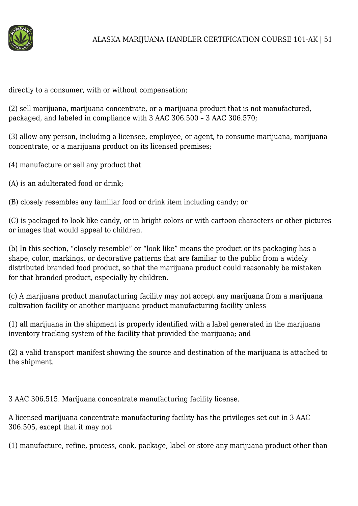

directly to a consumer, with or without compensation;

(2) sell marijuana, marijuana concentrate, or a marijuana product that is not manufactured, packaged, and labeled in compliance with 3 AAC 306.500 – 3 AAC 306.570;

(3) allow any person, including a licensee, employee, or agent, to consume marijuana, marijuana concentrate, or a marijuana product on its licensed premises;

- (4) manufacture or sell any product that
- (A) is an adulterated food or drink;
- (B) closely resembles any familiar food or drink item including candy; or

(C) is packaged to look like candy, or in bright colors or with cartoon characters or other pictures or images that would appeal to children.

(b) In this section, "closely resemble" or "look like" means the product or its packaging has a shape, color, markings, or decorative patterns that are familiar to the public from a widely distributed branded food product, so that the marijuana product could reasonably be mistaken for that branded product, especially by children.

(c) A marijuana product manufacturing facility may not accept any marijuana from a marijuana cultivation facility or another marijuana product manufacturing facility unless

(1) all marijuana in the shipment is properly identified with a label generated in the marijuana inventory tracking system of the facility that provided the marijuana; and

(2) a valid transport manifest showing the source and destination of the marijuana is attached to the shipment.

3 AAC 306.515. Marijuana concentrate manufacturing facility license.

A licensed marijuana concentrate manufacturing facility has the privileges set out in 3 AAC 306.505, except that it may not

(1) manufacture, refine, process, cook, package, label or store any marijuana product other than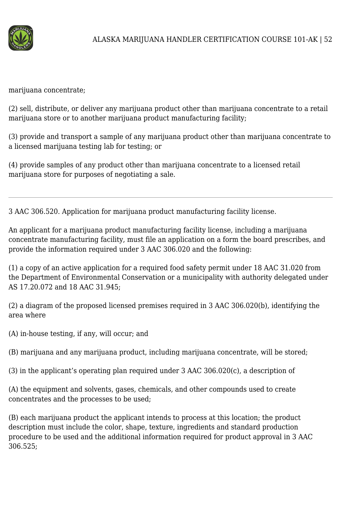

marijuana concentrate;

(2) sell, distribute, or deliver any marijuana product other than marijuana concentrate to a retail marijuana store or to another marijuana product manufacturing facility;

(3) provide and transport a sample of any marijuana product other than marijuana concentrate to a licensed marijuana testing lab for testing; or

(4) provide samples of any product other than marijuana concentrate to a licensed retail marijuana store for purposes of negotiating a sale.

3 AAC 306.520. Application for marijuana product manufacturing facility license.

An applicant for a marijuana product manufacturing facility license, including a marijuana concentrate manufacturing facility, must file an application on a form the board prescribes, and provide the information required under 3 AAC 306.020 and the following:

(1) a copy of an active application for a required food safety permit under 18 AAC 31.020 from the Department of Environmental Conservation or a municipality with authority delegated under AS 17.20.072 and 18 AAC 31.945;

(2) a diagram of the proposed licensed premises required in 3 AAC 306.020(b), identifying the area where

(A) in-house testing, if any, will occur; and

(B) marijuana and any marijuana product, including marijuana concentrate, will be stored;

(3) in the applicant's operating plan required under 3 AAC 306.020(c), a description of

(A) the equipment and solvents, gases, chemicals, and other compounds used to create concentrates and the processes to be used;

(B) each marijuana product the applicant intends to process at this location; the product description must include the color, shape, texture, ingredients and standard production procedure to be used and the additional information required for product approval in 3 AAC 306.525;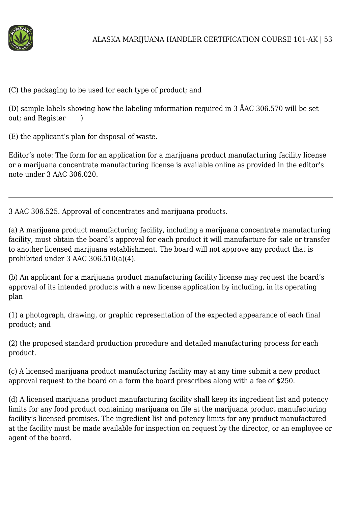

(C) the packaging to be used for each type of product; and

(D) sample labels showing how the labeling information required in 3 ÅAC 306.570 will be set out; and Register  $\qquad$  )

(E) the applicant's plan for disposal of waste.

Editor's note: The form for an application for a marijuana product manufacturing facility license or a marijuana concentrate manufacturing license is available online as provided in the editor's note under 3 AAC 306.020.

3 AAC 306.525. Approval of concentrates and marijuana products.

(a) A marijuana product manufacturing facility, including a marijuana concentrate manufacturing facility, must obtain the board's approval for each product it will manufacture for sale or transfer to another licensed marijuana establishment. The board will not approve any product that is prohibited under 3 AAC 306.510(a)(4).

(b) An applicant for a marijuana product manufacturing facility license may request the board's approval of its intended products with a new license application by including, in its operating plan

(1) a photograph, drawing, or graphic representation of the expected appearance of each final product; and

(2) the proposed standard production procedure and detailed manufacturing process for each product.

(c) A licensed marijuana product manufacturing facility may at any time submit a new product approval request to the board on a form the board prescribes along with a fee of \$250.

(d) A licensed marijuana product manufacturing facility shall keep its ingredient list and potency limits for any food product containing marijuana on file at the marijuana product manufacturing facility's licensed premises. The ingredient list and potency limits for any product manufactured at the facility must be made available for inspection on request by the director, or an employee or agent of the board.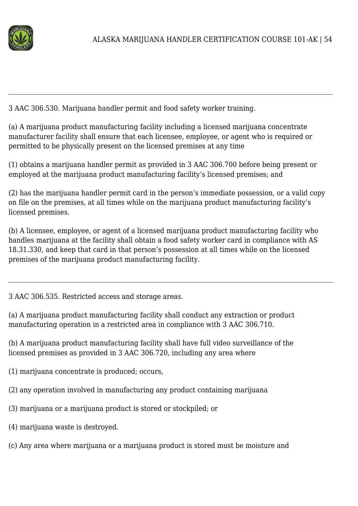

3 AAC 306.530. Marijuana handler permit and food safety worker training.

(a) A marijuana product manufacturing facility including a licensed marijuana concentrate manufacturer facility shall ensure that each licensee, employee, or agent who is required or permitted to be physically present on the licensed premises at any time

(1) obtains a marijuana handler permit as provided in 3 AAC 306.700 before being present or employed at the marijuana product manufacturing facility's licensed premises; and

(2) has the marijuana handler permit card in the person's immediate possession, or a valid copy on file on the premises, at all times while on the marijuana product manufacturing facility's licensed premises.

(b) A licensee, employee, or agent of a licensed marijuana product manufacturing facility who handles marijuana at the facility shall obtain a food safety worker card in compliance with AS 18.31.330, and keep that card in that person's possession at all times while on the licensed premises of the marijuana product manufacturing facility.

3 AAC 306.535. Restricted access and storage areas.

(a) A marijuana product manufacturing facility shall conduct any extraction or product manufacturing operation in a restricted area in compliance with 3 AAC 306.710.

(b) A marijuana product manufacturing facility shall have full video surveillance of the licensed premises as provided in 3 AAC 306.720, including any area where

- (1) marijuana concentrate is produced; occurs,
- (2) any operation involved in manufacturing any product containing marijuana
- (3) marijuana or a marijuana product is stored or stockpiled; or
- (4) marijuana waste is destroyed.
- (c) Any area where marijuana or a marijuana product is stored must be moisture and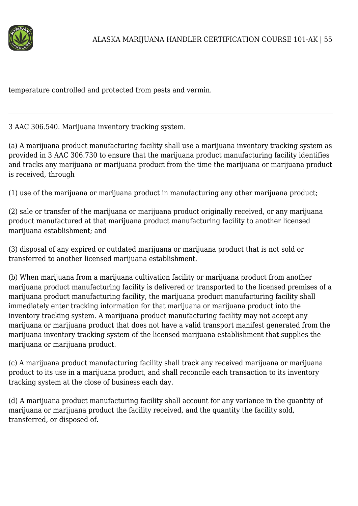

temperature controlled and protected from pests and vermin.

3 AAC 306.540. Marijuana inventory tracking system.

(a) A marijuana product manufacturing facility shall use a marijuana inventory tracking system as provided in 3 AAC 306.730 to ensure that the marijuana product manufacturing facility identifies and tracks any marijuana or marijuana product from the time the marijuana or marijuana product is received, through

(1) use of the marijuana or marijuana product in manufacturing any other marijuana product;

(2) sale or transfer of the marijuana or marijuana product originally received, or any marijuana product manufactured at that marijuana product manufacturing facility to another licensed marijuana establishment; and

(3) disposal of any expired or outdated marijuana or marijuana product that is not sold or transferred to another licensed marijuana establishment.

(b) When marijuana from a marijuana cultivation facility or marijuana product from another marijuana product manufacturing facility is delivered or transported to the licensed premises of a marijuana product manufacturing facility, the marijuana product manufacturing facility shall immediately enter tracking information for that marijuana or marijuana product into the inventory tracking system. A marijuana product manufacturing facility may not accept any marijuana or marijuana product that does not have a valid transport manifest generated from the marijuana inventory tracking system of the licensed marijuana establishment that supplies the marijuana or marijuana product.

(c) A marijuana product manufacturing facility shall track any received marijuana or marijuana product to its use in a marijuana product, and shall reconcile each transaction to its inventory tracking system at the close of business each day.

(d) A marijuana product manufacturing facility shall account for any variance in the quantity of marijuana or marijuana product the facility received, and the quantity the facility sold, transferred, or disposed of.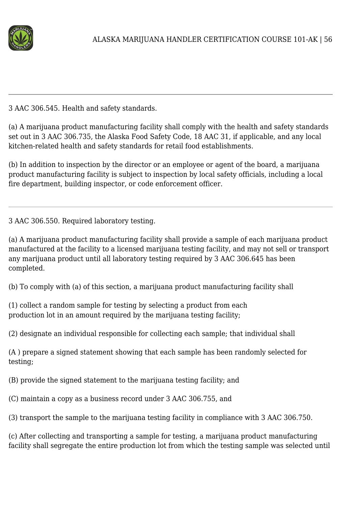

3 AAC 306.545. Health and safety standards.

(a) A marijuana product manufacturing facility shall comply with the health and safety standards set out in 3 AAC 306.735, the Alaska Food Safety Code, 18 AAC 31, if applicable, and any local kitchen-related health and safety standards for retail food establishments.

(b) In addition to inspection by the director or an employee or agent of the board, a marijuana product manufacturing facility is subject to inspection by local safety officials, including a local fire department, building inspector, or code enforcement officer.

3 AAC 306.550. Required laboratory testing.

(a) A marijuana product manufacturing facility shall provide a sample of each marijuana product manufactured at the facility to a licensed marijuana testing facility, and may not sell or transport any marijuana product until all laboratory testing required by 3 AAC 306.645 has been completed.

(b) To comply with (a) of this section, a marijuana product manufacturing facility shall

(1) collect a random sample for testing by selecting a product from each production lot in an amount required by the marijuana testing facility;

(2) designate an individual responsible for collecting each sample; that individual shall

(A ) prepare a signed statement showing that each sample has been randomly selected for testing;

(B) provide the signed statement to the marijuana testing facility; and

(C) maintain a copy as a business record under 3 AAC 306.755, and

(3) transport the sample to the marijuana testing facility in compliance with 3 AAC 306.750.

(c) After collecting and transporting a sample for testing, a marijuana product manufacturing facility shall segregate the entire production lot from which the testing sample was selected until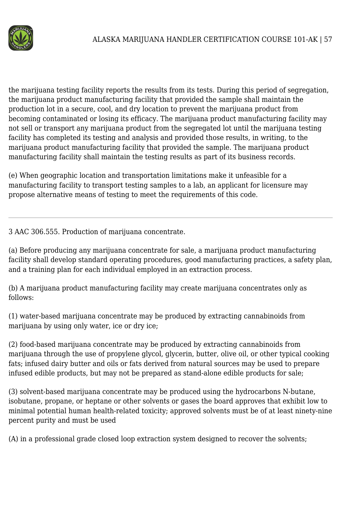

the marijuana testing facility reports the results from its tests. During this period of segregation, the marijuana product manufacturing facility that provided the sample shall maintain the production lot in a secure, cool, and dry location to prevent the marijuana product from becoming contaminated or losing its efficacy. The marijuana product manufacturing facility may not sell or transport any marijuana product from the segregated lot until the marijuana testing facility has completed its testing and analysis and provided those results, in writing, to the marijuana product manufacturing facility that provided the sample. The marijuana product manufacturing facility shall maintain the testing results as part of its business records.

(e) When geographic location and transportation limitations make it unfeasible for a manufacturing facility to transport testing samples to a lab, an applicant for licensure may propose alternative means of testing to meet the requirements of this code.

3 AAC 306.555. Production of marijuana concentrate.

(a) Before producing any marijuana concentrate for sale, a marijuana product manufacturing facility shall develop standard operating procedures, good manufacturing practices, a safety plan, and a training plan for each individual employed in an extraction process.

(b) A marijuana product manufacturing facility may create marijuana concentrates only as follows:

(1) water-based marijuana concentrate may be produced by extracting cannabinoids from marijuana by using only water, ice or dry ice;

(2) food-based marijuana concentrate may be produced by extracting cannabinoids from marijuana through the use of propylene glycol, glycerin, butter, olive oil, or other typical cooking fats; infused dairy butter and oils or fats derived from natural sources may be used to prepare infused edible products, but may not be prepared as stand-alone edible products for sale;

(3) solvent-based marijuana concentrate may be produced using the hydrocarbons N-butane, isobutane, propane, or heptane or other solvents or gases the board approves that exhibit low to minimal potential human health-related toxicity; approved solvents must be of at least ninety-nine percent purity and must be used

(A) in a professional grade closed loop extraction system designed to recover the solvents;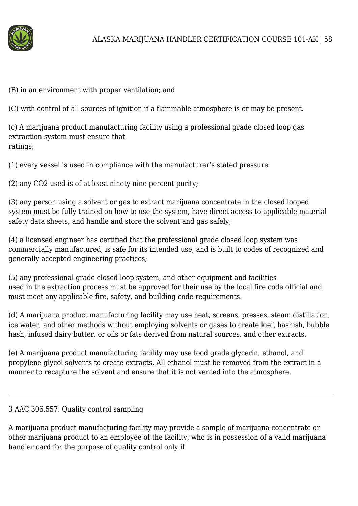

(B) in an environment with proper ventilation; and

(C) with control of all sources of ignition if a flammable atmosphere is or may be present.

(c) A marijuana product manufacturing facility using a professional grade closed loop gas extraction system must ensure that ratings;

(1) every vessel is used in compliance with the manufacturer's stated pressure

(2) any CO2 used is of at least ninety-nine percent purity;

(3) any person using a solvent or gas to extract marijuana concentrate in the closed looped system must be fully trained on how to use the system, have direct access to applicable material safety data sheets, and handle and store the solvent and gas safely;

(4) a licensed engineer has certified that the professional grade closed loop system was commercially manufactured, is safe for its intended use, and is built to codes of recognized and generally accepted engineering practices;

(5) any professional grade closed loop system, and other equipment and facilities used in the extraction process must be approved for their use by the local fire code official and must meet any applicable fire, safety, and building code requirements.

(d) A marijuana product manufacturing facility may use heat, screens, presses, steam distillation, ice water, and other methods without employing solvents or gases to create kief, hashish, bubble hash, infused dairy butter, or oils or fats derived from natural sources, and other extracts.

(e) A marijuana product manufacturing facility may use food grade glycerin, ethanol, and propylene glycol solvents to create extracts. All ethanol must be removed from the extract in a manner to recapture the solvent and ensure that it is not vented into the atmosphere.

## 3 AAC 306.557. Quality control sampling

A marijuana product manufacturing facility may provide a sample of marijuana concentrate or other marijuana product to an employee of the facility, who is in possession of a valid marijuana handler card for the purpose of quality control only if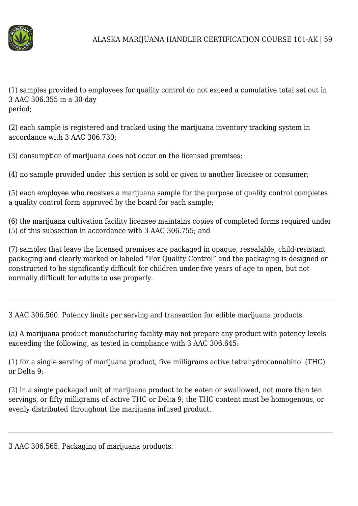

(1) samples provided to employees for quality control do not exceed a cumulative total set out in 3 AAC 306.355 in a 30-day period;

(2) each sample is registered and tracked using the marijuana inventory tracking system in accordance with 3 AAC 306.730;

(3) consumption of marijuana does not occur on the licensed premises;

(4) no sample provided under this section is sold or given to another licensee or consumer;

(5) each employee who receives a marijuana sample for the purpose of quality control completes a quality control form approved by the board for each sample;

(6) the marijuana cultivation facility licensee maintains copies of completed forms required under (5) of this subsection in accordance with 3 AAC 306.755; and

(7) samples that leave the licensed premises are packaged in opaque, resealable, child-resistant packaging and clearly marked or labeled "For Quality Control" and the packaging is designed or constructed to be significantly difficult for children under five years of age to open, but not normally difficult for adults to use properly.

3 AAC 306.560. Potency limits per serving and transaction for edible marijuana products.

(a) A marijuana product manufacturing facility may not prepare any product with potency levels exceeding the following, as tested in compliance with 3 AAC 306.645:

(1) for a single serving of marijuana product, five milligrams active tetrahydrocannabinol (THC) or Delta 9;

(2) in a single packaged unit of marijuana product to be eaten or swallowed, not more than ten servings, or fifty milligrams of active THC or Delta 9; the THC content must be homogenous, or evenly distributed throughout the marijuana infused product.

3 AAC 306.565. Packaging of marijuana products.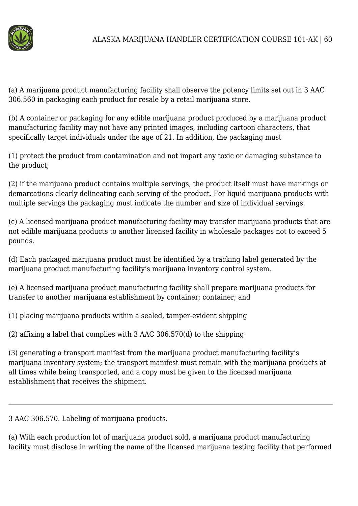

(a) A marijuana product manufacturing facility shall observe the potency limits set out in 3 AAC 306.560 in packaging each product for resale by a retail marijuana store.

(b) A container or packaging for any edible marijuana product produced by a marijuana product manufacturing facility may not have any printed images, including cartoon characters, that specifically target individuals under the age of 21. In addition, the packaging must

(1) protect the product from contamination and not impart any toxic or damaging substance to the product;

(2) if the marijuana product contains multiple servings, the product itself must have markings or demarcations clearly delineating each serving of the product. For liquid marijuana products with multiple servings the packaging must indicate the number and size of individual servings.

(c) A licensed marijuana product manufacturing facility may transfer marijuana products that are not edible marijuana products to another licensed facility in wholesale packages not to exceed 5 pounds.

(d) Each packaged marijuana product must be identified by a tracking label generated by the marijuana product manufacturing facility's marijuana inventory control system.

(e) A licensed marijuana product manufacturing facility shall prepare marijuana products for transfer to another marijuana establishment by container; container; and

(1) placing marijuana products within a sealed, tamper-evident shipping

(2) affixing a label that complies with 3 AAC 306.570(d) to the shipping

(3) generating a transport manifest from the marijuana product manufacturing facility's marijuana inventory system; the transport manifest must remain with the marijuana products at all times while being transported, and a copy must be given to the licensed marijuana establishment that receives the shipment.

3 AAC 306.570. Labeling of marijuana products.

(a) With each production lot of marijuana product sold, a marijuana product manufacturing facility must disclose in writing the name of the licensed marijuana testing facility that performed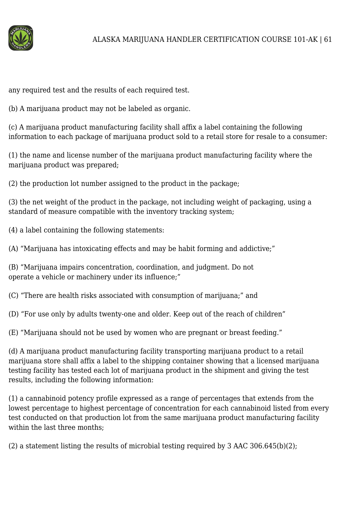

any required test and the results of each required test.

(b) A marijuana product may not be labeled as organic.

(c) A marijuana product manufacturing facility shall affix a label containing the following information to each package of marijuana product sold to a retail store for resale to a consumer:

(1) the name and license number of the marijuana product manufacturing facility where the marijuana product was prepared;

(2) the production lot number assigned to the product in the package;

(3) the net weight of the product in the package, not including weight of packaging, using a standard of measure compatible with the inventory tracking system;

(4) a label containing the following statements:

(A) "Marijuana has intoxicating effects and may be habit forming and addictive;"

(B) "Marijuana impairs concentration, coordination, and judgment. Do not operate a vehicle or machinery under its influence;"

(C) "There are health risks associated with consumption of marijuana;" and

(D) "For use only by adults twenty-one and older. Keep out of the reach of children"

(E) "Marijuana should not be used by women who are pregnant or breast feeding."

(d) A marijuana product manufacturing facility transporting marijuana product to a retail marijuana store shall affix a label to the shipping container showing that a licensed marijuana testing facility has tested each lot of marijuana product in the shipment and giving the test results, including the following information:

(1) a cannabinoid potency profile expressed as a range of percentages that extends from the lowest percentage to highest percentage of concentration for each cannabinoid listed from every test conducted on that production lot from the same marijuana product manufacturing facility within the last three months;

(2) a statement listing the results of microbial testing required by 3 AAC 306.645(b)(2);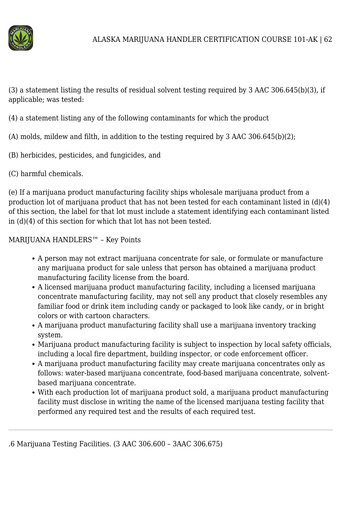

(3) a statement listing the results of residual solvent testing required by 3 AAC 306.645(b)(3), if applicable; was tested:

(4) a statement listing any of the following contaminants for which the product

(A) molds, mildew and filth, in addition to the testing required by 3 AAC 306.645(b)(2);

- (B) herbicides, pesticides, and fungicides, and
- (C) harmful chemicals.

(e) If a marijuana product manufacturing facility ships wholesale marijuana product from a production lot of marijuana product that has not been tested for each contaminant listed in (d)(4) of this section, the label for that lot must include a statement identifying each contaminant listed in (d)(4) of this section for which that lot has not been tested.

MARIJUANA HANDLERS™ – Key Points

- A person may not extract marijuana concentrate for sale, or formulate or manufacture any marijuana product for sale unless that person has obtained a marijuana product manufacturing facility license from the board.
- A licensed marijuana product manufacturing facility, including a licensed marijuana concentrate manufacturing facility, may not sell any product that closely resembles any familiar food or drink item including candy or packaged to look like candy, or in bright colors or with cartoon characters.
- A marijuana product manufacturing facility shall use a marijuana inventory tracking system.
- Marijuana product manufacturing facility is subject to inspection by local safety officials, including a local fire department, building inspector, or code enforcement officer.
- A marijuana product manufacturing facility may create marijuana concentrates only as follows: water-based marijuana concentrate, food-based marijuana concentrate, solventbased marijuana concentrate.
- With each production lot of marijuana product sold, a marijuana product manufacturing facility must disclose in writing the name of the licensed marijuana testing facility that performed any required test and the results of each required test.

<sup>.6</sup> Marijuana Testing Facilities. (3 AAC 306.600 – 3AAC 306.675)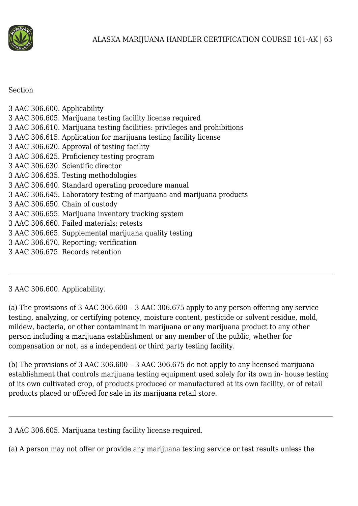

#### Section

| 3 AAC 306.600. Applicability                                             |
|--------------------------------------------------------------------------|
| 3 AAC 306.605. Marijuana testing facility license required               |
| 3 AAC 306.610. Marijuana testing facilities: privileges and prohibitions |
| 3 AAC 306.615. Application for marijuana testing facility license        |
| 3 AAC 306.620. Approval of testing facility                              |
| 3 AAC 306.625. Proficiency testing program                               |
| 3 AAC 306.630. Scientific director                                       |
| 3 AAC 306.635. Testing methodologies                                     |
| 3 AAC 306.640. Standard operating procedure manual                       |
| 3 AAC 306.645. Laboratory testing of marijuana and marijuana products    |
| 3 AAC 306.650. Chain of custody                                          |
| 3 AAC 306.655. Marijuana inventory tracking system                       |
| 3 AAC 306.660. Failed materials; retests                                 |
| 3 AAC 306.665. Supplemental marijuana quality testing                    |
| 3 AAC 306.670. Reporting; verification                                   |

3 AAC 306.675. Records retention

## 3 AAC 306.600. Applicability.

(a) The provisions of 3 AAC 306.600 – 3 AAC 306.675 apply to any person offering any service testing, analyzing, or certifying potency, moisture content, pesticide or solvent residue, mold, mildew, bacteria, or other contaminant in marijuana or any marijuana product to any other person including a marijuana establishment or any member of the public, whether for compensation or not, as a independent or third party testing facility.

(b) The provisions of 3 AAC 306.600 – 3 AAC 306.675 do not apply to any licensed marijuana establishment that controls marijuana testing equipment used solely for its own in- house testing of its own cultivated crop, of products produced or manufactured at its own facility, or of retail products placed or offered for sale in its marijuana retail store.

3 AAC 306.605. Marijuana testing facility license required.

(a) A person may not offer or provide any marijuana testing service or test results unless the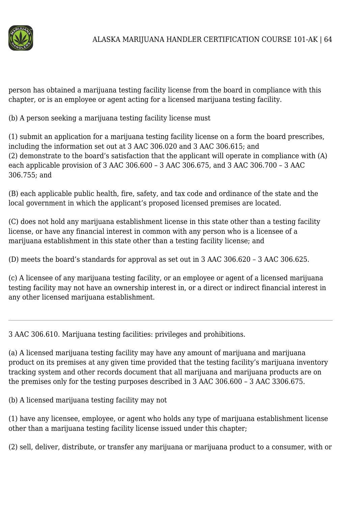

person has obtained a marijuana testing facility license from the board in compliance with this chapter, or is an employee or agent acting for a licensed marijuana testing facility.

(b) A person seeking a marijuana testing facility license must

(1) submit an application for a marijuana testing facility license on a form the board prescribes, including the information set out at 3 AAC 306.020 and 3 AAC 306.615; and (2) demonstrate to the board's satisfaction that the applicant will operate in compliance with (A) each applicable provision of 3 AAC 306.600 – 3 AAC 306.675, and 3 AAC 306.700 – 3 AAC 306.755; and

(B) each applicable public health, fire, safety, and tax code and ordinance of the state and the local government in which the applicant's proposed licensed premises are located.

(C) does not hold any marijuana establishment license in this state other than a testing facility license, or have any financial interest in common with any person who is a licensee of a marijuana establishment in this state other than a testing facility license; and

(D) meets the board's standards for approval as set out in 3 AAC 306.620 – 3 AAC 306.625.

(c) A licensee of any marijuana testing facility, or an employee or agent of a licensed marijuana testing facility may not have an ownership interest in, or a direct or indirect financial interest in any other licensed marijuana establishment.

3 AAC 306.610. Marijuana testing facilities: privileges and prohibitions.

(a) A licensed marijuana testing facility may have any amount of marijuana and marijuana product on its premises at any given time provided that the testing facility's marijuana inventory tracking system and other records document that all marijuana and marijuana products are on the premises only for the testing purposes described in 3 AAC 306.600 – 3 AAC 3306.675.

(b) A licensed marijuana testing facility may not

(1) have any licensee, employee, or agent who holds any type of marijuana establishment license other than a marijuana testing facility license issued under this chapter;

(2) sell, deliver, distribute, or transfer any marijuana or marijuana product to a consumer, with or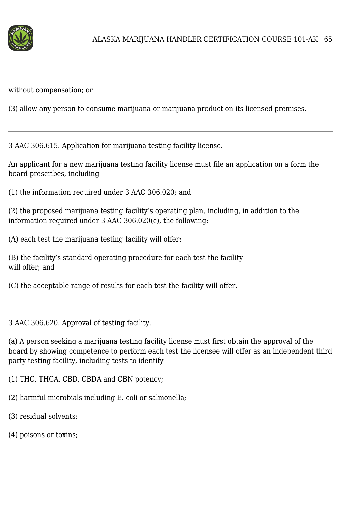

without compensation; or

(3) allow any person to consume marijuana or marijuana product on its licensed premises.

3 AAC 306.615. Application for marijuana testing facility license.

An applicant for a new marijuana testing facility license must file an application on a form the board prescribes, including

(1) the information required under 3 AAC 306.020; and

(2) the proposed marijuana testing facility's operating plan, including, in addition to the information required under 3 AAC 306.020(c), the following:

(A) each test the marijuana testing facility will offer;

(B) the facility's standard operating procedure for each test the facility will offer; and

(C) the acceptable range of results for each test the facility will offer.

3 AAC 306.620. Approval of testing facility.

(a) A person seeking a marijuana testing facility license must first obtain the approval of the board by showing competence to perform each test the licensee will offer as an independent third party testing facility, including tests to identify

(1) THC, THCA, CBD, CBDA and CBN potency;

- (2) harmful microbials including E. coli or salmonella;
- (3) residual solvents;
- (4) poisons or toxins;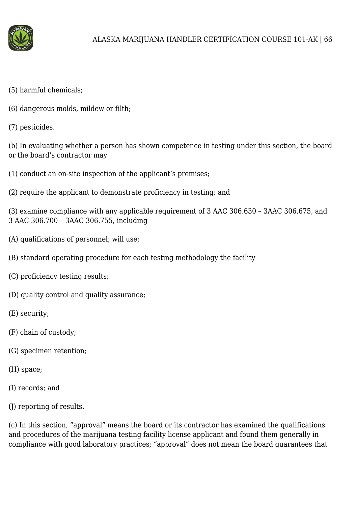

- (5) harmful chemicals;
- (6) dangerous molds, mildew or filth;
- (7) pesticides.

(b) In evaluating whether a person has shown competence in testing under this section, the board or the board's contractor may

- (1) conduct an on-site inspection of the applicant's premises;
- (2) require the applicant to demonstrate proficiency in testing; and

(3) examine compliance with any applicable requirement of 3 AAC 306.630 – 3AAC 306.675, and 3 AAC 306.700 – 3AAC 306.755, including

- (A) qualifications of personnel; will use;
- (B) standard operating procedure for each testing methodology the facility
- (C) proficiency testing results;
- (D) quality control and quality assurance;
- (E) security;
- (F) chain of custody;
- (G) specimen retention;
- (H) space;
- (I) records; and
- (J) reporting of results.

(c) In this section, "approval" means the board or its contractor has examined the qualifications and procedures of the marijuana testing facility license applicant and found them generally in compliance with good laboratory practices; "approval" does not mean the board guarantees that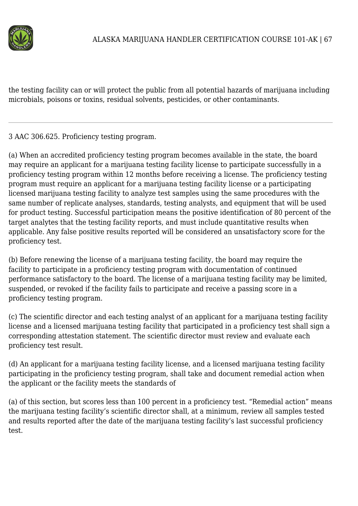

the testing facility can or will protect the public from all potential hazards of marijuana including microbials, poisons or toxins, residual solvents, pesticides, or other contaminants.

3 AAC 306.625. Proficiency testing program.

(a) When an accredited proficiency testing program becomes available in the state, the board may require an applicant for a marijuana testing facility license to participate successfully in a proficiency testing program within 12 months before receiving a license. The proficiency testing program must require an applicant for a marijuana testing facility license or a participating licensed marijuana testing facility to analyze test samples using the same procedures with the same number of replicate analyses, standards, testing analysts, and equipment that will be used for product testing. Successful participation means the positive identification of 80 percent of the target analytes that the testing facility reports, and must include quantitative results when applicable. Any false positive results reported will be considered an unsatisfactory score for the proficiency test.

(b) Before renewing the license of a marijuana testing facility, the board may require the facility to participate in a proficiency testing program with documentation of continued performance satisfactory to the board. The license of a marijuana testing facility may be limited, suspended, or revoked if the facility fails to participate and receive a passing score in a proficiency testing program.

(c) The scientific director and each testing analyst of an applicant for a marijuana testing facility license and a licensed marijuana testing facility that participated in a proficiency test shall sign a corresponding attestation statement. The scientific director must review and evaluate each proficiency test result.

(d) An applicant for a marijuana testing facility license, and a licensed marijuana testing facility participating in the proficiency testing program, shall take and document remedial action when the applicant or the facility meets the standards of

(a) of this section, but scores less than 100 percent in a proficiency test. "Remedial action" means the marijuana testing facility's scientific director shall, at a minimum, review all samples tested and results reported after the date of the marijuana testing facility's last successful proficiency test.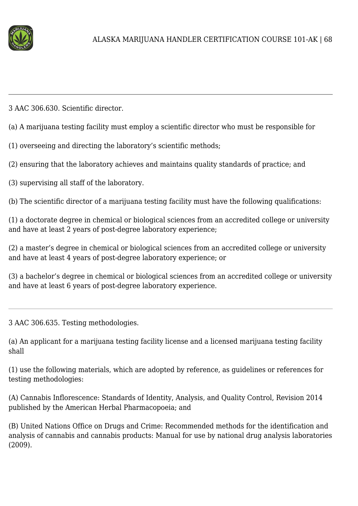

3 AAC 306.630. Scientific director.

(a) A marijuana testing facility must employ a scientific director who must be responsible for

(1) overseeing and directing the laboratory's scientific methods;

(2) ensuring that the laboratory achieves and maintains quality standards of practice; and

(3) supervising all staff of the laboratory.

(b) The scientific director of a marijuana testing facility must have the following qualifications:

(1) a doctorate degree in chemical or biological sciences from an accredited college or university and have at least 2 years of post-degree laboratory experience;

(2) a master's degree in chemical or biological sciences from an accredited college or university and have at least 4 years of post-degree laboratory experience; or

(3) a bachelor's degree in chemical or biological sciences from an accredited college or university and have at least 6 years of post-degree laboratory experience.

3 AAC 306.635. Testing methodologies.

(a) An applicant for a marijuana testing facility license and a licensed marijuana testing facility shall

(1) use the following materials, which are adopted by reference, as guidelines or references for testing methodologies:

(A) Cannabis Inflorescence: Standards of Identity, Analysis, and Quality Control, Revision 2014 published by the American Herbal Pharmacopoeia; and

(B) United Nations Office on Drugs and Crime: Recommended methods for the identification and analysis of cannabis and cannabis products: Manual for use by national drug analysis laboratories (2009).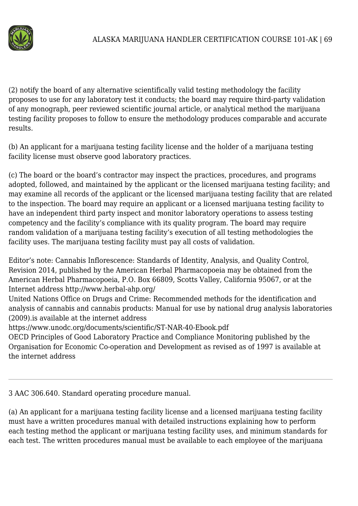

(2) notify the board of any alternative scientifically valid testing methodology the facility proposes to use for any laboratory test it conducts; the board may require third-party validation of any monograph, peer reviewed scientific journal article, or analytical method the marijuana testing facility proposes to follow to ensure the methodology produces comparable and accurate results.

(b) An applicant for a marijuana testing facility license and the holder of a marijuana testing facility license must observe good laboratory practices.

(c) The board or the board's contractor may inspect the practices, procedures, and programs adopted, followed, and maintained by the applicant or the licensed marijuana testing facility; and may examine all records of the applicant or the licensed marijuana testing facility that are related to the inspection. The board may require an applicant or a licensed marijuana testing facility to have an independent third party inspect and monitor laboratory operations to assess testing competency and the facility's compliance with its quality program. The board may require random validation of a marijuana testing facility's execution of all testing methodologies the facility uses. The marijuana testing facility must pay all costs of validation.

Editor's note: Cannabis Inflorescence: Standards of Identity, Analysis, and Quality Control, Revision 2014, published by the American Herbal Pharmacopoeia may be obtained from the American Herbal Pharmacopoeia, P.O. Box 66809, Scotts Valley, California 95067, or at the Internet address http://www.herbal-ahp.org/

United Nations Office on Drugs and Crime: Recommended methods for the identification and analysis of cannabis and cannabis products: Manual for use by national drug analysis laboratories (2009).is available at the internet address

https://www.unodc.org/documents/scientific/ST-NAR-40-Ebook.pdf

OECD Principles of Good Laboratory Practice and Compliance Monitoring published by the Organisation for Economic Co-operation and Development as revised as of 1997 is available at the internet address

3 AAC 306.640. Standard operating procedure manual.

(a) An applicant for a marijuana testing facility license and a licensed marijuana testing facility must have a written procedures manual with detailed instructions explaining how to perform each testing method the applicant or marijuana testing facility uses, and minimum standards for each test. The written procedures manual must be available to each employee of the marijuana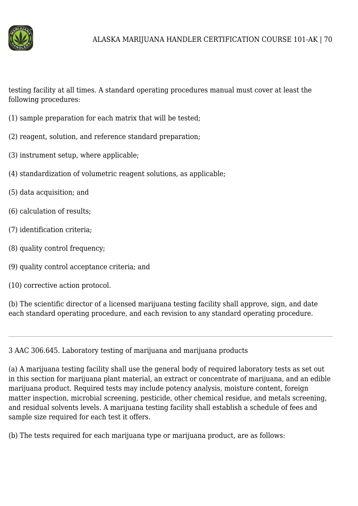

testing facility at all times. A standard operating procedures manual must cover at least the following procedures:

- (1) sample preparation for each matrix that will be tested;
- (2) reagent, solution, and reference standard preparation;
- (3) instrument setup, where applicable;
- (4) standardization of volumetric reagent solutions, as applicable;
- (5) data acquisition; and
- (6) calculation of results;
- (7) identification criteria;
- (8) quality control frequency;
- (9) quality control acceptance criteria; and
- (10) corrective action protocol.

(b) The scientific director of a licensed marijuana testing facility shall approve, sign, and date each standard operating procedure, and each revision to any standard operating procedure.

3 AAC 306.645. Laboratory testing of marijuana and marijuana products

(a) A marijuana testing facility shall use the general body of required laboratory tests as set out in this section for marijuana plant material, an extract or concentrate of marijuana, and an edible marijuana product. Required tests may include potency analysis, moisture content, foreign matter inspection, microbial screening, pesticide, other chemical residue, and metals screening, and residual solvents levels. A marijuana testing facility shall establish a schedule of fees and sample size required for each test it offers.

(b) The tests required for each marijuana type or marijuana product, are as follows: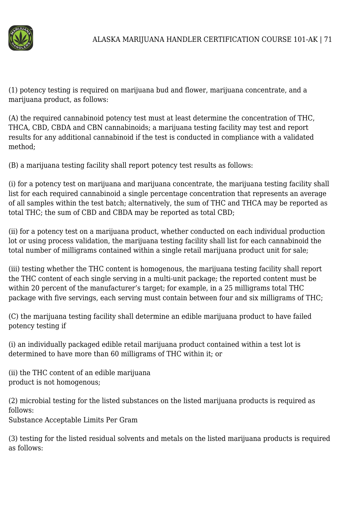

(1) potency testing is required on marijuana bud and flower, marijuana concentrate, and a marijuana product, as follows:

(A) the required cannabinoid potency test must at least determine the concentration of THC, THCA, CBD, CBDA and CBN cannabinoids; a marijuana testing facility may test and report results for any additional cannabinoid if the test is conducted in compliance with a validated method;

(B) a marijuana testing facility shall report potency test results as follows:

(i) for a potency test on marijuana and marijuana concentrate, the marijuana testing facility shall list for each required cannabinoid a single percentage concentration that represents an average of all samples within the test batch; alternatively, the sum of THC and THCA may be reported as total THC; the sum of CBD and CBDA may be reported as total CBD;

(ii) for a potency test on a marijuana product, whether conducted on each individual production lot or using process validation, the marijuana testing facility shall list for each cannabinoid the total number of milligrams contained within a single retail marijuana product unit for sale;

(iii) testing whether the THC content is homogenous, the marijuana testing facility shall report the THC content of each single serving in a multi-unit package; the reported content must be within 20 percent of the manufacturer's target; for example, in a 25 milligrams total THC package with five servings, each serving must contain between four and six milligrams of THC;

(C) the marijuana testing facility shall determine an edible marijuana product to have failed potency testing if

(i) an individually packaged edible retail marijuana product contained within a test lot is determined to have more than 60 milligrams of THC within it; or

(ii) the THC content of an edible marijuana product is not homogenous;

(2) microbial testing for the listed substances on the listed marijuana products is required as follows:

Substance Acceptable Limits Per Gram

(3) testing for the listed residual solvents and metals on the listed marijuana products is required as follows: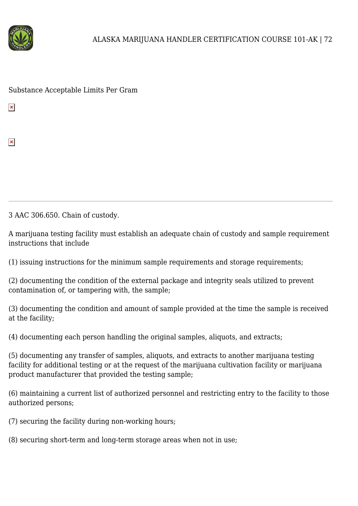

Substance Acceptable Limits Per Gram

 $\pmb{\times}$ 

 $\pmb{\times}$ 

3 AAC 306.650. Chain of custody.

A marijuana testing facility must establish an adequate chain of custody and sample requirement instructions that include

(1) issuing instructions for the minimum sample requirements and storage requirements;

(2) documenting the condition of the external package and integrity seals utilized to prevent contamination of, or tampering with, the sample;

(3) documenting the condition and amount of sample provided at the time the sample is received at the facility;

(4) documenting each person handling the original samples, aliquots, and extracts;

(5) documenting any transfer of samples, aliquots, and extracts to another marijuana testing facility for additional testing or at the request of the marijuana cultivation facility or marijuana product manufacturer that provided the testing sample;

(6) maintaining a current list of authorized personnel and restricting entry to the facility to those authorized persons;

(7) securing the facility during non-working hours;

(8) securing short-term and long-term storage areas when not in use;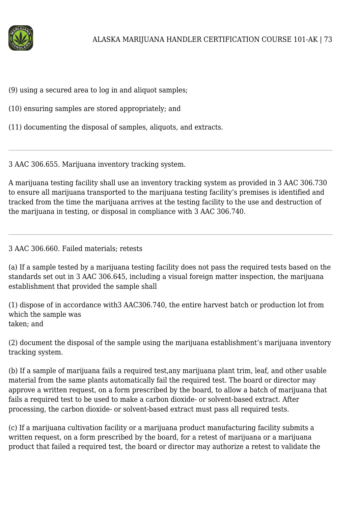

(9) using a secured area to log in and aliquot samples;

(10) ensuring samples are stored appropriately; and

(11) documenting the disposal of samples, aliquots, and extracts.

3 AAC 306.655. Marijuana inventory tracking system.

A marijuana testing facility shall use an inventory tracking system as provided in 3 AAC 306.730 to ensure all marijuana transported to the marijuana testing facility's premises is identified and tracked from the time the marijuana arrives at the testing facility to the use and destruction of the marijuana in testing, or disposal in compliance with 3 AAC 306.740.

### 3 AAC 306.660. Failed materials; retests

(a) If a sample tested by a marijuana testing facility does not pass the required tests based on the standards set out in 3 AAC 306.645, including a visual foreign matter inspection, the marijuana establishment that provided the sample shall

(1) dispose of in accordance with3 AAC306.740, the entire harvest batch or production lot from which the sample was taken; and

(2) document the disposal of the sample using the marijuana establishment's marijuana inventory tracking system.

(b) If a sample of marijuana fails a required test,any marijuana plant trim, leaf, and other usable material from the same plants automatically fail the required test. The board or director may approve a written request, on a form prescribed by the board, to allow a batch of marijuana that fails a required test to be used to make a carbon dioxide- or solvent-based extract. After processing, the carbon dioxide- or solvent-based extract must pass all required tests.

(c) If a marijuana cultivation facility or a marijuana product manufacturing facility submits a written request, on a form prescribed by the board, for a retest of marijuana or a marijuana product that failed a required test, the board or director may authorize a retest to validate the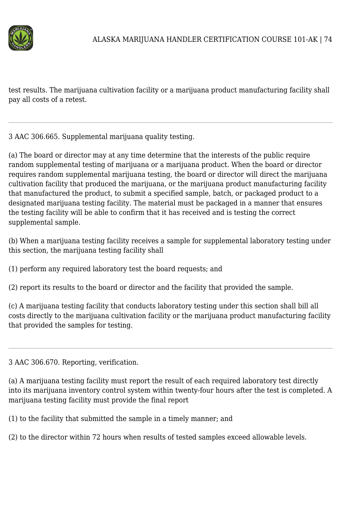

test results. The marijuana cultivation facility or a marijuana product manufacturing facility shall pay all costs of a retest.

3 AAC 306.665. Supplemental marijuana quality testing.

(a) The board or director may at any time determine that the interests of the public require random supplemental testing of marijuana or a marijuana product. When the board or director requires random supplemental marijuana testing, the board or director will direct the marijuana cultivation facility that produced the marijuana, or the marijuana product manufacturing facility that manufactured the product, to submit a specified sample, batch, or packaged product to a designated marijuana testing facility. The material must be packaged in a manner that ensures the testing facility will be able to confirm that it has received and is testing the correct supplemental sample.

(b) When a marijuana testing facility receives a sample for supplemental laboratory testing under this section, the marijuana testing facility shall

(1) perform any required laboratory test the board requests; and

(2) report its results to the board or director and the facility that provided the sample.

(c) A marijuana testing facility that conducts laboratory testing under this section shall bill all costs directly to the marijuana cultivation facility or the marijuana product manufacturing facility that provided the samples for testing.

3 AAC 306.670. Reporting, verification.

(a) A marijuana testing facility must report the result of each required laboratory test directly into its marijuana inventory control system within twenty-four hours after the test is completed. A marijuana testing facility must provide the final report

(1) to the facility that submitted the sample in a timely manner; and

(2) to the director within 72 hours when results of tested samples exceed allowable levels.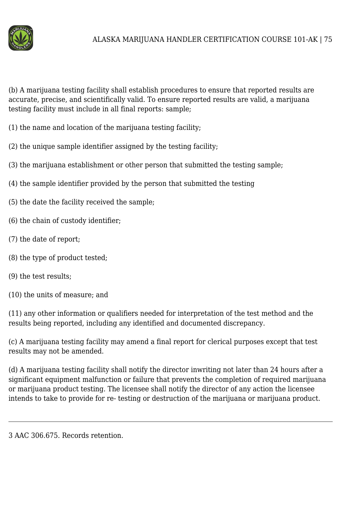

(b) A marijuana testing facility shall establish procedures to ensure that reported results are accurate, precise, and scientifically valid. To ensure reported results are valid, a marijuana testing facility must include in all final reports: sample;

- (1) the name and location of the marijuana testing facility;
- (2) the unique sample identifier assigned by the testing facility;
- (3) the marijuana establishment or other person that submitted the testing sample;
- (4) the sample identifier provided by the person that submitted the testing
- (5) the date the facility received the sample;
- (6) the chain of custody identifier;
- (7) the date of report;
- (8) the type of product tested;
- (9) the test results;
- (10) the units of measure; and

(11) any other information or qualifiers needed for interpretation of the test method and the results being reported, including any identified and documented discrepancy.

(c) A marijuana testing facility may amend a final report for clerical purposes except that test results may not be amended.

(d) A marijuana testing facility shall notify the director inwriting not later than 24 hours after a significant equipment malfunction or failure that prevents the completion of required marijuana or marijuana product testing. The licensee shall notify the director of any action the licensee intends to take to provide for re- testing or destruction of the marijuana or marijuana product.

3 AAC 306.675. Records retention.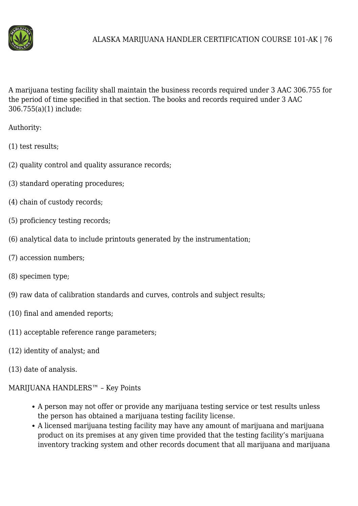

A marijuana testing facility shall maintain the business records required under 3 AAC 306.755 for the period of time specified in that section. The books and records required under 3 AAC 306.755(a)(1) include:

Authority:

- (1) test results;
- (2) quality control and quality assurance records;
- (3) standard operating procedures;
- (4) chain of custody records;
- (5) proficiency testing records;
- (6) analytical data to include printouts generated by the instrumentation;
- (7) accession numbers;
- (8) specimen type;
- (9) raw data of calibration standards and curves, controls and subject results;
- (10) final and amended reports;
- (11) acceptable reference range parameters;
- (12) identity of analyst; and
- (13) date of analysis.
- MARIJUANA HANDLERS™ Key Points
	- A person may not offer or provide any marijuana testing service or test results unless the person has obtained a marijuana testing facility license.
	- A licensed marijuana testing facility may have any amount of marijuana and marijuana product on its premises at any given time provided that the testing facility's marijuana inventory tracking system and other records document that all marijuana and marijuana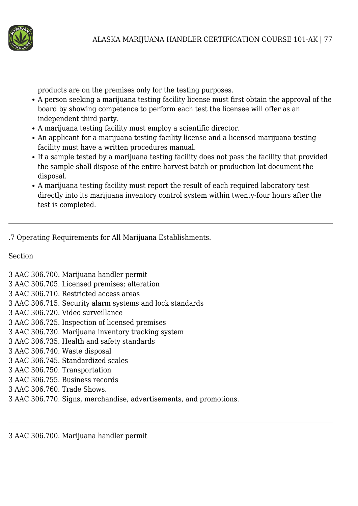

products are on the premises only for the testing purposes.

- A person seeking a marijuana testing facility license must first obtain the approval of the board by showing competence to perform each test the licensee will offer as an independent third party.
- A marijuana testing facility must employ a scientific director.
- An applicant for a marijuana testing facility license and a licensed marijuana testing facility must have a written procedures manual.
- If a sample tested by a marijuana testing facility does not pass the facility that provided the sample shall dispose of the entire harvest batch or production lot document the disposal.
- A marijuana testing facility must report the result of each required laboratory test directly into its marijuana inventory control system within twenty-four hours after the test is completed.

.7 Operating Requirements for All Marijuana Establishments.

## Section

- 3 AAC 306.700. Marijuana handler permit
- 3 AAC 306.705. Licensed premises; alteration
- 3 AAC 306.710. Restricted access areas
- 3 AAC 306.715. Security alarm systems and lock standards
- 3 AAC 306.720. Video surveillance
- 3 AAC 306.725. Inspection of licensed premises
- 3 AAC 306.730. Marijuana inventory tracking system
- 3 AAC 306.735. Health and safety standards
- 3 AAC 306.740. Waste disposal
- 3 AAC 306.745. Standardized scales
- 3 AAC 306.750. Transportation
- 3 AAC 306.755. Business records
- 3 AAC 306.760. Trade Shows.
- 3 AAC 306.770. Signs, merchandise, advertisements, and promotions.

3 AAC 306.700. Marijuana handler permit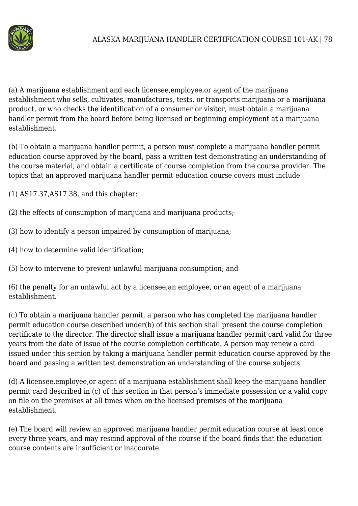

(a) A marijuana establishment and each licensee,employee,or agent of the marijuana establishment who sells, cultivates, manufactures, tests, or transports marijuana or a marijuana product, or who checks the identification of a consumer or visitor, must obtain a marijuana handler permit from the board before being licensed or beginning employment at a marijuana establishment.

(b) To obtain a marijuana handler permit, a person must complete a marijuana handler permit education course approved by the board, pass a written test demonstrating an understanding of the course material, and obtain a certificate of course completion from the course provider. The topics that an approved marijuana handler permit education course covers must include

(1) AS17.37,AS17.38, and this chapter;

- (2) the effects of consumption of marijuana and marijuana products;
- (3) how to identify a person impaired by consumption of marijuana;
- (4) how to determine valid identification;
- (5) how to intervene to prevent unlawful marijuana consumption; and

(6) the penalty for an unlawful act by a licensee,an employee, or an agent of a marijuana establishment.

(c) To obtain a marijuana handler permit, a person who has completed the marijuana handler permit education course described under(b) of this section shall present the course completion certificate to the director. The director shall issue a marijuana handler permit card valid for three years from the date of issue of the course completion certificate. A person may renew a card issued under this section by taking a marijuana handler permit education course approved by the board and passing a written test demonstration an understanding of the course subjects.

(d) A licensee,employee,or agent of a marijuana establishment shall keep the marijuana handler permit card described in (c) of this section in that person's immediate possession or a valid copy on file on the premises at all times when on the licensed premises of the marijuana establishment.

(e) The board will review an approved marijuana handler permit education course at least once every three years, and may rescind approval of the course if the board finds that the education course contents are insufficient or inaccurate.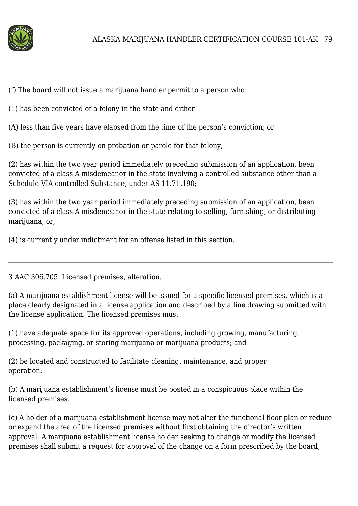

(f) The board will not issue a marijuana handler permit to a person who

(1) has been convicted of a felony in the state and either

(A) less than five years have elapsed from the time of the person's conviction; or

(B) the person is currently on probation or parole for that felony,

(2) has within the two year period immediately preceding submission of an application, been convicted of a class A misdemeanor in the state involving a controlled substance other than a Schedule VIA controlled Substance, under AS 11.71.190;

(3) has within the two year period immediately preceding submission of an application, been convicted of a class A misdemeanor in the state relating to selling, furnishing, or distributing marijuana; or,

(4) is currently under indictment for an offense listed in this section.

3 AAC 306.705. Licensed premises, alteration.

(a) A marijuana establishment license will be issued for a specific licensed premises, which is a place clearly designated in a license application and described by a line drawing submitted with the license application. The licensed premises must

(1) have adequate space for its approved operations, including growing, manufacturing, processing, packaging, or storing marijuana or marijuana products; and

(2) be located and constructed to facilitate cleaning, maintenance, and proper operation.

(b) A marijuana establishment's license must be posted in a conspicuous place within the licensed premises.

(c) A holder of a marijuana establishment license may not alter the functional floor plan or reduce or expand the area of the licensed premises without first obtaining the director's written approval. A marijuana establishment license holder seeking to change or modify the licensed premises shall submit a request for approval of the change on a form prescribed by the board,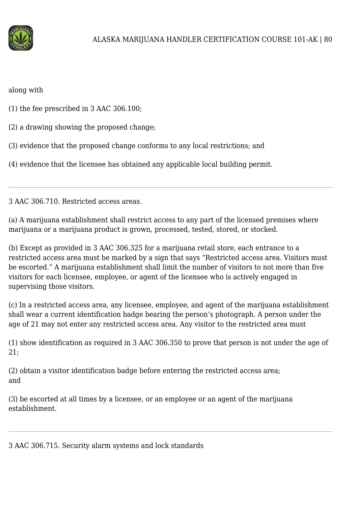

along with

(1) the fee prescribed in 3 AAC 306.100;

(2) a drawing showing the proposed change;

(3) evidence that the proposed change conforms to any local restrictions; and

(4) evidence that the licensee has obtained any applicable local building permit.

3 AAC 306.710. Restricted access areas.

(a) A marijuana establishment shall restrict access to any part of the licensed premises where marijuana or a marijuana product is grown, processed, tested, stored, or stocked.

(b) Except as provided in 3 AAC 306.325 for a marijuana retail store, each entrance to a restricted access area must be marked by a sign that says "Restricted access area. Visitors must be escorted." A marijuana establishment shall limit the number of visitors to not more than five visitors for each licensee, employee, or agent of the licensee who is actively engaged in supervising those visitors.

(c) In a restricted access area, any licensee, employee, and agent of the marijuana establishment shall wear a current identification badge bearing the person's photograph. A person under the age of 21 may not enter any restricted access area. Any visitor to the restricted area must

(1) show identification as required in 3 AAC 306.350 to prove that person is not under the age of 21;

(2) obtain a visitor identification badge before entering the restricted access area; and

(3) be escorted at all times by a licensee, or an employee or an agent of the marijuana establishment.

3 AAC 306.715. Security alarm systems and lock standards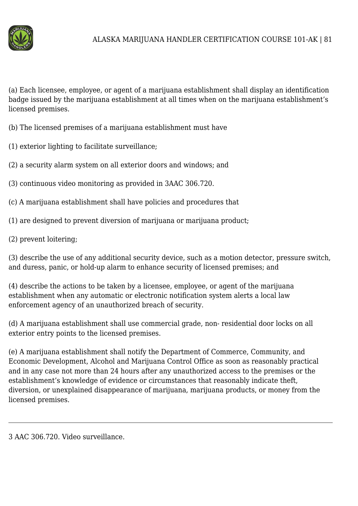

(a) Each licensee, employee, or agent of a marijuana establishment shall display an identification badge issued by the marijuana establishment at all times when on the marijuana establishment's licensed premises.

- (b) The licensed premises of a marijuana establishment must have
- (1) exterior lighting to facilitate surveillance;
- (2) a security alarm system on all exterior doors and windows; and
- (3) continuous video monitoring as provided in 3AAC 306.720.
- (c) A marijuana establishment shall have policies and procedures that
- (1) are designed to prevent diversion of marijuana or marijuana product;
- (2) prevent loitering;

(3) describe the use of any additional security device, such as a motion detector, pressure switch, and duress, panic, or hold-up alarm to enhance security of licensed premises; and

(4) describe the actions to be taken by a licensee, employee, or agent of the marijuana establishment when any automatic or electronic notification system alerts a local law enforcement agency of an unauthorized breach of security.

(d) A marijuana establishment shall use commercial grade, non- residential door locks on all exterior entry points to the licensed premises.

(e) A marijuana establishment shall notify the Department of Commerce, Community, and Economic Development, Alcohol and Marijuana Control Office as soon as reasonably practical and in any case not more than 24 hours after any unauthorized access to the premises or the establishment's knowledge of evidence or circumstances that reasonably indicate theft, diversion, or unexplained disappearance of marijuana, marijuana products, or money from the licensed premises.

3 AAC 306.720. Video surveillance.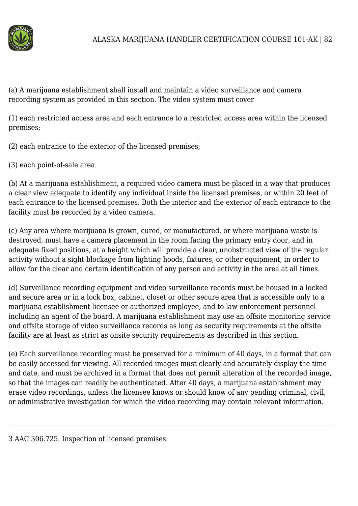

(a) A marijuana establishment shall install and maintain a video surveillance and camera recording system as provided in this section. The video system must cover

(1) each restricted access area and each entrance to a restricted access area within the licensed premises;

(2) each entrance to the exterior of the licensed premises;

(3) each point-of-sale area.

(b) At a marijuana establishment, a required video camera must be placed in a way that produces a clear view adequate to identify any individual inside the licensed premises, or within 20 feet of each entrance to the licensed premises. Both the interior and the exterior of each entrance to the facility must be recorded by a video camera.

(c) Any area where marijuana is grown, cured, or manufactured, or where marijuana waste is destroyed, must have a camera placement in the room facing the primary entry door, and in adequate fixed positions, at a height which will provide a clear, unobstructed view of the regular activity without a sight blockage from lighting hoods, fixtures, or other equipment, in order to allow for the clear and certain identification of any person and activity in the area at all times.

(d) Surveillance recording equipment and video surveillance records must be housed in a locked and secure area or in a lock box, cabinet, closet or other secure area that is accessible only to a marijuana establishment licensee or authorized employee, and to law enforcement personnel including an agent of the board. A marijuana establishment may use an offsite monitoring service and offsite storage of video surveillance records as long as security requirements at the offsite facility are at least as strict as onsite security requirements as described in this section.

(e) Each surveillance recording must be preserved for a minimum of 40 days, in a format that can be easily accessed for viewing. All recorded images must clearly and accurately display the time and date, and must be archived in a format that does not permit alteration of the recorded image, so that the images can readily be authenticated. After 40 days, a marijuana establishment may erase video recordings, unless the licensee knows or should know of any pending criminal, civil, or administrative investigation for which the video recording may contain relevant information.

3 AAC 306.725. Inspection of licensed premises.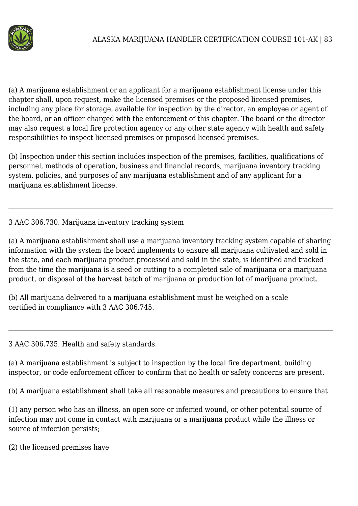

(a) A marijuana establishment or an applicant for a marijuana establishment license under this chapter shall, upon request, make the licensed premises or the proposed licensed premises, including any place for storage, available for inspection by the director, an employee or agent of the board, or an officer charged with the enforcement of this chapter. The board or the director may also request a local fire protection agency or any other state agency with health and safety responsibilities to inspect licensed premises or proposed licensed premises.

(b) Inspection under this section includes inspection of the premises, facilities, qualifications of personnel, methods of operation, business and financial records, marijuana inventory tracking system, policies, and purposes of any marijuana establishment and of any applicant for a marijuana establishment license.

# 3 AAC 306.730. Marijuana inventory tracking system

(a) A marijuana establishment shall use a marijuana inventory tracking system capable of sharing information with the system the board implements to ensure all marijuana cultivated and sold in the state, and each marijuana product processed and sold in the state, is identified and tracked from the time the marijuana is a seed or cutting to a completed sale of marijuana or a marijuana product, or disposal of the harvest batch of marijuana or production lot of marijuana product.

(b) All marijuana delivered to a marijuana establishment must be weighed on a scale certified in compliance with 3 AAC 306.745.

3 AAC 306.735. Health and safety standards.

(a) A marijuana establishment is subject to inspection by the local fire department, building inspector, or code enforcement officer to confirm that no health or safety concerns are present.

(b) A marijuana establishment shall take all reasonable measures and precautions to ensure that

(1) any person who has an illness, an open sore or infected wound, or other potential source of infection may not come in contact with marijuana or a marijuana product while the illness or source of infection persists;

(2) the licensed premises have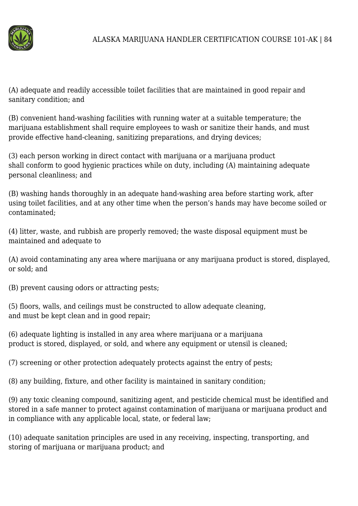

(A) adequate and readily accessible toilet facilities that are maintained in good repair and sanitary condition; and

(B) convenient hand-washing facilities with running water at a suitable temperature; the marijuana establishment shall require employees to wash or sanitize their hands, and must provide effective hand-cleaning, sanitizing preparations, and drying devices;

(3) each person working in direct contact with marijuana or a marijuana product shall conform to good hygienic practices while on duty, including (A) maintaining adequate personal cleanliness; and

(B) washing hands thoroughly in an adequate hand-washing area before starting work, after using toilet facilities, and at any other time when the person's hands may have become soiled or contaminated;

(4) litter, waste, and rubbish are properly removed; the waste disposal equipment must be maintained and adequate to

(A) avoid contaminating any area where marijuana or any marijuana product is stored, displayed, or sold; and

(B) prevent causing odors or attracting pests;

(5) floors, walls, and ceilings must be constructed to allow adequate cleaning, and must be kept clean and in good repair;

(6) adequate lighting is installed in any area where marijuana or a marijuana product is stored, displayed, or sold, and where any equipment or utensil is cleaned;

(7) screening or other protection adequately protects against the entry of pests;

(8) any building, fixture, and other facility is maintained in sanitary condition;

(9) any toxic cleaning compound, sanitizing agent, and pesticide chemical must be identified and stored in a safe manner to protect against contamination of marijuana or marijuana product and in compliance with any applicable local, state, or federal law;

(10) adequate sanitation principles are used in any receiving, inspecting, transporting, and storing of marijuana or marijuana product; and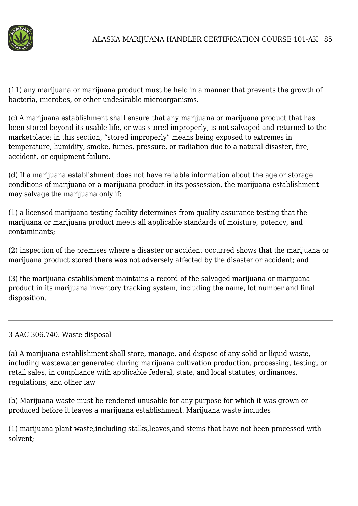

(11) any marijuana or marijuana product must be held in a manner that prevents the growth of bacteria, microbes, or other undesirable microorganisms.

(c) A marijuana establishment shall ensure that any marijuana or marijuana product that has been stored beyond its usable life, or was stored improperly, is not salvaged and returned to the marketplace; in this section, "stored improperly" means being exposed to extremes in temperature, humidity, smoke, fumes, pressure, or radiation due to a natural disaster, fire, accident, or equipment failure.

(d) If a marijuana establishment does not have reliable information about the age or storage conditions of marijuana or a marijuana product in its possession, the marijuana establishment may salvage the marijuana only if:

(1) a licensed marijuana testing facility determines from quality assurance testing that the marijuana or marijuana product meets all applicable standards of moisture, potency, and contaminants;

(2) inspection of the premises where a disaster or accident occurred shows that the marijuana or marijuana product stored there was not adversely affected by the disaster or accident; and

(3) the marijuana establishment maintains a record of the salvaged marijuana or marijuana product in its marijuana inventory tracking system, including the name, lot number and final disposition.

### 3 AAC 306.740. Waste disposal

(a) A marijuana establishment shall store, manage, and dispose of any solid or liquid waste, including wastewater generated during marijuana cultivation production, processing, testing, or retail sales, in compliance with applicable federal, state, and local statutes, ordinances, regulations, and other law

(b) Marijuana waste must be rendered unusable for any purpose for which it was grown or produced before it leaves a marijuana establishment. Marijuana waste includes

(1) marijuana plant waste,including stalks,leaves,and stems that have not been processed with solvent;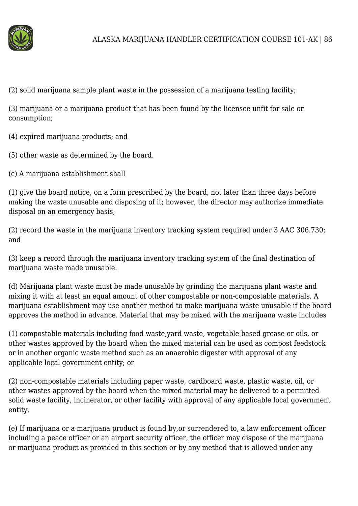

(2) solid marijuana sample plant waste in the possession of a marijuana testing facility;

(3) marijuana or a marijuana product that has been found by the licensee unfit for sale or consumption;

(4) expired marijuana products; and

(5) other waste as determined by the board.

(c) A marijuana establishment shall

(1) give the board notice, on a form prescribed by the board, not later than three days before making the waste unusable and disposing of it; however, the director may authorize immediate disposal on an emergency basis;

(2) record the waste in the marijuana inventory tracking system required under 3 AAC 306.730; and

(3) keep a record through the marijuana inventory tracking system of the final destination of marijuana waste made unusable.

(d) Marijuana plant waste must be made unusable by grinding the marijuana plant waste and mixing it with at least an equal amount of other compostable or non-compostable materials. A marijuana establishment may use another method to make marijuana waste unusable if the board approves the method in advance. Material that may be mixed with the marijuana waste includes

(1) compostable materials including food waste,yard waste, vegetable based grease or oils, or other wastes approved by the board when the mixed material can be used as compost feedstock or in another organic waste method such as an anaerobic digester with approval of any applicable local government entity; or

(2) non-compostable materials including paper waste, cardboard waste, plastic waste, oil, or other wastes approved by the board when the mixed material may be delivered to a permitted solid waste facility, incinerator, or other facility with approval of any applicable local government entity.

(e) If marijuana or a marijuana product is found by,or surrendered to, a law enforcement officer including a peace officer or an airport security officer, the officer may dispose of the marijuana or marijuana product as provided in this section or by any method that is allowed under any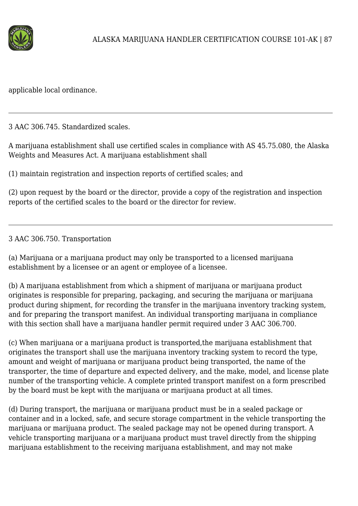

applicable local ordinance.

3 AAC 306.745. Standardized scales.

A marijuana establishment shall use certified scales in compliance with AS 45.75.080, the Alaska Weights and Measures Act. A marijuana establishment shall

(1) maintain registration and inspection reports of certified scales; and

(2) upon request by the board or the director, provide a copy of the registration and inspection reports of the certified scales to the board or the director for review.

## 3 AAC 306.750. Transportation

(a) Marijuana or a marijuana product may only be transported to a licensed marijuana establishment by a licensee or an agent or employee of a licensee.

(b) A marijuana establishment from which a shipment of marijuana or marijuana product originates is responsible for preparing, packaging, and securing the marijuana or marijuana product during shipment, for recording the transfer in the marijuana inventory tracking system, and for preparing the transport manifest. An individual transporting marijuana in compliance with this section shall have a marijuana handler permit required under 3 AAC 306.700.

(c) When marijuana or a marijuana product is transported,the marijuana establishment that originates the transport shall use the marijuana inventory tracking system to record the type, amount and weight of marijuana or marijuana product being transported, the name of the transporter, the time of departure and expected delivery, and the make, model, and license plate number of the transporting vehicle. A complete printed transport manifest on a form prescribed by the board must be kept with the marijuana or marijuana product at all times.

(d) During transport, the marijuana or marijuana product must be in a sealed package or container and in a locked, safe, and secure storage compartment in the vehicle transporting the marijuana or marijuana product. The sealed package may not be opened during transport. A vehicle transporting marijuana or a marijuana product must travel directly from the shipping marijuana establishment to the receiving marijuana establishment, and may not make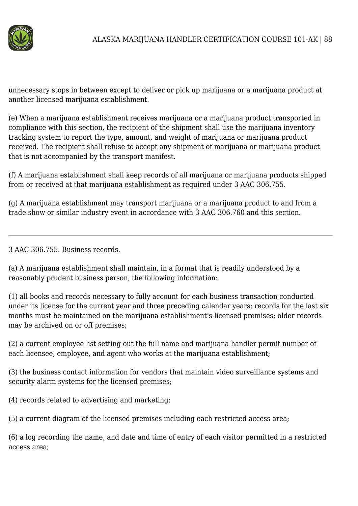

unnecessary stops in between except to deliver or pick up marijuana or a marijuana product at another licensed marijuana establishment.

(e) When a marijuana establishment receives marijuana or a marijuana product transported in compliance with this section, the recipient of the shipment shall use the marijuana inventory tracking system to report the type, amount, and weight of marijuana or marijuana product received. The recipient shall refuse to accept any shipment of marijuana or marijuana product that is not accompanied by the transport manifest.

(f) A marijuana establishment shall keep records of all marijuana or marijuana products shipped from or received at that marijuana establishment as required under 3 AAC 306.755.

(g) A marijuana establishment may transport marijuana or a marijuana product to and from a trade show or similar industry event in accordance with 3 AAC 306.760 and this section.

3 AAC 306.755. Business records.

(a) A marijuana establishment shall maintain, in a format that is readily understood by a reasonably prudent business person, the following information:

(1) all books and records necessary to fully account for each business transaction conducted under its license for the current year and three preceding calendar years; records for the last six months must be maintained on the marijuana establishment's licensed premises; older records may be archived on or off premises;

(2) a current employee list setting out the full name and marijuana handler permit number of each licensee, employee, and agent who works at the marijuana establishment;

(3) the business contact information for vendors that maintain video surveillance systems and security alarm systems for the licensed premises;

(4) records related to advertising and marketing;

(5) a current diagram of the licensed premises including each restricted access area;

(6) a log recording the name, and date and time of entry of each visitor permitted in a restricted access area;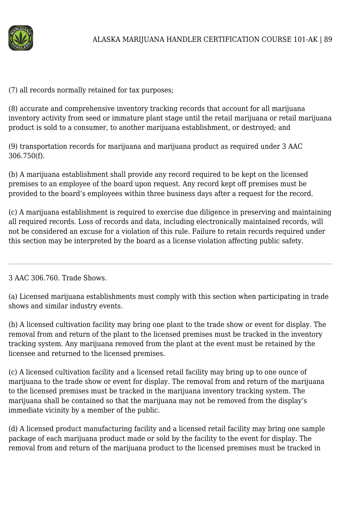

(7) all records normally retained for tax purposes;

(8) accurate and comprehensive inventory tracking records that account for all marijuana inventory activity from seed or immature plant stage until the retail marijuana or retail marijuana product is sold to a consumer, to another marijuana establishment, or destroyed; and

(9) transportation records for marijuana and marijuana product as required under 3 AAC 306.750(f).

(b) A marijuana establishment shall provide any record required to be kept on the licensed premises to an employee of the board upon request. Any record kept off premises must be provided to the board's employees within three business days after a request for the record.

(c) A marijuana establishment is required to exercise due diligence in preserving and maintaining all required records. Loss of records and data, including electronically maintained records, will not be considered an excuse for a violation of this rule. Failure to retain records required under this section may be interpreted by the board as a license violation affecting public safety.

## 3 AAC 306.760. Trade Shows.

(a) Licensed marijuana establishments must comply with this section when participating in trade shows and similar industry events.

(b) A licensed cultivation facility may bring one plant to the trade show or event for display. The removal from and return of the plant to the licensed premises must be tracked in the inventory tracking system. Any marijuana removed from the plant at the event must be retained by the licensee and returned to the licensed premises.

(c) A licensed cultivation facility and a licensed retail facility may bring up to one ounce of marijuana to the trade show or event for display. The removal from and return of the marijuana to the licensed premises must be tracked in the marijuana inventory tracking system. The marijuana shall be contained so that the marijuana may not be removed from the display's immediate vicinity by a member of the public.

(d) A licensed product manufacturing facility and a licensed retail facility may bring one sample package of each marijuana product made or sold by the facility to the event for display. The removal from and return of the marijuana product to the licensed premises must be tracked in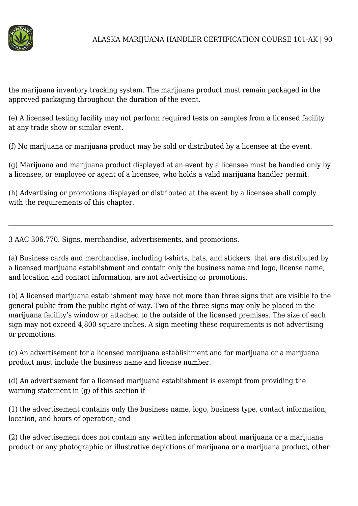

the marijuana inventory tracking system. The marijuana product must remain packaged in the approved packaging throughout the duration of the event.

(e) A licensed testing facility may not perform required tests on samples from a licensed facility at any trade show or similar event.

(f) No marijuana or marijuana product may be sold or distributed by a licensee at the event.

(g) Marijuana and marijuana product displayed at an event by a licensee must be handled only by a licensee, or employee or agent of a licensee, who holds a valid marijuana handler permit.

(h) Advertising or promotions displayed or distributed at the event by a licensee shall comply with the requirements of this chapter.

3 AAC 306.770. Signs, merchandise, advertisements, and promotions.

(a) Business cards and merchandise, including t-shirts, hats, and stickers, that are distributed by a licensed marijuana establishment and contain only the business name and logo, license name, and location and contact information, are not advertising or promotions.

(b) A licensed marijuana establishment may have not more than three signs that are visible to the general public from the public right-of-way. Two of the three signs may only be placed in the marijuana facility's window or attached to the outside of the licensed premises. The size of each sign may not exceed 4,800 square inches. A sign meeting these requirements is not advertising or promotions.

(c) An advertisement for a licensed marijuana establishment and for marijuana or a marijuana product must include the business name and license number.

(d) An advertisement for a licensed marijuana establishment is exempt from providing the warning statement in (g) of this section if

(1) the advertisement contains only the business name, logo, business type, contact information, location, and hours of operation; and

(2) the advertisement does not contain any written information about marijuana or a marijuana product or any photographic or illustrative depictions of marijuana or a marijuana product, other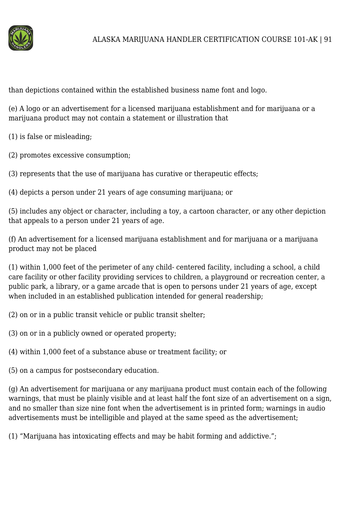

than depictions contained within the established business name font and logo.

(e) A logo or an advertisement for a licensed marijuana establishment and for marijuana or a marijuana product may not contain a statement or illustration that

(1) is false or misleading;

(2) promotes excessive consumption;

(3) represents that the use of marijuana has curative or therapeutic effects;

(4) depicts a person under 21 years of age consuming marijuana; or

(5) includes any object or character, including a toy, a cartoon character, or any other depiction that appeals to a person under 21 years of age.

(f) An advertisement for a licensed marijuana establishment and for marijuana or a marijuana product may not be placed

(1) within 1,000 feet of the perimeter of any child- centered facility, including a school, a child care facility or other facility providing services to children, a playground or recreation center, a public park, a library, or a game arcade that is open to persons under 21 years of age, except when included in an established publication intended for general readership;

(2) on or in a public transit vehicle or public transit shelter;

(3) on or in a publicly owned or operated property;

(4) within 1,000 feet of a substance abuse or treatment facility; or

(5) on a campus for postsecondary education.

(g) An advertisement for marijuana or any marijuana product must contain each of the following warnings, that must be plainly visible and at least half the font size of an advertisement on a sign, and no smaller than size nine font when the advertisement is in printed form; warnings in audio advertisements must be intelligible and played at the same speed as the advertisement;

(1) "Marijuana has intoxicating effects and may be habit forming and addictive.";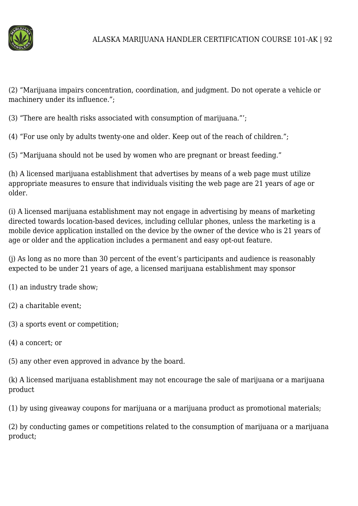

(2) "Marijuana impairs concentration, coordination, and judgment. Do not operate a vehicle or machinery under its influence.";

(3) "There are health risks associated with consumption of marijuana."';

(4) "For use only by adults twenty-one and older. Keep out of the reach of children.";

(5) "Marijuana should not be used by women who are pregnant or breast feeding."

(h) A licensed marijuana establishment that advertises by means of a web page must utilize appropriate measures to ensure that individuals visiting the web page are 21 years of age or older.

(i) A licensed marijuana establishment may not engage in advertising by means of marketing directed towards location-based devices, including cellular phones, unless the marketing is a mobile device application installed on the device by the owner of the device who is 21 years of age or older and the application includes a permanent and easy opt-out feature.

(j) As long as no more than 30 percent of the event's participants and audience is reasonably expected to be under 21 years of age, a licensed marijuana establishment may sponsor

(1) an industry trade show;

(2) a charitable event;

(3) a sports event or competition;

(4) a concert; or

(5) any other even approved in advance by the board.

(k) A licensed marijuana establishment may not encourage the sale of marijuana or a marijuana product

(1) by using giveaway coupons for marijuana or a marijuana product as promotional materials;

(2) by conducting games or competitions related to the consumption of marijuana or a marijuana product;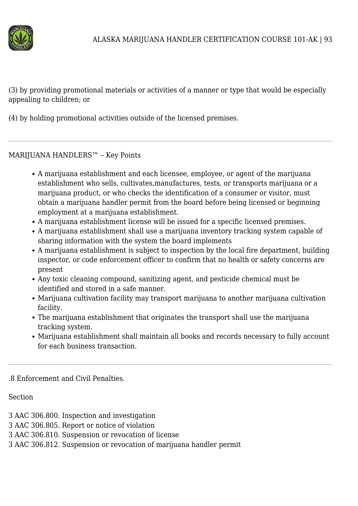

(3) by providing promotional materials or activities of a manner or type that would be especially appealing to children; or

(4) by holding promotional activities outside of the licensed premises.

MARIJUANA HANDLERS™ – Key Points

- A marijuana establishment and each licensee, employee, or agent of the marijuana establishment who sells, cultivates,manufactures, tests, or transports marijuana or a marijuana product, or who checks the identification of a consumer or visitor, must obtain a marijuana handler permit from the board before being licensed or beginning employment at a marijuana establishment.
- A marijuana establishment license will be issued for a specific licensed premises.
- A marijuana establishment shall use a marijuana inventory tracking system capable of sharing information with the system the board implements
- A marijuana establishment is subject to inspection by the local fire department, building inspector, or code enforcement officer to confirm that no health or safety concerns are present
- Any toxic cleaning compound, sanitizing agent, and pesticide chemical must be identified and stored in a safe manner.
- Marijuana cultivation facility may transport marijuana to another marijuana cultivation facility.
- The marijuana establishment that originates the transport shall use the marijuana tracking system.
- Marijuana establishment shall maintain all books and records necessary to fully account for each business transaction.

.8 Enforcement and Civil Penalties.

Section

- 3 AAC 306.800. Inspection and investigation
- 3 AAC 306.805. Report or notice of violation
- 3 AAC 306.810. Suspension or revocation of license
- 3 AAC 306.812. Suspension or revocation of marijuana handler permit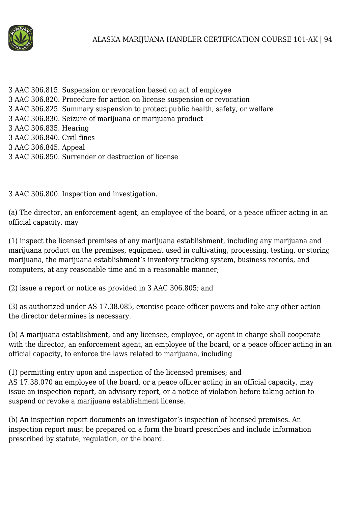

3 AAC 306.815. Suspension or revocation based on act of employee 3 AAC 306.820. Procedure for action on license suspension or revocation 3 AAC 306.825. Summary suspension to protect public health, safety, or welfare 3 AAC 306.830. Seizure of marijuana or marijuana product 3 AAC 306.835. Hearing 3 AAC 306.840. Civil fines 3 AAC 306.845. Appeal 3 AAC 306.850. Surrender or destruction of license

3 AAC 306.800. Inspection and investigation.

(a) The director, an enforcement agent, an employee of the board, or a peace officer acting in an official capacity, may

(1) inspect the licensed premises of any marijuana establishment, including any marijuana and marijuana product on the premises, equipment used in cultivating, processing, testing, or storing marijuana, the marijuana establishment's inventory tracking system, business records, and computers, at any reasonable time and in a reasonable manner;

(2) issue a report or notice as provided in 3 AAC 306.805; and

(3) as authorized under AS 17.38.085, exercise peace officer powers and take any other action the director determines is necessary.

(b) A marijuana establishment, and any licensee, employee, or agent in charge shall cooperate with the director, an enforcement agent, an employee of the board, or a peace officer acting in an official capacity, to enforce the laws related to marijuana, including

(1) permitting entry upon and inspection of the licensed premises; and AS 17.38.070 an employee of the board, or a peace officer acting in an official capacity, may issue an inspection report, an advisory report, or a notice of violation before taking action to suspend or revoke a marijuana establishment license.

(b) An inspection report documents an investigator's inspection of licensed premises. An inspection report must be prepared on a form the board prescribes and include information prescribed by statute, regulation, or the board.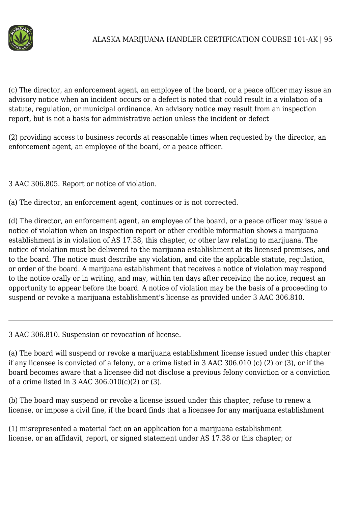

(c) The director, an enforcement agent, an employee of the board, or a peace officer may issue an advisory notice when an incident occurs or a defect is noted that could result in a violation of a statute, regulation, or municipal ordinance. An advisory notice may result from an inspection report, but is not a basis for administrative action unless the incident or defect

(2) providing access to business records at reasonable times when requested by the director, an enforcement agent, an employee of the board, or a peace officer.

3 AAC 306.805. Report or notice of violation.

(a) The director, an enforcement agent, continues or is not corrected.

(d) The director, an enforcement agent, an employee of the board, or a peace officer may issue a notice of violation when an inspection report or other credible information shows a marijuana establishment is in violation of AS 17.38, this chapter, or other law relating to marijuana. The notice of violation must be delivered to the marijuana establishment at its licensed premises, and to the board. The notice must describe any violation, and cite the applicable statute, regulation, or order of the board. A marijuana establishment that receives a notice of violation may respond to the notice orally or in writing, and may, within ten days after receiving the notice, request an opportunity to appear before the board. A notice of violation may be the basis of a proceeding to suspend or revoke a marijuana establishment's license as provided under 3 AAC 306.810.

3 AAC 306.810. Suspension or revocation of license.

(a) The board will suspend or revoke a marijuana establishment license issued under this chapter if any licensee is convicted of a felony, or a crime listed in 3 AAC 306.010 (c) (2) or (3), or if the board becomes aware that a licensee did not disclose a previous felony conviction or a conviction of a crime listed in 3 AAC 306.010(c)(2) or (3).

(b) The board may suspend or revoke a license issued under this chapter, refuse to renew a license, or impose a civil fine, if the board finds that a licensee for any marijuana establishment

(1) misrepresented a material fact on an application for a marijuana establishment license, or an affidavit, report, or signed statement under AS 17.38 or this chapter; or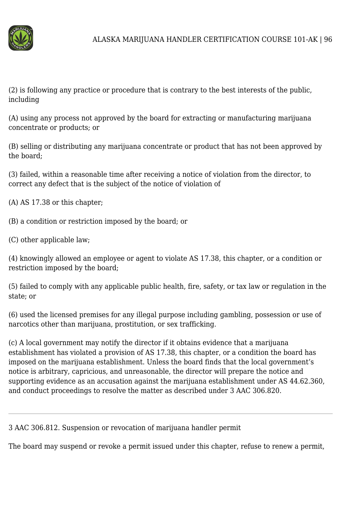

(2) is following any practice or procedure that is contrary to the best interests of the public, including

(A) using any process not approved by the board for extracting or manufacturing marijuana concentrate or products; or

(B) selling or distributing any marijuana concentrate or product that has not been approved by the board;

(3) failed, within a reasonable time after receiving a notice of violation from the director, to correct any defect that is the subject of the notice of violation of

(A) AS 17.38 or this chapter;

(B) a condition or restriction imposed by the board; or

(C) other applicable law;

(4) knowingly allowed an employee or agent to violate AS 17.38, this chapter, or a condition or restriction imposed by the board;

(5) failed to comply with any applicable public health, fire, safety, or tax law or regulation in the state; or

(6) used the licensed premises for any illegal purpose including gambling, possession or use of narcotics other than marijuana, prostitution, or sex trafficking.

(c) A local government may notify the director if it obtains evidence that a marijuana establishment has violated a provision of AS 17.38, this chapter, or a condition the board has imposed on the marijuana establishment. Unless the board finds that the local government's notice is arbitrary, capricious, and unreasonable, the director will prepare the notice and supporting evidence as an accusation against the marijuana establishment under AS 44.62.360, and conduct proceedings to resolve the matter as described under 3 AAC 306.820.

3 AAC 306.812. Suspension or revocation of marijuana handler permit

The board may suspend or revoke a permit issued under this chapter, refuse to renew a permit,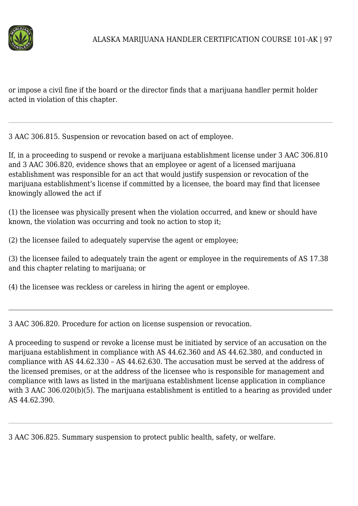

or impose a civil fine if the board or the director finds that a marijuana handler permit holder acted in violation of this chapter.

3 AAC 306.815. Suspension or revocation based on act of employee.

If, in a proceeding to suspend or revoke a marijuana establishment license under 3 AAC 306.810 and 3 AAC 306.820, evidence shows that an employee or agent of a licensed marijuana establishment was responsible for an act that would justify suspension or revocation of the marijuana establishment's license if committed by a licensee, the board may find that licensee knowingly allowed the act if

(1) the licensee was physically present when the violation occurred, and knew or should have known, the violation was occurring and took no action to stop it;

(2) the licensee failed to adequately supervise the agent or employee;

(3) the licensee failed to adequately train the agent or employee in the requirements of AS 17.38 and this chapter relating to marijuana; or

(4) the licensee was reckless or careless in hiring the agent or employee.

3 AAC 306.820. Procedure for action on license suspension or revocation.

A proceeding to suspend or revoke a license must be initiated by service of an accusation on the marijuana establishment in compliance with AS 44.62.360 and AS 44.62.380, and conducted in compliance with AS 44.62.330 – AS 44.62.630. The accusation must be served at the address of the licensed premises, or at the address of the licensee who is responsible for management and compliance with laws as listed in the marijuana establishment license application in compliance with 3 AAC 306.020(b)(5). The marijuana establishment is entitled to a hearing as provided under AS 44.62.390.

3 AAC 306.825. Summary suspension to protect public health, safety, or welfare.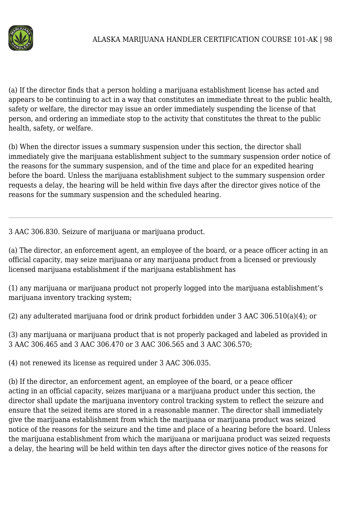

(a) If the director finds that a person holding a marijuana establishment license has acted and appears to be continuing to act in a way that constitutes an immediate threat to the public health, safety or welfare, the director may issue an order immediately suspending the license of that person, and ordering an immediate stop to the activity that constitutes the threat to the public health, safety, or welfare.

(b) When the director issues a summary suspension under this section, the director shall immediately give the marijuana establishment subject to the summary suspension order notice of the reasons for the summary suspension, and of the time and place for an expedited hearing before the board. Unless the marijuana establishment subject to the summary suspension order requests a delay, the hearing will be held within five days after the director gives notice of the reasons for the summary suspension and the scheduled hearing.

3 AAC 306.830. Seizure of marijuana or marijuana product.

(a) The director, an enforcement agent, an employee of the board, or a peace officer acting in an official capacity, may seize marijuana or any marijuana product from a licensed or previously licensed marijuana establishment if the marijuana establishment has

(1) any marijuana or marijuana product not properly logged into the marijuana establishment's marijuana inventory tracking system;

(2) any adulterated marijuana food or drink product forbidden under 3 AAC 306.510(a)(4); or

(3) any marijuana or marijuana product that is not properly packaged and labeled as provided in 3 AAC 306.465 and 3 AAC 306.470 or 3 AAC 306.565 and 3 AAC 306.570;

(4) not renewed its license as required under 3 AAC 306.035.

(b) If the director, an enforcement agent, an employee of the board, or a peace officer acting in an official capacity, seizes marijuana or a marijuana product under this section, the director shall update the marijuana inventory control tracking system to reflect the seizure and ensure that the seized items are stored in a reasonable manner. The director shall immediately give the marijuana establishment from which the marijuana or marijuana product was seized notice of the reasons for the seizure and the time and place of a hearing before the board. Unless the marijuana establishment from which the marijuana or marijuana product was seized requests a delay, the hearing will be held within ten days after the director gives notice of the reasons for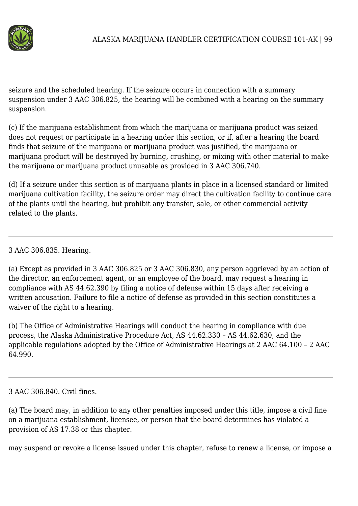

seizure and the scheduled hearing. If the seizure occurs in connection with a summary suspension under 3 AAC 306.825, the hearing will be combined with a hearing on the summary suspension.

(c) If the marijuana establishment from which the marijuana or marijuana product was seized does not request or participate in a hearing under this section, or if, after a hearing the board finds that seizure of the marijuana or marijuana product was justified, the marijuana or marijuana product will be destroyed by burning, crushing, or mixing with other material to make the marijuana or marijuana product unusable as provided in 3 AAC 306.740.

(d) If a seizure under this section is of marijuana plants in place in a licensed standard or limited marijuana cultivation facility, the seizure order may direct the cultivation facility to continue care of the plants until the hearing, but prohibit any transfer, sale, or other commercial activity related to the plants.

3 AAC 306.835. Hearing.

(a) Except as provided in 3 AAC 306.825 or 3 AAC 306.830, any person aggrieved by an action of the director, an enforcement agent, or an employee of the board, may request a hearing in compliance with AS 44.62.390 by filing a notice of defense within 15 days after receiving a written accusation. Failure to file a notice of defense as provided in this section constitutes a waiver of the right to a hearing.

(b) The Office of Administrative Hearings will conduct the hearing in compliance with due process, the Alaska Administrative Procedure Act, AS 44.62.330 – AS 44.62.630, and the applicable regulations adopted by the Office of Administrative Hearings at 2 AAC 64.100 – 2 AAC 64.990.

### 3 AAC 306.840. Civil fines.

(a) The board may, in addition to any other penalties imposed under this title, impose a civil fine on a marijuana establishment, licensee, or person that the board determines has violated a provision of AS 17.38 or this chapter.

may suspend or revoke a license issued under this chapter, refuse to renew a license, or impose a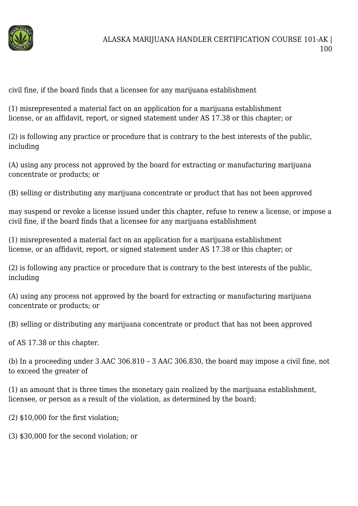

civil fine, if the board finds that a licensee for any marijuana establishment

(1) misrepresented a material fact on an application for a marijuana establishment license, or an affidavit, report, or signed statement under AS 17.38 or this chapter; or

(2) is following any practice or procedure that is contrary to the best interests of the public, including

(A) using any process not approved by the board for extracting or manufacturing marijuana concentrate or products; or

(B) selling or distributing any marijuana concentrate or product that has not been approved

may suspend or revoke a license issued under this chapter, refuse to renew a license, or impose a civil fine, if the board finds that a licensee for any marijuana establishment

(1) misrepresented a material fact on an application for a marijuana establishment license, or an affidavit, report, or signed statement under AS 17.38 or this chapter; or

(2) is following any practice or procedure that is contrary to the best interests of the public, including

(A) using any process not approved by the board for extracting or manufacturing marijuana concentrate or products; or

(B) selling or distributing any marijuana concentrate or product that has not been approved

of AS 17.38 or this chapter.

(b) In a proceeding under 3 AAC 306.810 – 3 AAC 306.830, the board may impose a civil fine, not to exceed the greater of

(1) an amount that is three times the monetary gain realized by the marijuana establishment, licensee, or person as a result of the violation, as determined by the board;

(2) \$10,000 for the first violation;

(3) \$30,000 for the second violation; or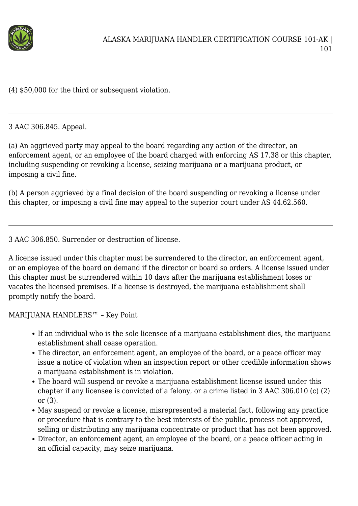

(4) \$50,000 for the third or subsequent violation.

3 AAC 306.845. Appeal.

(a) An aggrieved party may appeal to the board regarding any action of the director, an enforcement agent, or an employee of the board charged with enforcing AS 17.38 or this chapter, including suspending or revoking a license, seizing marijuana or a marijuana product, or imposing a civil fine.

(b) A person aggrieved by a final decision of the board suspending or revoking a license under this chapter, or imposing a civil fine may appeal to the superior court under AS 44.62.560.

3 AAC 306.850. Surrender or destruction of license.

A license issued under this chapter must be surrendered to the director, an enforcement agent, or an employee of the board on demand if the director or board so orders. A license issued under this chapter must be surrendered within 10 days after the marijuana establishment loses or vacates the licensed premises. If a license is destroyed, the marijuana establishment shall promptly notify the board.

MARIJUANA HANDLERS™ – Key Point

- If an individual who is the sole licensee of a marijuana establishment dies, the marijuana establishment shall cease operation.
- The director, an enforcement agent, an employee of the board, or a peace officer may issue a notice of violation when an inspection report or other credible information shows a marijuana establishment is in violation.
- The board will suspend or revoke a marijuana establishment license issued under this chapter if any licensee is convicted of a felony, or a crime listed in 3 AAC 306.010 (c) (2) or (3).
- May suspend or revoke a license, misrepresented a material fact, following any practice or procedure that is contrary to the best interests of the public, process not approved, selling or distributing any marijuana concentrate or product that has not been approved.
- Director, an enforcement agent, an employee of the board, or a peace officer acting in an official capacity, may seize marijuana.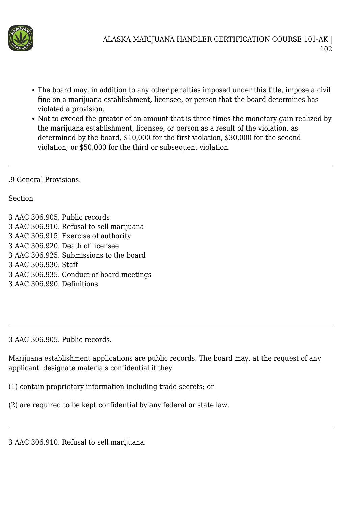

- The board may, in addition to any other penalties imposed under this title, impose a civil fine on a marijuana establishment, licensee, or person that the board determines has violated a provision.
- Not to exceed the greater of an amount that is three times the monetary gain realized by the marijuana establishment, licensee, or person as a result of the violation, as determined by the board, \$10,000 for the first violation, \$30,000 for the second violation; or \$50,000 for the third or subsequent violation.
- .9 General Provisions.

#### Section

3 AAC 306.905. Public records 3 AAC 306.910. Refusal to sell marijuana 3 AAC 306.915. Exercise of authority 3 AAC 306.920. Death of licensee 3 AAC 306.925. Submissions to the board 3 AAC 306.930. Staff 3 AAC 306.935. Conduct of board meetings 3 AAC 306.990. Definitions

3 AAC 306.905. Public records.

Marijuana establishment applications are public records. The board may, at the request of any applicant, designate materials confidential if they

(1) contain proprietary information including trade secrets; or

(2) are required to be kept confidential by any federal or state law.

3 AAC 306.910. Refusal to sell marijuana.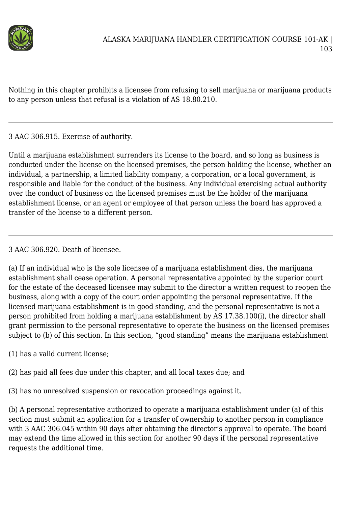

Nothing in this chapter prohibits a licensee from refusing to sell marijuana or marijuana products to any person unless that refusal is a violation of AS 18.80.210.

3 AAC 306.915. Exercise of authority.

Until a marijuana establishment surrenders its license to the board, and so long as business is conducted under the license on the licensed premises, the person holding the license, whether an individual, a partnership, a limited liability company, a corporation, or a local government, is responsible and liable for the conduct of the business. Any individual exercising actual authority over the conduct of business on the licensed premises must be the holder of the marijuana establishment license, or an agent or employee of that person unless the board has approved a transfer of the license to a different person.

3 AAC 306.920. Death of licensee.

(a) If an individual who is the sole licensee of a marijuana establishment dies, the marijuana establishment shall cease operation. A personal representative appointed by the superior court for the estate of the deceased licensee may submit to the director a written request to reopen the business, along with a copy of the court order appointing the personal representative. If the licensed marijuana establishment is in good standing, and the personal representative is not a person prohibited from holding a marijuana establishment by AS 17.38.100(i), the director shall grant permission to the personal representative to operate the business on the licensed premises subject to (b) of this section. In this section, "good standing" means the marijuana establishment

- (1) has a valid current license;
- (2) has paid all fees due under this chapter, and all local taxes due; and
- (3) has no unresolved suspension or revocation proceedings against it.

(b) A personal representative authorized to operate a marijuana establishment under (a) of this section must submit an application for a transfer of ownership to another person in compliance with 3 AAC 306.045 within 90 days after obtaining the director's approval to operate. The board may extend the time allowed in this section for another 90 days if the personal representative requests the additional time.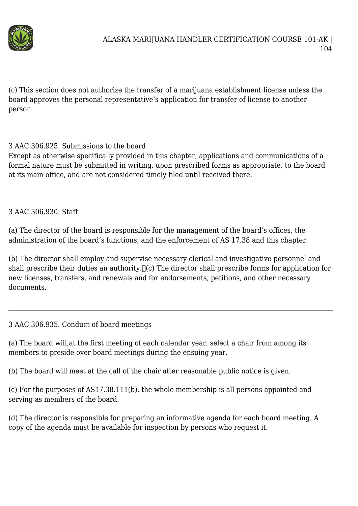

(c) This section does not authorize the transfer of a marijuana establishment license unless the board approves the personal representative's application for transfer of license to another person.

3 AAC 306.925. Submissions to the board

Except as otherwise specifically provided in this chapter, applications and communications of a formal nature must be submitted in writing, upon prescribed forms as appropriate, to the board at its main office, and are not considered timely filed until received there.

3 AAC 306.930. Staff

(a) The director of the board is responsible for the management of the board's offices, the administration of the board's functions, and the enforcement of AS 17.38 and this chapter.

(b) The director shall employ and supervise necessary clerical and investigative personnel and shall prescribe their duties an authority.  $\Box$  (c) The director shall prescribe forms for application for new licenses, transfers, and renewals and for endorsements, petitions, and other necessary documents.

3 AAC 306.935. Conduct of board meetings

(a) The board will,at the first meeting of each calendar year, select a chair from among its members to preside over board meetings during the ensuing year.

(b) The board will meet at the call of the chair after reasonable public notice is given.

(c) For the purposes of AS17.38.111(b), the whole membership is all persons appointed and serving as members of the board.

(d) The director is responsible for preparing an informative agenda for each board meeting. A copy of the agenda must be available for inspection by persons who request it.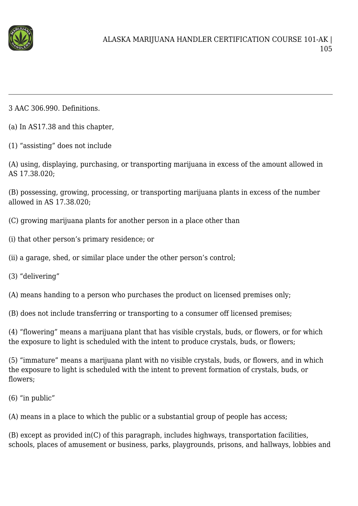

3 AAC 306.990. Definitions.

- (a) In AS17.38 and this chapter,
- (1) "assisting" does not include

(A) using, displaying, purchasing, or transporting marijuana in excess of the amount allowed in AS 17.38.020;

(B) possessing, growing, processing, or transporting marijuana plants in excess of the number allowed in AS 17.38.020;

(C) growing marijuana plants for another person in a place other than

(i) that other person's primary residence; or

(ii) a garage, shed, or similar place under the other person's control;

(3) "delivering"

(A) means handing to a person who purchases the product on licensed premises only;

(B) does not include transferring or transporting to a consumer off licensed premises;

(4) "flowering" means a marijuana plant that has visible crystals, buds, or flowers, or for which the exposure to light is scheduled with the intent to produce crystals, buds, or flowers;

(5) "immature" means a marijuana plant with no visible crystals, buds, or flowers, and in which the exposure to light is scheduled with the intent to prevent formation of crystals, buds, or flowers;

(6) "in public"

(A) means in a place to which the public or a substantial group of people has access;

(B) except as provided in(C) of this paragraph, includes highways, transportation facilities, schools, places of amusement or business, parks, playgrounds, prisons, and hallways, lobbies and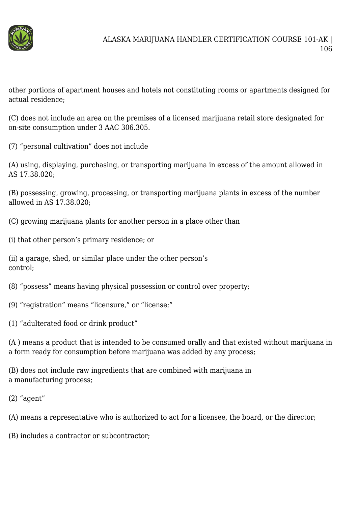

other portions of apartment houses and hotels not constituting rooms or apartments designed for actual residence;

(C) does not include an area on the premises of a licensed marijuana retail store designated for on-site consumption under 3 AAC 306.305.

(7) "personal cultivation" does not include

(A) using, displaying, purchasing, or transporting marijuana in excess of the amount allowed in AS 17.38.020;

(B) possessing, growing, processing, or transporting marijuana plants in excess of the number allowed in AS 17.38.020;

- (C) growing marijuana plants for another person in a place other than
- (i) that other person's primary residence; or

(ii) a garage, shed, or similar place under the other person's control;

(8) "possess" means having physical possession or control over property;

(9) "registration" means "licensure," or "license;"

(1) "adulterated food or drink product"

(A ) means a product that is intended to be consumed orally and that existed without marijuana in a form ready for consumption before marijuana was added by any process;

(B) does not include raw ingredients that are combined with marijuana in a manufacturing process;

(2) "agent"

(A) means a representative who is authorized to act for a licensee, the board, or the director;

(B) includes a contractor or subcontractor;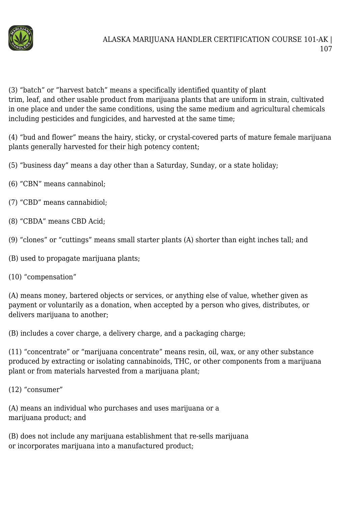

(3) "batch" or "harvest batch" means a specifically identified quantity of plant trim, leaf, and other usable product from marijuana plants that are uniform in strain, cultivated in one place and under the same conditions, using the same medium and agricultural chemicals including pesticides and fungicides, and harvested at the same time;

(4) "bud and flower" means the hairy, sticky, or crystal-covered parts of mature female marijuana plants generally harvested for their high potency content;

(5) "business day" means a day other than a Saturday, Sunday, or a state holiday;

- (6) "CBN" means cannabinol;
- (7) "CBD" means cannabidiol;
- (8) "CBDA" means CBD Acid;
- (9) "clones" or "cuttings" means small starter plants (A) shorter than eight inches tall; and
- (B) used to propagate marijuana plants;
- (10) "compensation"

(A) means money, bartered objects or services, or anything else of value, whether given as payment or voluntarily as a donation, when accepted by a person who gives, distributes, or delivers marijuana to another;

(B) includes a cover charge, a delivery charge, and a packaging charge;

(11) "concentrate" or "marijuana concentrate" means resin, oil, wax, or any other substance produced by extracting or isolating cannabinoids, THC, or other components from a marijuana plant or from materials harvested from a marijuana plant;

(12) "consumer"

(A) means an individual who purchases and uses marijuana or a marijuana product; and

(B) does not include any marijuana establishment that re-sells marijuana or incorporates marijuana into a manufactured product;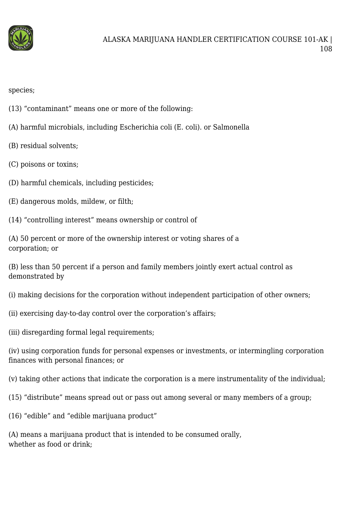

species;

- (13) "contaminant" means one or more of the following:
- (A) harmful microbials, including Escherichia coli (E. coli). or Salmonella
- (B) residual solvents;
- (C) poisons or toxins;
- (D) harmful chemicals, including pesticides;
- (E) dangerous molds, mildew, or filth;
- (14) "controlling interest" means ownership or control of
- (A) 50 percent or more of the ownership interest or voting shares of a corporation; or
- (B) less than 50 percent if a person and family members jointly exert actual control as demonstrated by
- (i) making decisions for the corporation without independent participation of other owners;
- (ii) exercising day-to-day control over the corporation's affairs;
- (iii) disregarding formal legal requirements;
- (iv) using corporation funds for personal expenses or investments, or intermingling corporation finances with personal finances; or
- (v) taking other actions that indicate the corporation is a mere instrumentality of the individual;
- (15) "distribute" means spread out or pass out among several or many members of a group;
- (16) "edible" and "edible marijuana product"
- (A) means a marijuana product that is intended to be consumed orally, whether as food or drink;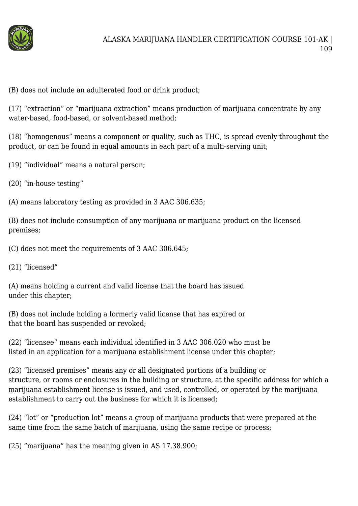

(B) does not include an adulterated food or drink product;

(17) "extraction" or "marijuana extraction" means production of marijuana concentrate by any water-based, food-based, or solvent-based method;

(18) "homogenous" means a component or quality, such as THC, is spread evenly throughout the product, or can be found in equal amounts in each part of a multi-serving unit;

(19) "individual" means a natural person;

(20) "in-house testing"

(A) means laboratory testing as provided in 3 AAC 306.635;

(B) does not include consumption of any marijuana or marijuana product on the licensed premises;

(C) does not meet the requirements of 3 AAC 306.645;

(21) "licensed"

(A) means holding a current and valid license that the board has issued under this chapter;

(B) does not include holding a formerly valid license that has expired or that the board has suspended or revoked;

(22) "licensee" means each individual identified in 3 AAC 306.020 who must be listed in an application for a marijuana establishment license under this chapter;

(23) "licensed premises" means any or all designated portions of a building or structure, or rooms or enclosures in the building or structure, at the specific address for which a marijuana establishment license is issued, and used, controlled, or operated by the marijuana establishment to carry out the business for which it is licensed;

(24) "lot" or "production lot" means a group of marijuana products that were prepared at the same time from the same batch of marijuana, using the same recipe or process;

(25) "marijuana" has the meaning given in AS 17.38.900;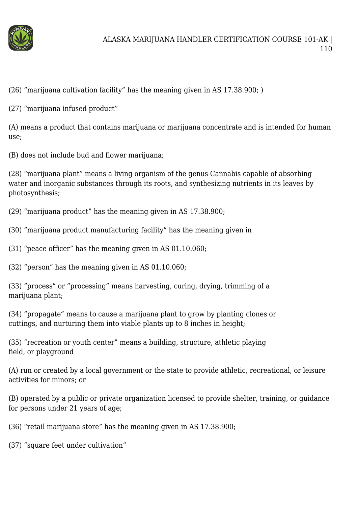

(26) "marijuana cultivation facility" has the meaning given in AS 17.38.900; )

(27) "marijuana infused product"

(A) means a product that contains marijuana or marijuana concentrate and is intended for human use;

(B) does not include bud and flower marijuana;

(28) "marijuana plant" means a living organism of the genus Cannabis capable of absorbing water and inorganic substances through its roots, and synthesizing nutrients in its leaves by photosynthesis;

(29) "marijuana product" has the meaning given in AS 17.38.900;

(30) "marijuana product manufacturing facility" has the meaning given in

(31) "peace officer" has the meaning given in AS 01.10.060;

(32) "person" has the meaning given in AS 01.10.060;

(33) "process" or "processing" means harvesting, curing, drying, trimming of a marijuana plant;

(34) "propagate" means to cause a marijuana plant to grow by planting clones or cuttings, and nurturing them into viable plants up to 8 inches in height;

(35) "recreation or youth center" means a building, structure, athletic playing field, or playground

(A) run or created by a local government or the state to provide athletic, recreational, or leisure activities for minors; or

(B) operated by a public or private organization licensed to provide shelter, training, or guidance for persons under 21 years of age;

(36) "retail marijuana store" has the meaning given in AS 17.38.900;

(37) "square feet under cultivation"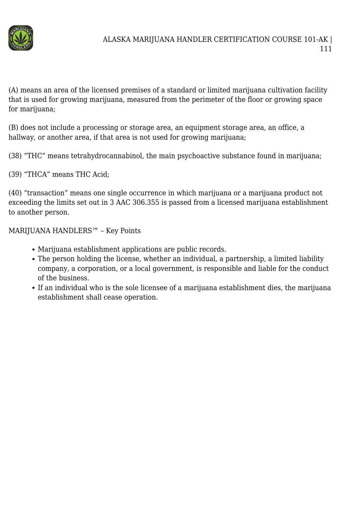

(A) means an area of the licensed premises of a standard or limited marijuana cultivation facility that is used for growing marijuana, measured from the perimeter of the floor or growing space for marijuana;

(B) does not include a processing or storage area, an equipment storage area, an office, a hallway, or another area, if that area is not used for growing marijuana;

(38) "THC" means tetrahydrocannabinol, the main psychoactive substance found in marijuana;

(39) "THCA" means THC Acid;

(40) "transaction" means one single occurrence in which marijuana or a marijuana product not exceeding the limits set out in 3 AAC 306.355 is passed from a licensed marijuana establishment to another person.

MARIJUANA HANDLERS™ – Key Points

- Marijuana establishment applications are public records.
- The person holding the license, whether an individual, a partnership, a limited liability company, a corporation, or a local government, is responsible and liable for the conduct of the business.
- If an individual who is the sole licensee of a marijuana establishment dies, the marijuana establishment shall cease operation.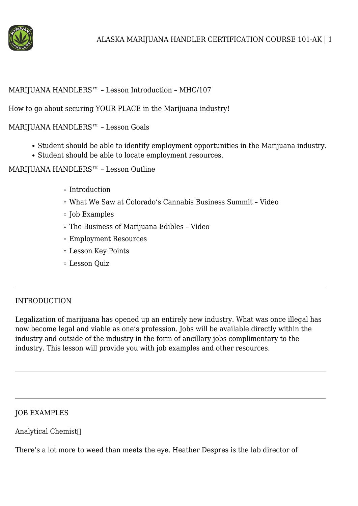

### MARIJUANA HANDLERS™ – Lesson Introduction – MHC/107

How to go about securing YOUR PLACE in the Marijuana industry!

MARIJUANA HANDLERS™ – Lesson Goals

- Student should be able to identify employment opportunities in the Marijuana industry.
- Student should be able to locate employment resources.

MARIJUANA HANDLERS™ – Lesson Outline

- Introduction
- What We Saw at Colorado's Cannabis Business Summit Video
- $\circ$  Job Examples
- The Business of Marijuana Edibles Video
- Employment Resources
- Lesson Key Points
- Lesson Quiz

### INTRODUCTION

Legalization of marijuana has opened up an entirely new industry. What was once illegal has now become legal and viable as one's profession. Jobs will be available directly within the industry and outside of the industry in the form of ancillary jobs complimentary to the industry. This lesson will provide you with job examples and other resources.

### JOB EXAMPLES

Analytical Chemist

There's a lot more to weed than meets the eye. Heather Despres is the lab director of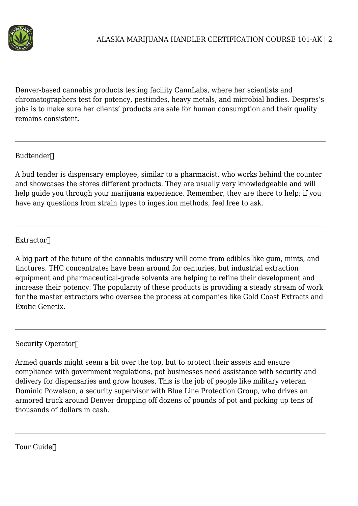

Denver-based cannabis products testing facility CannLabs, where her scientists and chromatographers test for potency, pesticides, heavy metals, and microbial bodies. Despres's jobs is to make sure her clients' products are safe for human consumption and their quality remains consistent.

## Budtender∏

A bud tender is dispensary employee, similar to a pharmacist, who works behind the counter and showcases the stores different products. They are usually very knowledgeable and will help guide you through your marijuana experience. Remember, they are there to help; if you have any questions from strain types to ingestion methods, feel free to ask.

# Extractor

A big part of the future of the cannabis industry will come from edibles like gum, mints, and tinctures. THC concentrates have been around for centuries, but industrial extraction equipment and pharmaceutical-grade solvents are helping to refine their development and increase their potency. The popularity of these products is providing a steady stream of work for the master extractors who oversee the process at companies like Gold Coast Extracts and Exotic Genetix.

Security Operator

Armed guards might seem a bit over the top, but to protect their assets and ensure compliance with government regulations, pot businesses need assistance with security and delivery for dispensaries and grow houses. This is the job of people like military veteran Dominic Powelson, a security supervisor with Blue Line Protection Group, who drives an armored truck around Denver dropping off dozens of pounds of pot and picking up tens of thousands of dollars in cash.

Tour Guide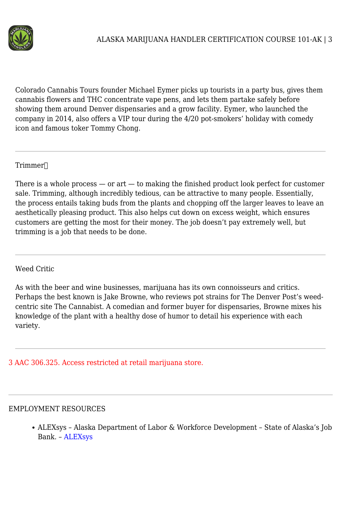

Colorado Cannabis Tours founder Michael Eymer picks up tourists in a party bus, gives them cannabis flowers and THC concentrate vape pens, and lets them partake safely before showing them around Denver dispensaries and a grow facility. Eymer, who launched the company in 2014, also offers a VIP tour during the 4/20 pot-smokers' holiday with comedy icon and famous toker Tommy Chong.

## Trimmer

There is a whole process  $-$  or art  $-$  to making the finished product look perfect for customer sale. Trimming, although incredibly tedious, can be attractive to many people. Essentially, the process entails taking buds from the plants and chopping off the larger leaves to leave an aesthetically pleasing product. This also helps cut down on excess weight, which ensures customers are getting the most for their money. The job doesn't pay extremely well, but trimming is a job that needs to be done.

#### Weed Critic

As with the beer and wine businesses, marijuana has its own connoisseurs and critics. Perhaps the best known is Jake Browne, who reviews pot strains for The Denver Post's weedcentric site The Cannabist. A comedian and former buyer for dispensaries, Browne mixes his knowledge of the plant with a healthy dose of humor to detail his experience with each variety.

## 3 AAC 306.325. Access restricted at retail marijuana store.

#### EMPLOYMENT RESOURCES

ALEXsys – Alaska Department of Labor & Workforce Development – State of Alaska's Job Bank. – [ALEXsys](http://www.jobs.state.ak.us/)